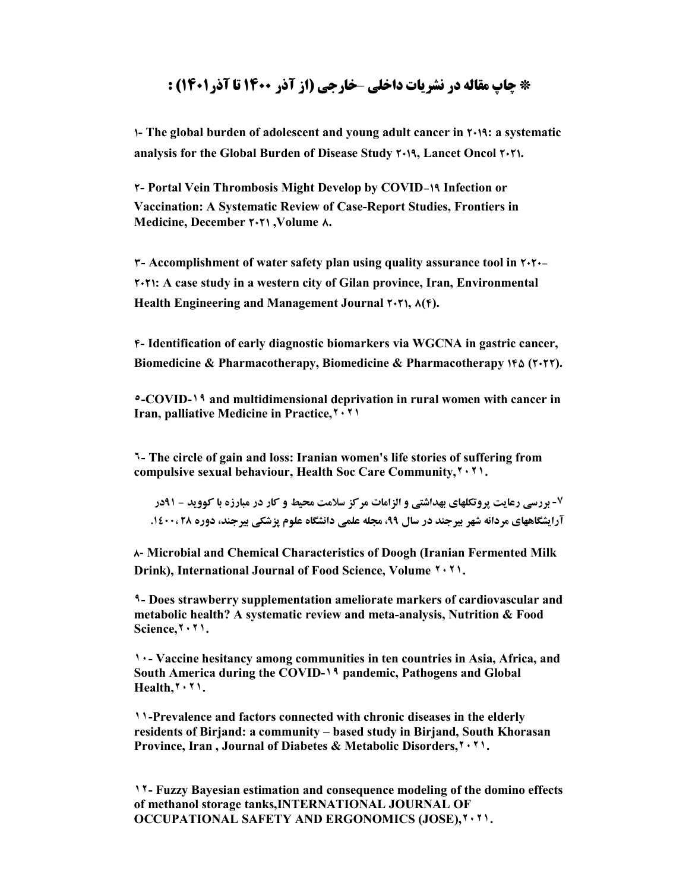# **\* چاپ مقاله در نشریات داخلی** –**خارجی (از آذر 1400 تا آذر1401) :**

**1- The global burden of adolescent and young adult cancer in 2019: a systematic analysis for the Global Burden of Disease Study 2019, Lancet Oncol 2021.**

**2- Portal Vein Thrombosis Might Develop by COVID-19 Infection or Vaccination: A Systematic Review of Case-Report Studies, Frontiers in Medicine, December 2021 ,Volume 8.**

**3- Accomplishment of water safety plan using quality assurance tool in 2020- 2021: A case study in a western city of Gilan province, Iran, Environmental Health Engineering and Management Journal 2021, 8(4).**

**4- Identification of early diagnostic biomarkers via WGCNA in gastric cancer,** Biomedicine & Pharmacotherapy, Biomedicine & Pharmacotherapy **16** (7.77).

**٥-COVID-١٩ and multidimensional deprivation in rural women with cancer in Iran, palliative Medicine in Practice,٢٠٢١**

**٦- The circle of gain and loss: Iranian women's life stories of suffering from compulsive sexual behaviour, Health Soc Care Community,٢٠٢١.** 

**-٧ بررسی رعایت پروتکلهاي بهداشتی و الزامات مرکز سلامت محیط و کار در مبارزه با کووید - 91در آرایشگاههاي مردانه شهر بیرجند در سال ،99 مجله علمی دانشگاه علوم پزشکی بیرجند، دوره 28 .1400،**

**8- Microbial and Chemical Characteristics of Doogh (Iranian Fermented Milk Drink), International Journal of Food Science, Volume ٢٠٢١.**

**٩- Does strawberry supplementation ameliorate markers of cardiovascular and metabolic health? A systematic review and meta-analysis, Nutrition & Food Science,٢٠٢١.**

**١٠- Vaccine hesitancy among communities in ten countries in Asia, Africa, and South America during the COVID-١٩ pandemic, Pathogens and Global Health,٢٠٢١.**

**١١-Prevalence and factors connected with chronic diseases in the elderly residents of Birjand: a community – based study in Birjand, South Khorasan Province, Iran , Journal of Diabetes & Metabolic Disorders,٢٠٢١.**

**١٢- Fuzzy Bayesian estimation and consequence modeling of the domino effects of methanol storage tanks,INTERNATIONAL JOURNAL OF OCCUPATIONAL SAFETY AND ERGONOMICS (JOSE),٢٠٢١.**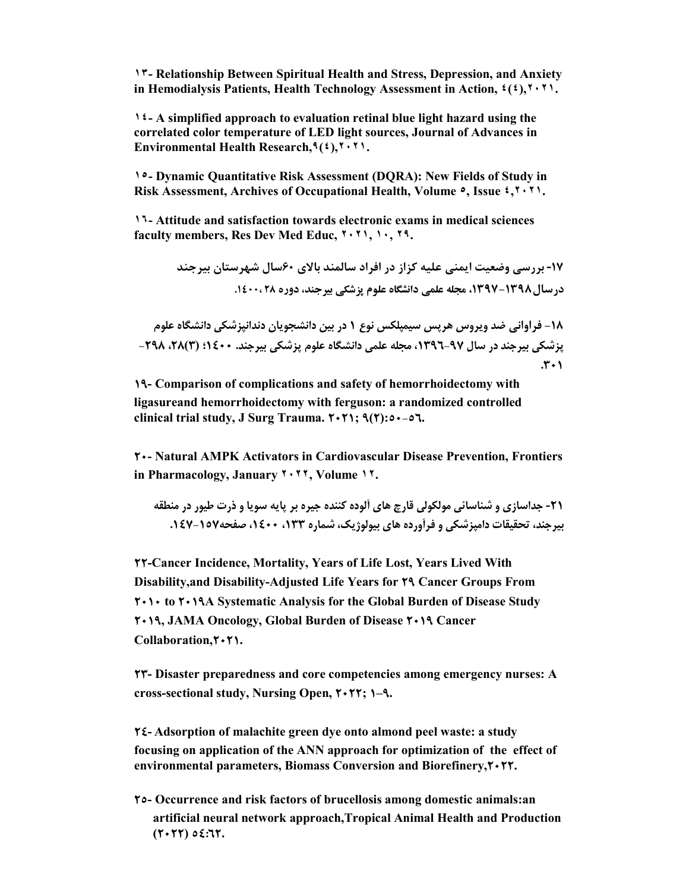**١٣- Relationship Between Spiritual Health and Stress, Depression, and Anxiety in Hemodialysis Patients, Health Technology Assessment in Action, ٤(٤),٢٠٢١.**

**١٤- A simplified approach to evaluation retinal blue light hazard using the correlated color temperature of LED light sources, Journal of Advances in Environmental Health Research,٩(٤),٢٠٢١.**

**١٥- Dynamic Quantitative Risk Assessment (DQRA): New Fields of Study in Risk Assessment, Archives of Occupational Health, Volume ٥, Issue ٤,٢٠٢١.**

**١٦- Attitude and satisfaction towards electronic exams in medical sciences faculty members, Res Dev Med Educ, ٢٠٢١, ١٠, ٢٩.**

> **-17 بررسی وضعیت ایمنی علیه کزاز در افراد سالمند بالاي 60سال شهرستان بیرجند درسال-1398 ،1397 مجله علمی دانشگاه علوم پزشکی بیرجند، دوره 28 .1400،**

**-18 فراوانی ضد ویروس هرپس سیمپلکس نوع 1 در بین دانشجویان دندانپزشکی دانشگاه علوم پزشکی بیرجند در سال ،1396-97 مجله علمی دانشگاه علوم پزشکی بیرجند. 1400؛ (3)،28 -298 .301**

**19- Comparison of complications and safety of hemorrhoidectomy with ligasureand hemorrhoidectomy with ferguson: a randomized controlled clinical trial study, J Surg Trauma. 2021; 9(2):50-56.**

**20- Natural AMPK Activators in Cardiovascular Disease Prevention, Frontiers in Pharmacology, January ٢٠٢٢, Volume ١٢.**

**-21 جداسازي و شناسائی مولکولی قارچ هاي آلوده کننده جیره بر پایه سویا و ذرت طیور در منطقه بیرجند، تحقیقات دامپزشکی و فرآورده هاي بیولوژیک، شماره ،133 ،1400 صفحه.147-157** 

**22-Cancer Incidence, Mortality, Years of Life Lost, Years Lived With Disability,and Disability-Adjusted Life Years for 29 Cancer Groups From 2010 to 2019A Systematic Analysis for the Global Burden of Disease Study 2019, JAMA Oncology, Global Burden of Disease 2019 Cancer Collaboration,2021.**

**23- Disaster preparedness and core competencies among emergency nurses: A cross-sectional study, Nursing Open, 2022; 1–9.**

**24- Adsorption of malachite green dye onto almond peel waste: a study focusing on application of the ANN approach for optimization of the effect of environmental parameters, Biomass Conversion and Biorefinery,2022.**

**25- Occurrence and risk factors of brucellosis among domestic animals:an artificial neural network approach,Tropical Animal Health and Production (2022) 54:62.**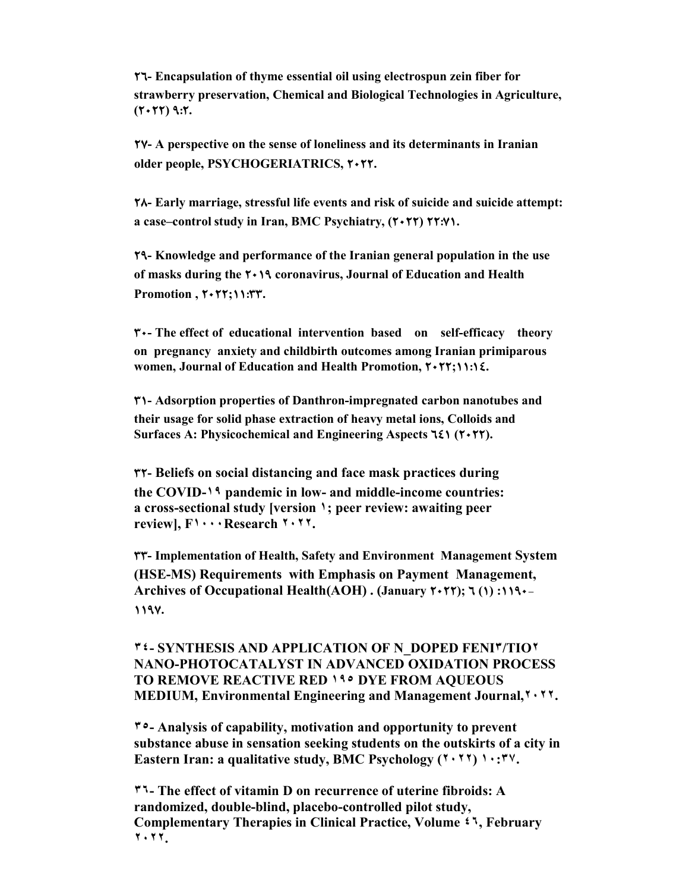**26- Encapsulation of thyme essential oil using electrospun zein fiber for strawberry preservation, Chemical and Biological Technologies in Agriculture, (2022) 9:2.**

**27- A perspective on the sense of loneliness and its determinants in Iranian older people, PSYCHOGERIATRICS, 2022.**

**28- Early marriage, stressful life events and risk of suicide and suicide attempt: a case–control study in Iran, BMC Psychiatry, (2022) 22:71.**

**29- Knowledge and performance of the Iranian general population in the use of masks during the 2019 coronavirus, Journal of Education and Health Promotion , 2022;11:33.**

**30- The effect of educational intervention based on self-efficacy theory on pregnancy anxiety and childbirth outcomes among Iranian primiparous women, Journal of Education and Health Promotion, 2022;11:14.**

**31- Adsorption properties of Danthron-impregnated carbon nanotubes and their usage for solid phase extraction of heavy metal ions, Colloids and Surfaces A: Physicochemical and Engineering Aspects**  $\tau$  **(** $\tau$  **+** $\tau$  $\tau$ **).** 

**32- Beliefs on social distancing and face mask practices during the COVID-١٩ pandemic in low- and middle-income countries: a cross-sectional study [version ١; peer review: awaiting peer review], F١٠٠٠Research ٢٠٢٢.**

**33- Implementation of Health, Safety and Environment Management System (HSE-MS) Requirements with Emphasis on Payment Management, Archives of Occupational Health(AOH) . (January 2022); 6 (1) :1190- 1197.**

#### **٣٤- SYNTHESIS AND APPLICATION OF N\_DOPED FENI٣/TIO٢ NANO-PHOTOCATALYST IN ADVANCED OXIDATION PROCESS TO REMOVE REACTIVE RED ١٩٥ DYE FROM AQUEOUS MEDIUM, Environmental Engineering and Management Journal,٢٠٢٢.**

**٣٥- Analysis of capability, motivation and opportunity to prevent substance abuse in sensation seeking students on the outskirts of a city in Eastern Iran: a qualitative study, BMC Psychology (٢٠٢٢) ١٠:٣٧.**

**٣٦- The effect of vitamin D on recurrence of uterine fibroids: A randomized, double-blind, placebo-controlled pilot study, Complementary Therapies in Clinical Practice, Volume ٤٦, February ٢٠٢٢.**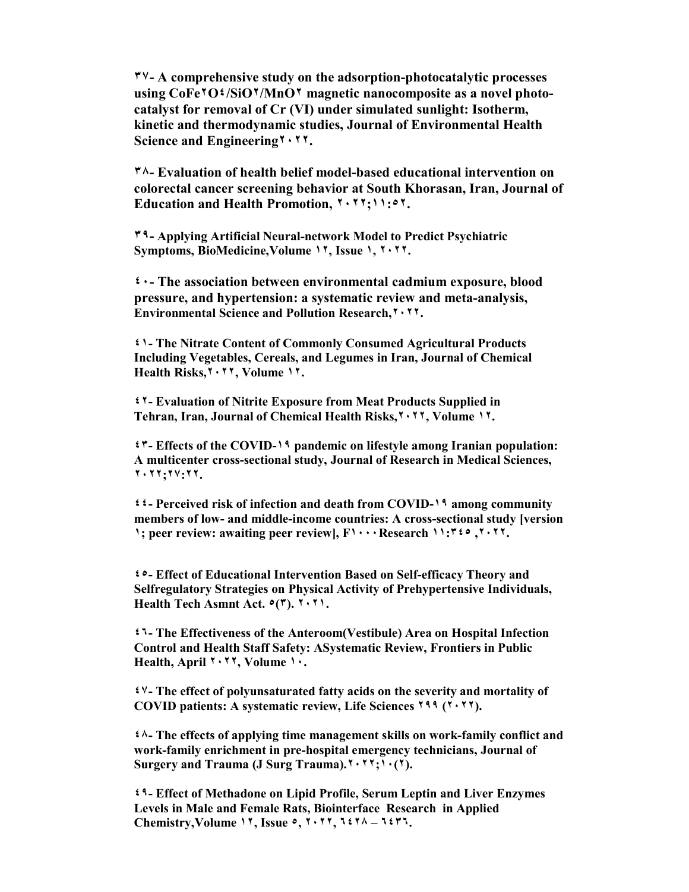**٣٧- A comprehensive study on the adsorption-photocatalytic processes using CoFe٢O٤/SiO٢/MnO٢ magnetic nanocomposite as a novel photocatalyst for removal of Cr (VI) under simulated sunlight: Isotherm, kinetic and thermodynamic studies, Journal of Environmental Health Science and Engineering٢٠٢٢.**

**٣٨- Evaluation of health belief model-based educational intervention on colorectal cancer screening behavior at South Khorasan, Iran, Journal of Education and Health Promotion, ٢٠٢٢;١١:٥٢.**

**٣٩- Applying Artificial Neural-network Model to Predict Psychiatric Symptoms, BioMedicine,Volume ١٢, Issue ١, ٢٠٢٢.**

**٤٠- The association between environmental cadmium exposure, blood pressure, and hypertension: a systematic review and meta-analysis, Environmental Science and Pollution Research,٢٠٢٢.**

**٤١- The Nitrate Content of Commonly Consumed Agricultural Products Including Vegetables, Cereals, and Legumes in Iran, Journal of Chemical Health Risks,٢٠٢٢, Volume ١٢.**

**٤٢- Evaluation of Nitrite Exposure from Meat Products Supplied in Tehran, Iran, Journal of Chemical Health Risks,٢٠٢٢, Volume ١٢.**

**٤٣- Effects of the COVID-١٩ pandemic on lifestyle among Iranian population: A multicenter cross-sectional study, Journal of Research in Medical Sciences, ٢٠٢٢;٢٧:٢٢.**

**٤٤- Perceived risk of infection and death from COVID-١٩ among community members of low- and middle-income countries: A cross-sectional study [version ١; peer review: awaiting peer review], F١٠٠٠Research ١١:٣٤٥ ,٢٠٢٢.**

**٤٥- Effect of Educational Intervention Based on Self-efficacy Theory and Selfregulatory Strategies on Physical Activity of Prehypertensive Individuals, Health Tech Asmnt Act. ٥(٣). ٢٠٢١.**

**٤٦- The Effectiveness of the Anteroom(Vestibule) Area on Hospital Infection Control and Health Staff Safety: ASystematic Review, Frontiers in Public Health, April ٢٠٢٢, Volume ١٠.**

**٤٧- The effect of polyunsaturated fatty acids on the severity and mortality of COVID patients: A systematic review, Life Sciences ٢٩٩ (٢٠٢٢).**

**٤٨- The effects of applying time management skills on work-family conflict and work-family enrichment in pre-hospital emergency technicians, Journal of Surgery and Trauma (J Surg Trauma).٢٠٢٢;١٠(٢).**

**٤٩- Effect of Methadone on Lipid Profile, Serum Leptin and Liver Enzymes Levels in Male and Female Rats, Biointerface Research in Applied Chemistry,Volume ١٢, Issue ٥, ٢٠٢٢, ٦٤٢٨ – ٦٤٣٦.**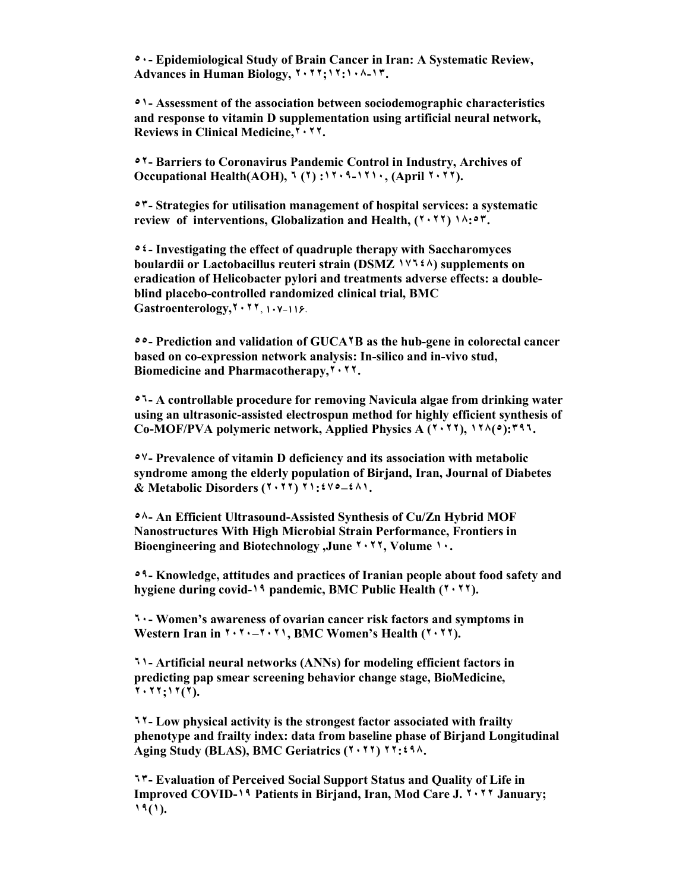**٥٠- Epidemiological Study of Brain Cancer in Iran: A Systematic Review, Advances in Human Biology, ٢٠٢٢;١٢:١٠٨-١٣.**

**٥١- Assessment of the association between sociodemographic characteristics and response to vitamin D supplementation using artificial neural network, Reviews in Clinical Medicine,٢٠٢٢.**

**٥٢- Barriers to Coronavirus Pandemic Control in Industry, Archives of Occupational Health(AOH), ٦ (٢) :١٢٠٩-١٢١٠, (April ٢٠٢٢).** 

**٥٣- Strategies for utilisation management of hospital services: a systematic review of interventions, Globalization and Health, (٢٠٢٢) ١٨:٥٣.**

**٥٤- Investigating the effect of quadruple therapy with Saccharomyces boulardii or Lactobacillus reuteri strain (DSMZ ١٧٦٤٨) supplements on eradication of Helicobacter pylori and treatments adverse effects: a doubleblind placebo-controlled randomized clinical trial, BMC Gastroenterology,٢٠٢٢**, **107-116**.

**٥٥- Prediction and validation of GUCA٢B as the hub-gene in colorectal cancer based on co-expression network analysis: In-silico and in-vivo stud, Biomedicine and Pharmacotherapy,٢٠٢٢.**

**٥٦- A controllable procedure for removing Navicula algae from drinking water using an ultrasonic-assisted electrospun method for highly efficient synthesis of Co-MOF/PVA polymeric network, Applied Physics A (٢٠٢٢), ١٢٨(٥):٣٩٦.**

**٥٧- Prevalence of vitamin D deficiency and its association with metabolic syndrome among the elderly population of Birjand, Iran, Journal of Diabetes & Metabolic Disorders (٢٠٢٢) ٢١:٤٧٥–٤٨١.**

**٥٨- An Efficient Ultrasound-Assisted Synthesis of Cu/Zn Hybrid MOF Nanostructures With High Microbial Strain Performance, Frontiers in Bioengineering and Biotechnology ,June ٢٠٢٢, Volume ١٠.**

**٥٩- Knowledge, attitudes and practices of Iranian people about food safety and hygiene during covid-١٩ pandemic, BMC Public Health (٢٠٢٢).**

**٦٠- Women's awareness of ovarian cancer risk factors and symptoms in Western Iran in ٢٠٢٠–٢٠٢١, BMC Women's Health (٢٠٢٢).**

**٦١- Artificial neural networks (ANNs) for modeling efficient factors in predicting pap smear screening behavior change stage, BioMedicine, ٢٠٢٢;١٢(٢).**

**٦٢- Low physical activity is the strongest factor associated with frailty phenotype and frailty index: data from baseline phase of Birjand Longitudinal Aging Study (BLAS), BMC Geriatrics (٢٠٢٢) ٢٢:٤٩٨.**

**٦٣- Evaluation of Perceived Social Support Status and Quality of Life in Improved COVID-١٩ Patients in Birjand, Iran, Mod Care J. ٢٠٢٢ January; ١٩(١).**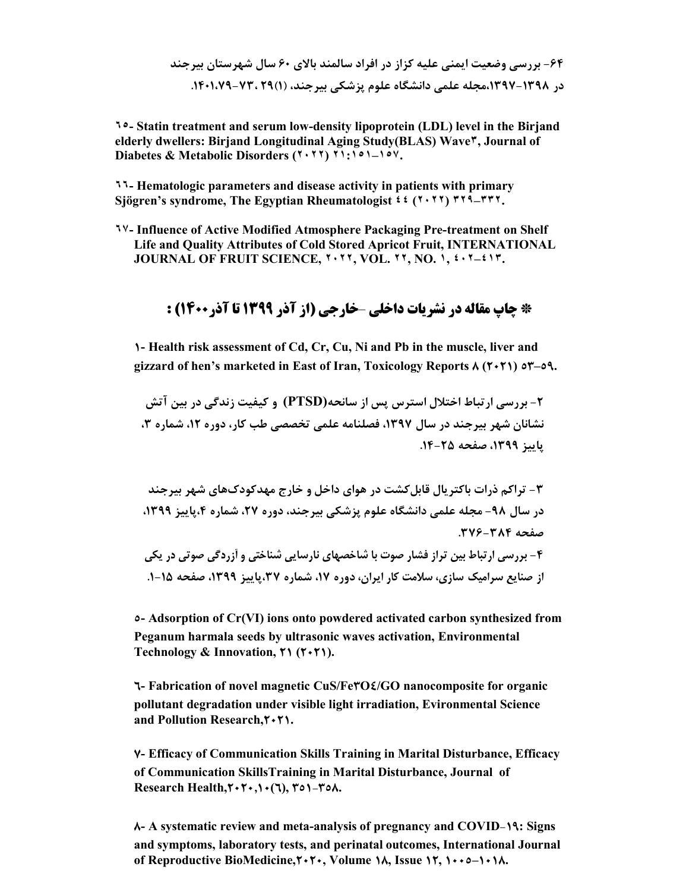**-64 بررسی وضعیت ایمنی علیه کزاز در افراد سالمند بالاي 60 سال شهرستان بیرجند در ،1397-1398مجله علمی دانشگاه علوم پزشکی بیرجند، (1)29 -73، .1401،79** 

**٦٥- Statin treatment and serum low-density lipoprotein (LDL) level in the Birjand elderly dwellers: Birjand Longitudinal Aging Study(BLAS) Wave٣, Journal of Diabetes & Metabolic Disorders (٢٠٢٢) ٢١:١٥١–١٥٧.**

**٦٦- Hematologic parameters and disease activity in patients with primary Sjögren's syndrome, The Egyptian Rheumatologist ٤٤ (٢٠٢٢) ٣٢٩–٣٣٢.**

**٦٧- Influence of Active Modified Atmosphere Packaging Pre-treatment on Shelf Life and Quality Attributes of Cold Stored Apricot Fruit, INTERNATIONAL JOURNAL OF FRUIT SCIENCE, ٢٠٢٢, VOL. ٢٢, NO. ١, ٤٠٢–٤١٣.**

### **\* چاپ مقاله در نشریات داخلی** –**خارجی (از آذر 1399 تا آذر1400) :**

**1- Health risk assessment of Cd, Cr, Cu, Ni and Pb in the muscle, liver and gizzard of hen's marketed in East of Iran, Toxicology Reports 8 (2021) 53–59.**

**-2 بررسی ارتباط اختلال استرس پس از سانحه(PTSD (و کیفیت زندگی در بین آتش نشانان شهر بیرجند در سال ،1397 فصلنامه علمی تخصصی طب کار، دوره ،12 شماره ،3 پاییز ،1399 صفحه .14-25** 

**-3 تراکم ذرات باکتریال قابلکشت در هواي داخل و خارج مهدکودكهاي شهر بیرجند در سال -98 مجله علمی دانشگاه علوم پزشکی بیرجند، دوره ،27 شماره ،4پاییز ،1399 صفحه .376-384**

**-4 بررسی ارتباط بین تراز فشار صوت با شاخصهاي نارسایی شناختی و آزردگی صوتی در یکی از صنایع سرامیک سازي، سلامت کار ایران، دوره ،17 شماره ،37پاییز ،1399 صفحه -15 .1** 

**5- Adsorption of Cr(VI) ions onto powdered activated carbon synthesized from Peganum harmala seeds by ultrasonic waves activation, Environmental Technology & Innovation, 21 (2021).**

**6- Fabrication of novel magnetic CuS/Fe3O4/GO nanocomposite for organic pollutant degradation under visible light irradiation, Evironmental Science and Pollution Research,** $\mathbf{Y} \cdot \mathbf{Y}$ **1.** 

**7- Efficacy of Communication Skills Training in Marital Disturbance, Efficacy of Communication SkillsTraining in Marital Disturbance, Journal of Research Health,** $\mathbf{Y} \cdot \mathbf{Y} \cdot \mathbf{A} \cdot (\mathbf{Y})$ **,**  $\mathbf{Y} \circ \mathbf{A} \cdot \mathbf{Y} \circ \mathbf{A}$ **.** 

**8- A systematic review and meta-analysis of pregnancy and COVID-19: Signs and symptoms, laboratory tests, and perinatal outcomes, International Journal of Reproductive BioMedicine,2020, Volume 18, Issue 12, 1005–1018.**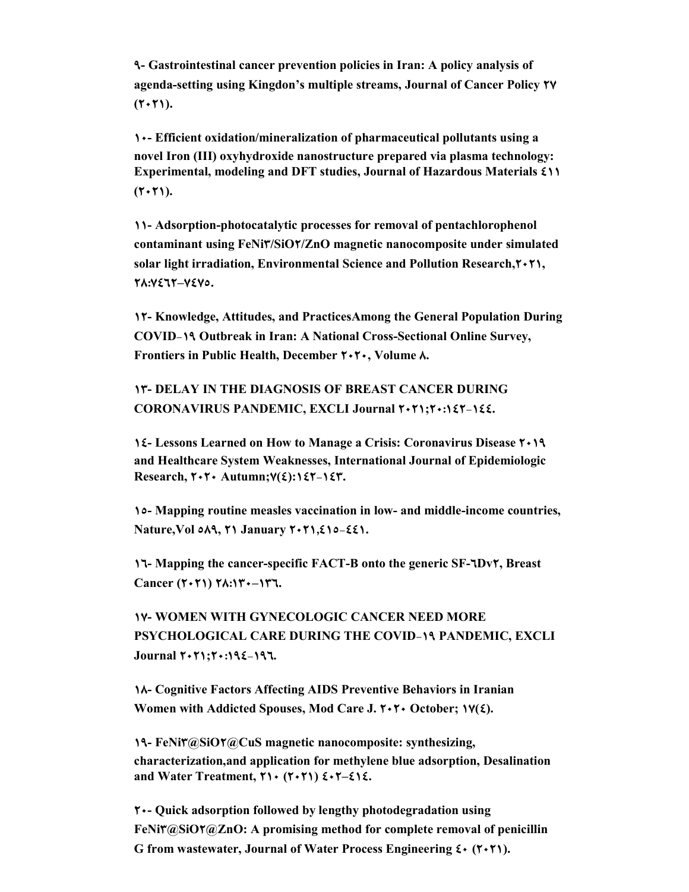**9- Gastrointestinal cancer prevention policies in Iran: A policy analysis of agenda-setting using Kingdon's multiple streams, Journal of Cancer Policy 27**  $(Y \cdot Y)$ .

**10- Efficient oxidation/mineralization of pharmaceutical pollutants using a novel Iron (III) oxyhydroxide nanostructure prepared via plasma technology: Experimental, modeling and DFT studies, Journal of Hazardous Materials 411**  $(7 \cdot 7)$ .

**11- Adsorption-photocatalytic processes for removal of pentachlorophenol contaminant using FeNi3/SiO2/ZnO magnetic nanocomposite under simulated solar light irradiation, Environmental Science and Pollution Research,2021, 28:7462–7475.**

**12- Knowledge, Attitudes, and PracticesAmong the General Population During COVID-19 Outbreak in Iran: A National Cross-Sectional Online Survey, Frontiers in Public Health, December 2020, Volume 8.**

**13- DELAY IN THE DIAGNOSIS OF BREAST CANCER DURING CORONAVIRUS PANDEMIC, EXCLI Journal 2021;20:142-144.**

**14- Lessons Learned on How to Manage a Crisis: Coronavirus Disease 2019 and Healthcare System Weaknesses, International Journal of Epidemiologic Research, 2020 Autumn;7(4):142-143.**

**15- Mapping routine measles vaccination in low- and middle-income countries, Nature,Vol 589, 21 January 2021,415-441.**

**16- Mapping the cancer-specific FACT-B onto the generic SF-6Dv2, Breast Cancer (2021) 28:130–136.**

**17- WOMEN WITH GYNECOLOGIC CANCER NEED MORE PSYCHOLOGICAL CARE DURING THE COVID-19 PANDEMIC, EXCLI Journal 2021;20:194-196.**

**18- Cognitive Factors Affecting AIDS Preventive Behaviors in Iranian Women with Addicted Spouses, Mod Care J. 2020 October; 17(4).**

**19- FeNi3@SiO2@CuS magnetic nanocomposite: synthesizing, characterization,and application for methylene blue adsorption, Desalination and Water Treatment, 210 (2021) 402–414.**

**20- Quick adsorption followed by lengthy photodegradation using FeNi3@SiO2@ZnO: A promising method for complete removal of penicillin G from wastewater, Journal of Water Process Engineering 40 (2021).**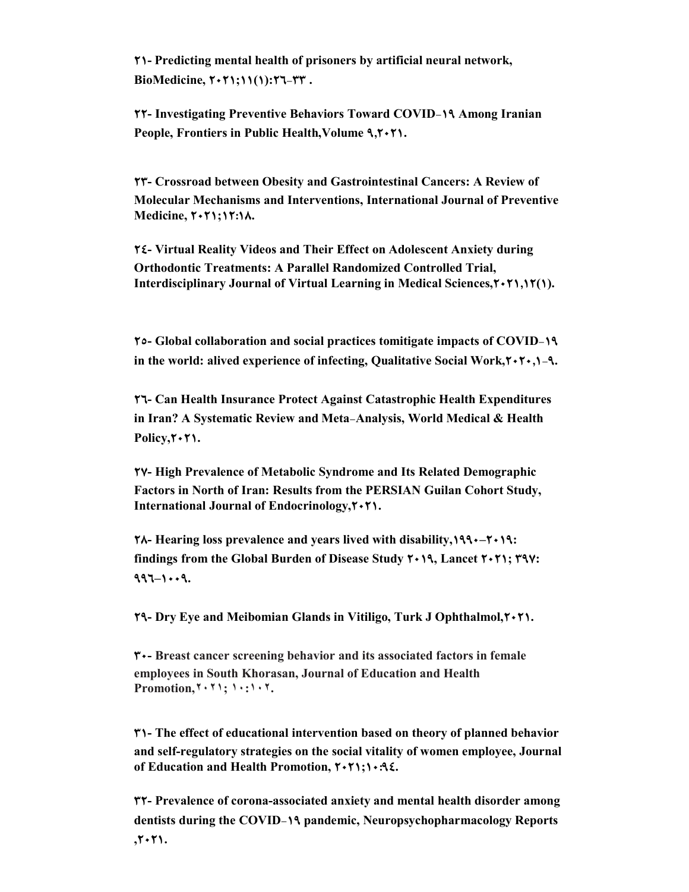**21- Predicting mental health of prisoners by artificial neural network, BioMedicine, 2021;11(1):26-33 .**

**22- Investigating Preventive Behaviors Toward COVID-19 Among Iranian People, Frontiers in Public Health, Volume 9,7**  $\cdot$  **71.** 

**23- Crossroad between Obesity and Gastrointestinal Cancers: A Review of Molecular Mechanisms and Interventions, International Journal of Preventive Medicine, 2021;12:18.**

**24- Virtual Reality Videos and Their Effect on Adolescent Anxiety during Orthodontic Treatments: A Parallel Randomized Controlled Trial, Interdisciplinary Journal of Virtual Learning in Medical Sciences,2021,12(1).**

**25- Global collaboration and social practices tomitigate impacts of COVID-19 in the world: alived experience of infecting, Qualitative Social Work,2020,1-9.**

**26- Can Health Insurance Protect Against Catastrophic Health Expenditures in Iran? A Systematic Review and Meta-Analysis, World Medical & Health**  Policy, $\mathbf{Y} \cdot \mathbf{Y}$ 1.

**27- High Prevalence of Metabolic Syndrome and Its Related Demographic Factors in North of Iran: Results from the PERSIAN Guilan Cohort Study, International Journal of Endocrinology,2021.**

**182-***1990* **Philosophers Billish Philosophers Proposes** *Rearing* **loss prevalence and years lived with disability,** $199 \cdot - 7 \cdot 19$ **: findings from the Global Burden of Disease Study 2019, Lancet 2021; 397: 996–1009.**

**29- Dry Eye and Meibomian Glands in Vitiligo, Turk J Ophthalmol,2021.**

**30- Breast cancer screening behavior and its associated factors in female employees in South Khorasan, Journal of Education and Health Promotion,٢٠٢١; ١٠:١٠٢.**

**31- The effect of educational intervention based on theory of planned behavior and self-regulatory strategies on the social vitality of women employee, Journal of Education and Health Promotion, 2021;10:94.**

**32- Prevalence of corona-associated anxiety and mental health disorder among dentists during the COVID-19 pandemic, Neuropsychopharmacology Reports ,2021.**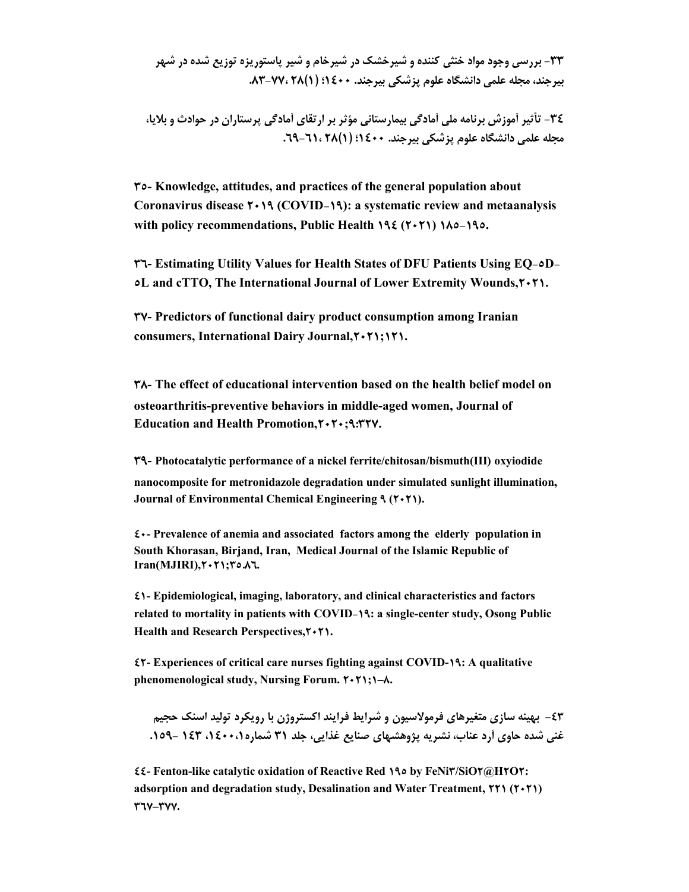**-33 بررسی وجود مواد خنثی کننده و شیرخشک در شیرخام و شیر پاستوریزه توزیع شده در شهر بیرجند، مجله علمی دانشگاه علوم پزشکی بیرجند. 1400؛ (1)28 .83-77،** 

**-34 تأثیر آموزش برنامه ملی آمادگی بیمارستانی مؤثر بر ارتقاي آمادگی پرستاران در حوادث و بلایا، مجله علمی دانشگاه علوم پزشکی بیرجند. 1400؛ (1)28 .69-61،**

**35- Knowledge, attitudes, and practices of the general population about Coronavirus disease 2019 (COVID-19): a systematic review and metaanalysis with policy recommendations, Public Health 194 (2021) 185-195.**

**36- Estimating Utility Values for Health States of DFU Patients Using EQ-5D-5L and cTTO, The International Journal of Lower Extremity Wounds,2021.**

**37- Predictors of functional dairy product consumption among Iranian consumers, International Dairy Journal,2021;121.**

**38- The effect of educational intervention based on the health belief model on osteoarthritis-preventive behaviors in middle-aged women, Journal of Education and Health Promotion,2020;9:327.**

**39- Photocatalytic performance of a nickel ferrite/chitosan/bismuth(III) oxyiodide nanocomposite for metronidazole degradation under simulated sunlight illumination, Journal of Environmental Chemical Engineering 9 (2021).**

**40- Prevalence of anemia and associated factors among the elderly population in South Khorasan, Birjand, Iran, Medical Journal of the Islamic Republic of Iran(MJIRI),2021;35.86.**

**41- Epidemiological, imaging, laboratory, and clinical characteristics and factors related to mortality in patients with COVID-19: a single-center study, Osong Public**  Health and Research Perspectives, $\mathbf{7 \cdot 71}$ .

**42- Experiences of critical care nurses fighting against COVID-19: A qualitative phenomenological study, Nursing Forum. 2021;1–8.**

**-43 بهینه سازي متغیرهاي فرمولاسیون و شرایط فرایند اکستروژن با رویکرد تولید اسنک حجیم غنی شده حاوي آرد عناب، نشریه پژوهشهاي صنایع غذایی، جلد 31 شماره،1400،1 143 - .159**

**44- Fenton-like catalytic oxidation of Reactive Red 195 by FeNi3/SiO2@H2O2: adsorption and degradation study, Desalination and Water Treatment, 221 (2021) 367–377.**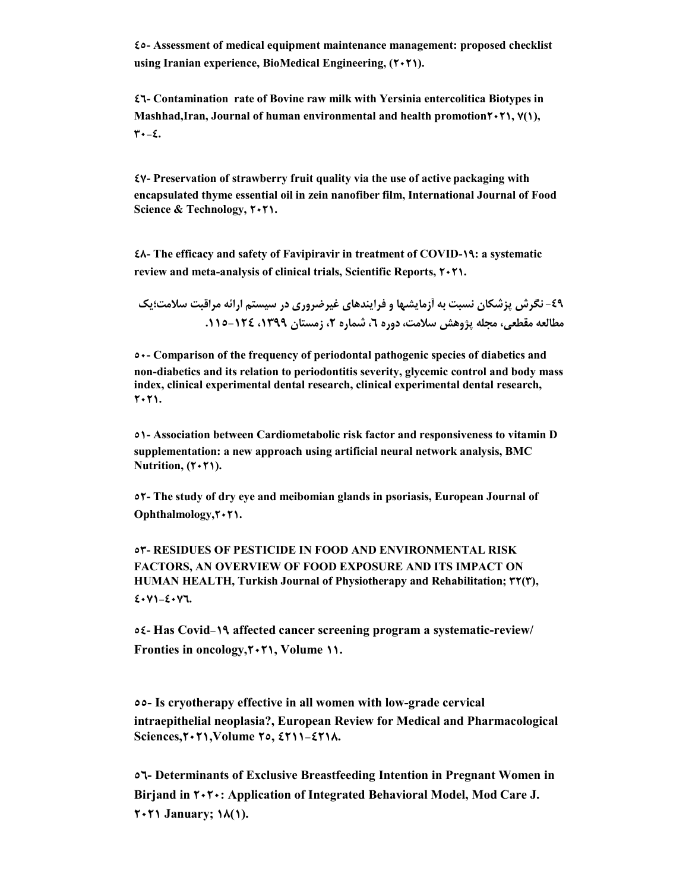**45- Assessment of medical equipment maintenance management: proposed checklist using Iranian experience, BioMedical Engineering, (2021).**

**46- Contamination rate of Bovine raw milk with Yersinia entercolitica Biotypes in Mashhad,Iran, Journal of human environmental and health promotion2021, 7(1), 30-4.**

**47- Preservation of strawberry fruit quality via the use of active packaging with encapsulated thyme essential oil in zein nanofiber film, International Journal of Food Science & Technology, 2021.**

**48- The efficacy and safety of Favipiravir in treatment of COVID-19: a systematic review and meta-analysis of clinical trials, Scientific Reports, 2021.**

**-49 نگرش پزشکان نسبت به آزمایشها و فرایندهاي غیرضروري در سیستم ارائه مراقبت سلامت؛یک مطالعه مقطعی، مجله پژوهش سلامت، دوره ،6 شماره ،2 زمستان ،1399 .115-124** 

**50- Comparison of the frequency of periodontal pathogenic species of diabetics and non-diabetics and its relation to periodontitis severity, glycemic control and body mass index, clinical experimental dental research, clinical experimental dental research, 2021.**

**51- Association between Cardiometabolic risk factor and responsiveness to vitamin D supplementation: a new approach using artificial neural network analysis, BMC Nutrition, (** $\uparrow \uparrow \uparrow \uparrow$ **).** 

**52- The study of dry eye and meibomian glands in psoriasis, European Journal of Ophthalmology,2021.**

**53- RESIDUES OF PESTICIDE IN FOOD AND ENVIRONMENTAL RISK FACTORS, AN OVERVIEW OF FOOD EXPOSURE AND ITS IMPACT ON HUMAN HEALTH, Turkish Journal of Physiotherapy and Rehabilitation; 32(3), 4071-4076.**

**54- Has Covid-19 affected cancer screening program a systematic-review/ Fronties in oncology,2021, Volume 11.**

**55- Is cryotherapy effective in all women with low-grade cervical intraepithelial neoplasia?, European Review for Medical and Pharmacological Sciences,2021,Volume 25, 4211-4218.**

**56- Determinants of Exclusive Breastfeeding Intention in Pregnant Women in Birjand in 2020: Application of Integrated Behavioral Model, Mod Care J. 2021 January; 18(1).**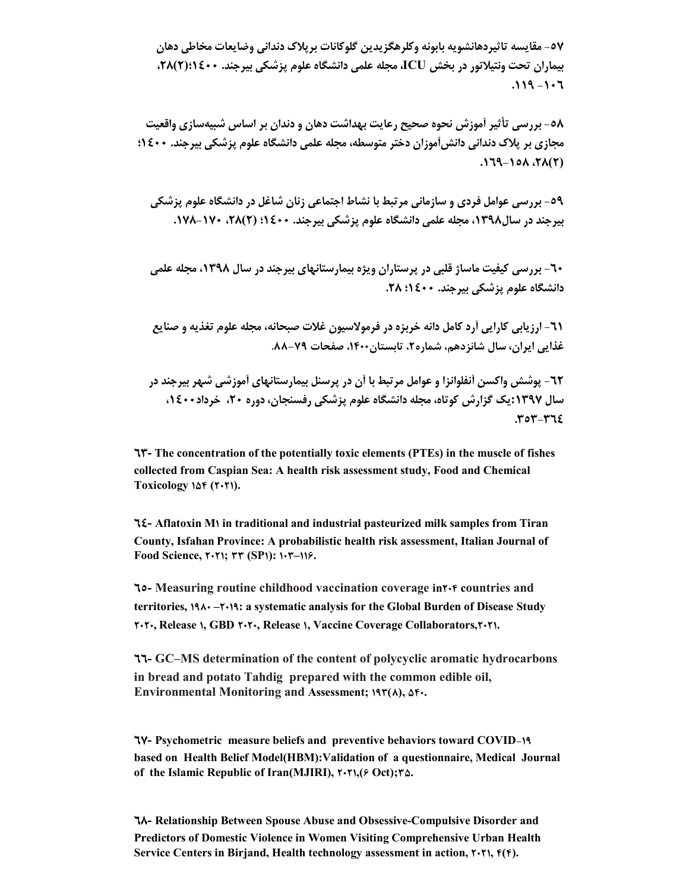**-57 مقایسه تاثیردهانشویه بابونه وکلرهگزیدین گلوکانات برپلاك دندانی وضایعات مخاطی دهان بیماران تحت ونتیلاتور در بخش ICU، مجله علمی دانشگاه علوم پزشکی بیرجند. 1400؛(2)،28 .119 -106**

**-58 بررسی تأثیر آموزش نحوه صحیح رعایت بهداشت دهان و دندان بر اساس شبیهسازي واقعیت مجازي بر پلاك دندانی دانشآموزان دختر متوسطه، مجله علمی دانشگاه علوم پزشکی بیرجند. 1400؛ .169-158 ،28(2)**

**-59 بررسی عوامل فردي و سازمانی مرتبط با نشاط اجتماعی زنان شاغل در دانشگاه علوم پزشکی بیرجند در سال،1398 مجله علمی دانشگاه علوم پزشکی بیرجند. 1400؛ (2)،28 .178-170** 

**-60 بررسی کیفیت ماساژ قلبی در پرستاران ویژه بیمارستانهاي بیرجند در سال ،1398 مجله علمی دانشگاه علوم پزشکی بیرجند. 1400؛ .28** 

**-61 ارزیابی کارایی آرد کامل دانه خربزه در فرمولاسیون غلات صبحانه، مجله علوم تغذیه و صنایع غذایی ایران، سال شانزدهم، شماره،2 تابستان،1400 صفحات .88-79**

**-62 پوشش واکسن آنفلوانزا و عوامل مرتبط با آن در پرسنل بیمارستانهاي آموزشی شهر بیرجند در سال :1397یک گزارش کوتاه، مجله دانشگاه علوم پزشکی رفسنجان، دوره ،20 خرداد،1400 .353-364**

**63- The concentration of the potentially toxic elements (PTEs) in the muscle of fishes collected from Caspian Sea: A health risk assessment study, Food and Chemical Toxicology 154 (2021).**

**64- Aflatoxin M1 in traditional and industrial pasteurized milk samples from Tiran County, Isfahan Province: A probabilistic health risk assessment, Italian Journal of Food Science, 2021; 33 (SP1): 103–116.**

**65- Measuring routine childhood vaccination coverage in204 countries and territories, 1980 –2019: a systematic analysis for the Global Burden of Disease Study 2020, Release 1, GBD 2020, Release 1, Vaccine Coverage Collaborators,2021.**

**66- GC–MS determination of the content of polycyclic aromatic hydrocarbons in bread and potato Tahdig prepared with the common edible oil, Environmental Monitoring and Assessment; 193(8), 540.**

**67- Psychometric measure beliefs and preventive behaviors toward COVID-19 based on Health Belief Model(HBM):Validation of a questionnaire, Medical Journal of the Islamic Republic of Iran(MJIRI), 2021,(6 Oct);35.**

**68- Relationship Between Spouse Abuse and Obsessive-Compulsive Disorder and Predictors of Domestic Violence in Women Visiting Comprehensive Urban Health Service Centers in Birjand, Health technology assessment in action, 2021, 4(4).**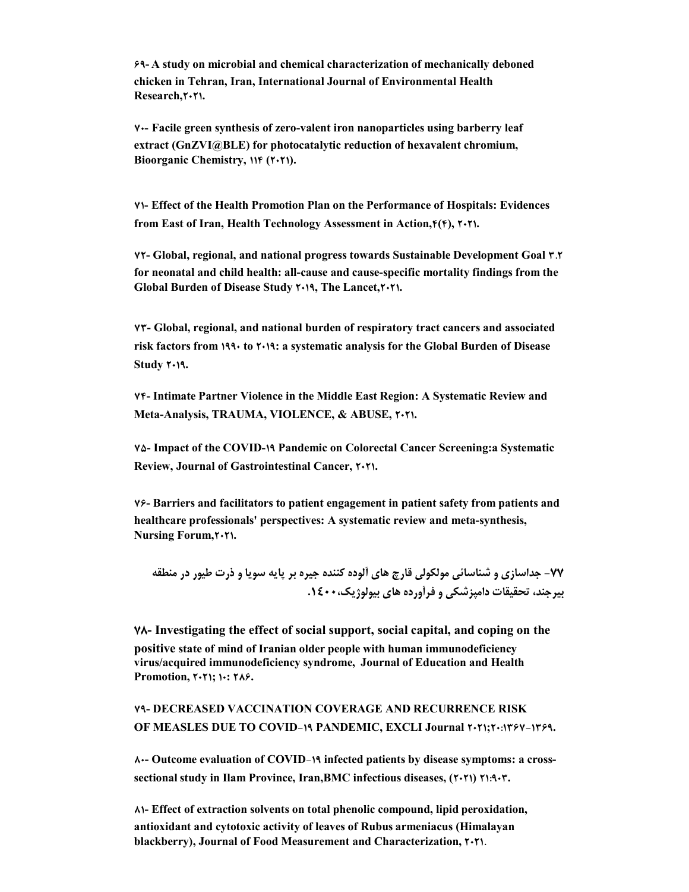**69- A study on microbial and chemical characterization of mechanically deboned chicken in Tehran, Iran, International Journal of Environmental Health Research,2021.**

**70- Facile green synthesis of zero-valent iron nanoparticles using barberry leaf extract (GnZVI@BLE) for photocatalytic reduction of hexavalent chromium, Bioorganic Chemistry, 114 (2021).**

**71- Effect of the Health Promotion Plan on the Performance of Hospitals: Evidences from East of Iran, Health Technology Assessment in Action,4(4), 2021.**

**72- Global, regional, and national progress towards Sustainable Development Goal 3.2 for neonatal and child health: all-cause and cause-specific mortality findings from the Global Burden of Disease Study 2019, The Lancet,2021.**

**73- Global, regional, and national burden of respiratory tract cancers and associated risk factors from 1990 to 2019: a systematic analysis for the Global Burden of Disease Study 2019.**

**74- Intimate Partner Violence in the Middle East Region: A Systematic Review and Meta-Analysis, TRAUMA, VIOLENCE, & ABUSE, 2021.**

**75- Impact of the COVID-19 Pandemic on Colorectal Cancer Screening:a Systematic Review, Journal of Gastrointestinal Cancer, 2021.**

**76- Barriers and facilitators to patient engagement in patient safety from patients and healthcare professionals' perspectives: A systematic review and meta-synthesis, Nursing Forum,2021.**

**-77 جداسازي و شناسائی مولکولی قارچ هاي آلوده کننده جیره بر پایه سویا و ذرت طیور در منطقه بیرجند، تحقیقات دامپزشکی و فرآورده هاي بیولوژیک.1400،** 

**78- Investigating the effect of social support, social capital, and coping on the positive state of mind of Iranian older people with human immunodeficiency virus/acquired immunodeficiency syndrome, Journal of Education and Health Promotion, 2021; 10: 286.**

**79- DECREASED VACCINATION COVERAGE AND RECURRENCE RISK OF MEASLES DUE TO COVID-19 PANDEMIC, EXCLI Journal 2021;20:1367-1369.**

**80- Outcome evaluation of COVID-19 infected patients by disease symptoms: a crosssectional study in Ilam Province, Iran,BMC infectious diseases, (2021) 21:903.**

**81- Effect of extraction solvents on total phenolic compound, lipid peroxidation, antioxidant and cytotoxic activity of leaves of Rubus armeniacus (Himalayan blackberry), Journal of Food Measurement and Characterization, 2021.**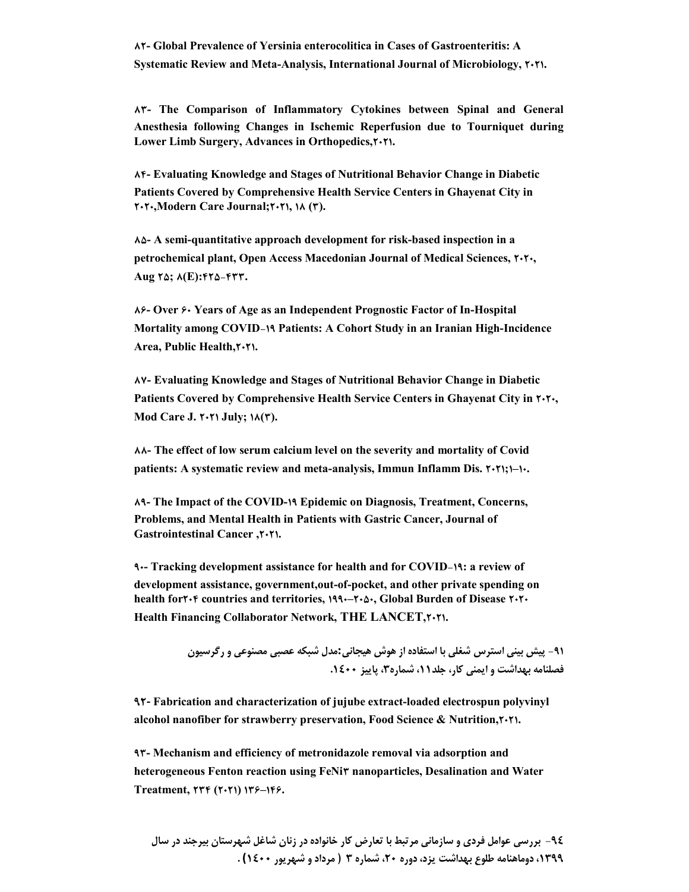**83- The Comparison of Inflammatory Cytokines between Spinal and General Anesthesia following Changes in Ischemic Reperfusion due to Tourniquet during Lower Limb Surgery, Advances in Orthopedics,2021.**

**84- Evaluating Knowledge and Stages of Nutritional Behavior Change in Diabetic Patients Covered by Comprehensive Health Service Centers in Ghayenat City in 2020,Modern Care Journal;2021, 18 (3).**

**85- A semi-quantitative approach development for risk-based inspection in a petrochemical plant, Open Access Macedonian Journal of Medical Sciences, 2020, Aug 25; 8(E):425-433.**

**86- Over 60 Years of Age as an Independent Prognostic Factor of In-Hospital Mortality among COVID-19 Patients: A Cohort Study in an Iranian High-Incidence Area, Public Health,2021.**

**87- Evaluating Knowledge and Stages of Nutritional Behavior Change in Diabetic**  Patients Covered by Comprehensive Health Service Centers in Ghayenat City in  $\uparrow \uparrow \uparrow \uparrow$ . **Mod Care J. 2021 July; 18(3).**

**88- The effect of low serum calcium level on the severity and mortality of Covid patients: A systematic review and meta-analysis, Immun Inflamm Dis. 2021;1–10.**

**89- The Impact of the COVID-19 Epidemic on Diagnosis, Treatment, Concerns, Problems, and Mental Health in Patients with Gastric Cancer, Journal of Gastrointestinal Cancer ,2021.**

**90- Tracking development assistance for health and for COVID-19: a review of development assistance, government,out-of-pocket, and other private spending on health for<sup>***x***</sup> <b>f** countries and territories,  $199 - 76$ , Global Burden of Disease  $7.7$ **Health Financing Collaborator Network, THE LANCET,2021.**

> **-91 پیش بینی استرس شغلی با استفاده از هوش هیجانی:مدل شبکه عصبی مصنوعی و رگرسیون فصلنامه بهداشت و ایمنی کار، جلد،11 شماره،3 پاییز .1400**

**92- Fabrication and characterization of jujube extract-loaded electrospun polyvinyl alcohol nanofiber for strawberry preservation, Food Science & Nutrition,2021.**

**93- Mechanism and efficiency of metronidazole removal via adsorption and heterogeneous Fenton reaction using FeNi3 nanoparticles, Desalination and Water Treatment, 234 (2021) 136–146.**

**-94 بررسی عوامل فردي و سازمانی مرتبط با تعارض کار خانواده در زنان شاغل شهرستان بیرجند در سال ،1399 دوماهنامه طلوع بهداشت یزد، دوره ،20 شماره 3 ( مرداد و شهریور 1400) .**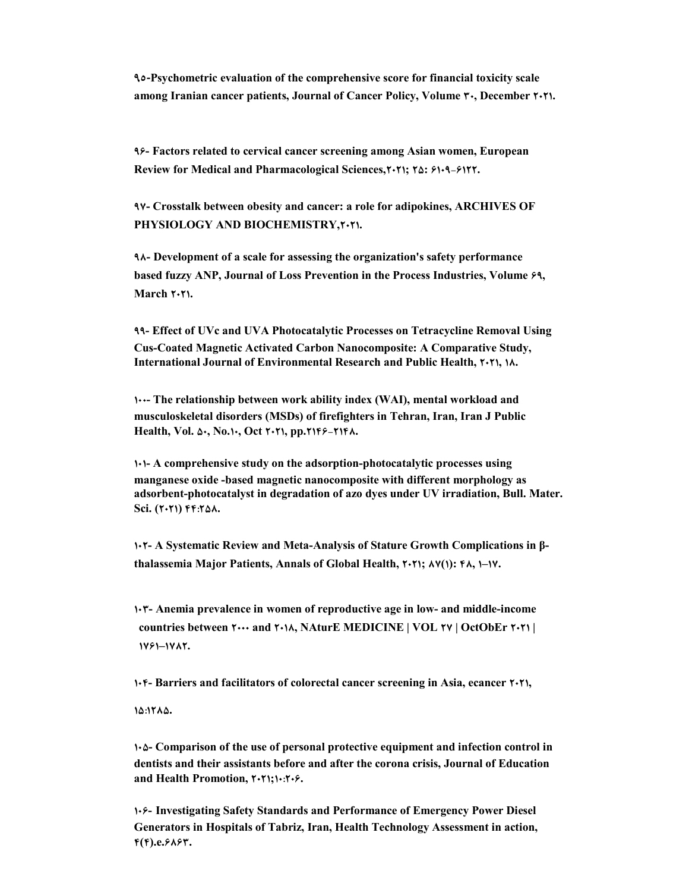**95-Psychometric evaluation of the comprehensive score for financial toxicity scale among Iranian cancer patients, Journal of Cancer Policy, Volume 30, December 2021.**

**96- Factors related to cervical cancer screening among Asian women, European Review for Medical and Pharmacological Sciences,2021; 25: 6109-6122.**

**97- Crosstalk between obesity and cancer: a role for adipokines, ARCHIVES OF PHYSIOLOGY AND BIOCHEMISTRY,2021.**

**98- Development of a scale for assessing the organization's safety performance based fuzzy ANP, Journal of Loss Prevention in the Process Industries, Volume 69, March**  $\mathbf{Y} \cdot \mathbf{Y}$ **1.** 

**99- Effect of UVc and UVA Photocatalytic Processes on Tetracycline Removal Using Cus-Coated Magnetic Activated Carbon Nanocomposite: A Comparative Study, International Journal of Environmental Research and Public Health, 2021, 18.**

**100- The relationship between work ability index (WAI), mental workload and musculoskeletal disorders (MSDs) of firefighters in Tehran, Iran, Iran J Public Health, Vol. 50, No.10, Oct 2021, pp.2146-2148.**

**101- A comprehensive study on the adsorption-photocatalytic processes using manganese oxide -based magnetic nanocomposite with different morphology as adsorbent-photocatalyst in degradation of azo dyes under UV irradiation, Bull. Mater. Sci. (2021) 44:258.**

**102- A Systematic Review and Meta-Analysis of Stature Growth Complications in βthalassemia Major Patients, Annals of Global Health, 2021; 87(1): 48, 1–17.**

**103- Anemia prevalence in women of reproductive age in low- and middle-income countries between 2000 and 2018, NAturE MEDICINE | VOL 27 | OctObEr 2021 | 1761–1782.**

**104- Barriers and facilitators of colorectal cancer screening in Asia, ecancer 2021,** 

**15:1285.**

**105- Comparison of the use of personal protective equipment and infection control in dentists and their assistants before and after the corona crisis, Journal of Education and Health Promotion, 2021;10:206.**

**106- Investigating Safety Standards and Performance of Emergency Power Diesel Generators in Hospitals of Tabriz, Iran, Health Technology Assessment in action, 4(4).e.6863.**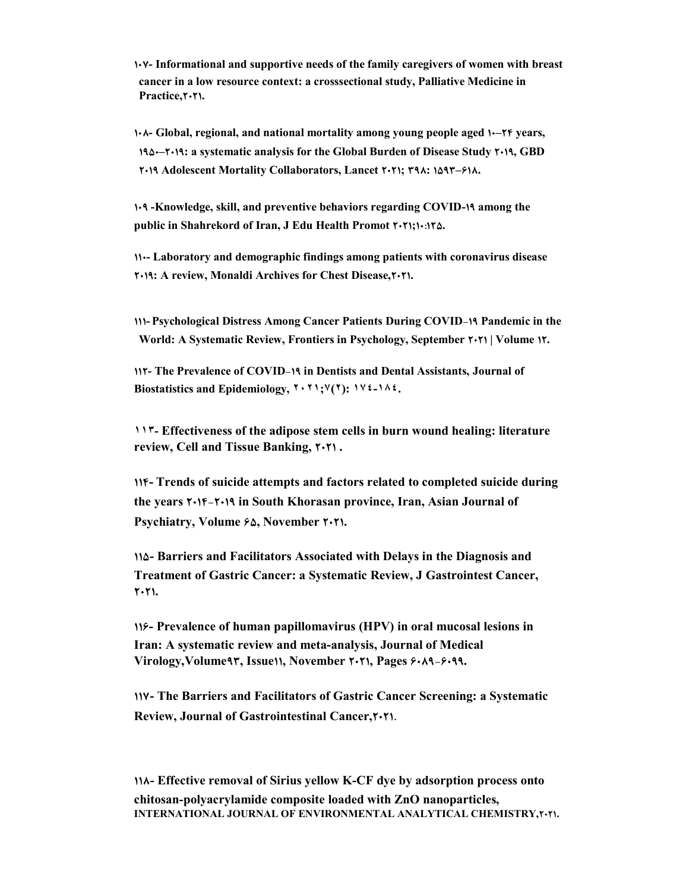**107- Informational and supportive needs of the family caregivers of women with breast cancer in a low resource context: a crosssectional study, Palliative Medicine in**  Practice, $\mathbf{Y} \cdot \mathbf{Y}$ 1.

**108- Global, regional, and national mortality among young people aged 10–24 years, 1950–2019: a systematic analysis for the Global Burden of Disease Study 2019, GBD 2019 Adolescent Mortality Collaborators, Lancet 2021; 398: 1593–618.**

**109 -Knowledge, skill, and preventive behaviors regarding COVID-19 among the public in Shahrekord of Iran, J Edu Health Promot 2021;10:125.**

**110- Laboratory and demographic findings among patients with coronavirus disease 2019: A review, Monaldi Archives for Chest Disease,2021.**

**111- Psychological Distress Among Cancer Patients During COVID-19 Pandemic in the World: A Systematic Review, Frontiers in Psychology, September 2021 | Volume 12.**

**112- The Prevalence of COVID-19 in Dentists and Dental Assistants, Journal of Biostatistics and Epidemiology, ٢٠٢١;٧(٢): ١٧٤-١٨٤.**

**١١٣- Effectiveness of the adipose stem cells in burn wound healing: literature review, Cell and Tissue Banking, 2021 .**

**114- Trends of suicide attempts and factors related to completed suicide during the years 2014-2019 in South Khorasan province, Iran, Asian Journal of Psychiatry, Volume 65, November 2021.**

**115- Barriers and Facilitators Associated with Delays in the Diagnosis and Treatment of Gastric Cancer: a Systematic Review, J Gastrointest Cancer, 2021.**

**116- Prevalence of human papillomavirus (HPV) in oral mucosal lesions in Iran: A systematic review and meta-analysis, Journal of Medical Virology,Volume93, Issue11, November 2021, Pages 6089-6099.**

**117- The Barriers and Facilitators of Gastric Cancer Screening: a Systematic Review, Journal of Gastrointestinal Cancer,2021.**

**118- Effective removal of Sirius yellow K-CF dye by adsorption process onto chitosan-polyacrylamide composite loaded with ZnO nanoparticles, INTERNATIONAL JOURNAL OF ENVIRONMENTAL ANALYTICAL CHEMISTRY,2021.**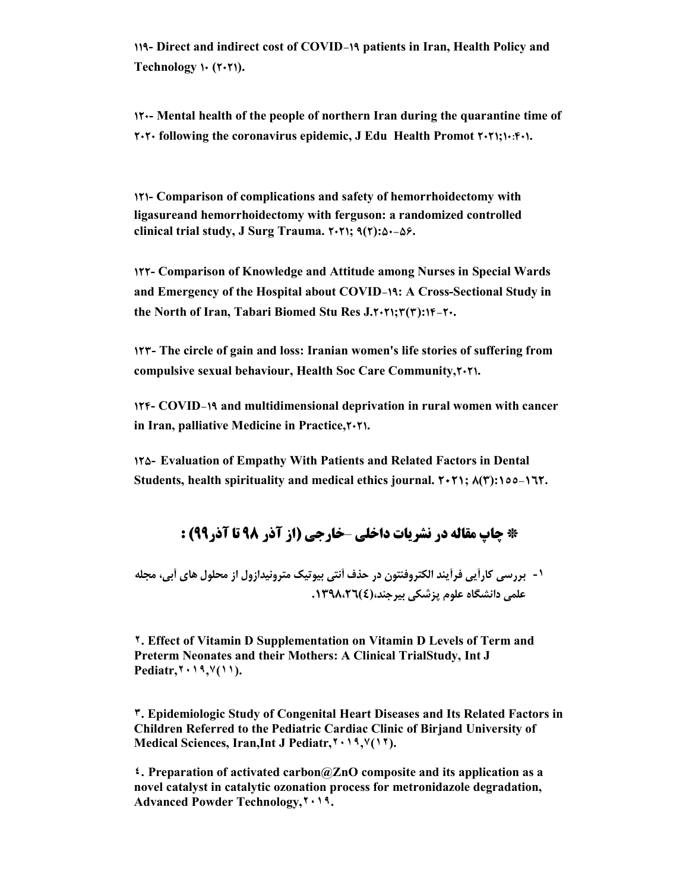**119- Direct and indirect cost of COVID-19 patients in Iran, Health Policy and Technology 10 (2021).**

**120- Mental health of the people of northern Iran during the quarantine time of 2020 following the coronavirus epidemic, J Edu Health Promot 2021;10:401.**

**121- Comparison of complications and safety of hemorrhoidectomy with ligasureand hemorrhoidectomy with ferguson: a randomized controlled clinical trial study, J Surg Trauma. 2021; 9(2):50-56.**

**122- Comparison of Knowledge and Attitude among Nurses in Special Wards and Emergency of the Hospital about COVID-19: A Cross-Sectional Study in the North of Iran, Tabari Biomed Stu Res J.2021;3(3):14-20.**

**123- The circle of gain and loss: Iranian women's life stories of suffering from compulsive sexual behaviour, Health Soc Care Community,2021.**

**124- COVID-19 and multidimensional deprivation in rural women with cancer in Iran, palliative Medicine in Practice,2021.**

**125- Evaluation of Empathy With Patients and Related Factors in Dental Students, health spirituality and medical ethics journal. 2021; 8(3):155-162.**

# **\* چاپ مقاله در نشریات داخلی** –**خارجی (از آذر 98 تا آذر99) :**

**-١ بررسی کارآیی فرآیند الکتروفنتون در حذف آنتی بیوتیک مترونیدازول از محلول هاي آبی، مجله علمی دانشگاه علوم پزشکی بیرجند،(4).1398،26**

**٢. Effect of Vitamin D Supplementation on Vitamin D Levels of Term and Preterm Neonates and their Mothers: A Clinical TrialStudy, Int J Pediatr,٢٠١٩,٧(١١).**

**٣. Epidemiologic Study of Congenital Heart Diseases and Its Related Factors in Children Referred to the Pediatric Cardiac Clinic of Birjand University of Medical Sciences, Iran,Int J Pediatr,٢٠١٩,٧(١٢).**

**٤. Preparation of activated carbon@ZnO composite and its application as a novel catalyst in catalytic ozonation process for metronidazole degradation, Advanced Powder Technology,٢٠١٩.**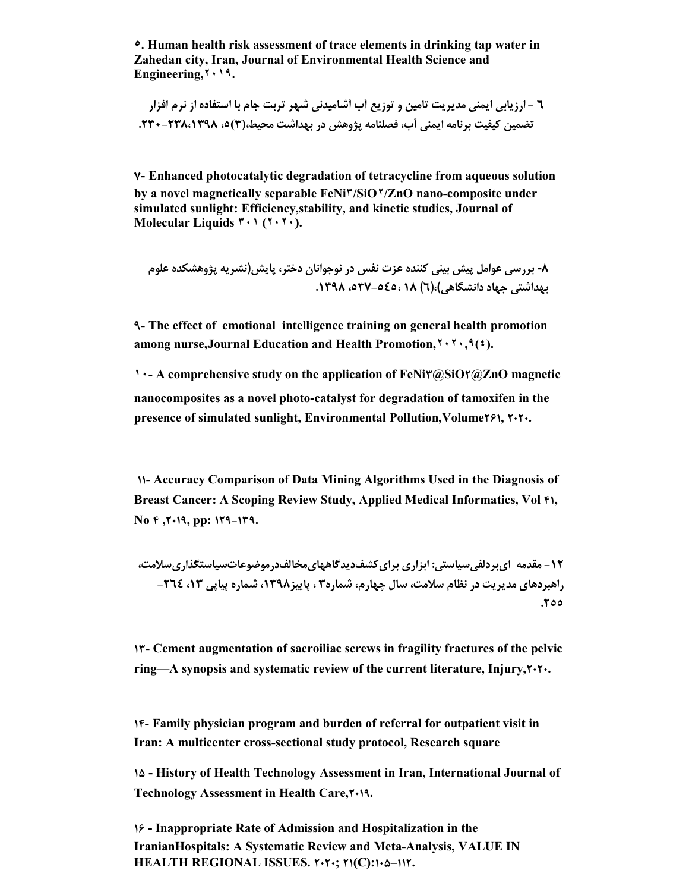**٥. Human health risk assessment of trace elements in drinking tap water in Zahedan city, Iran, Journal of Environmental Health Science and Engineering,٢٠١٩.**

**6 - ارزیابی ایمنی مدیریت تامین و توزیع آب آشامیدنی شهر تربت جام با استفاده از نرم افزار تضمین کیفیت برنامه ایمنى آب، فصلنامه پژوهش در بهداشت محیط،(3)،5 .230-238،1398**

**7- Enhanced photocatalytic degradation of tetracycline from aqueous solution by a novel magnetically separable FeNi٣/SiO٢/ZnO nano-composite under simulated sunlight: Efficiency,stability, and kinetic studies, Journal of Molecular Liquids ٣٠١ (٢٠٢٠).**

**-8 بررسی عوامل پیش بینی کننده عزت نفس در نوجوانان دختر، پایش(نشریه پژوهشکده علوم بهداشتی جهاد دانشگاهی)،(6) 18 ،537-545، .1398**

**9- The effect of emotional intelligence training on general health promotion among nurse,Journal Education and Health Promotion,٢٠٢٠,٩(٤).**

**1. A** comprehensive study on the application of FeNi $\mathbf{r}(\mathbf{a})$ SiO $\mathbf{r}(\mathbf{a})$ ZnO magnetic **nanocomposites as a novel photo-catalyst for degradation of tamoxifen in the presence of simulated sunlight, Environmental Pollution,Volume261, 2020.**

**11- Accuracy Comparison of Data Mining Algorithms Used in the Diagnosis of Breast Cancer: A Scoping Review Study, Applied Medical Informatics, Vol 41, No 4 ,2019, pp: 129-139.**

**-12 مقدمه ايبردلفیسیاستی: ابزاري برايکشفدیدگاههايمخالفدرموضوعاتسیاستگذاريسلامت، راهبردهاي مدیریت در نظام سلامت، سال چهارم، شماره3 ، پاییز،1398 شماره پیاپی ،13 -264 .255**

**13- Cement augmentation of sacroiliac screws in fragility fractures of the pelvic ring—A synopsis and systematic review of the current literature, Injury,2020.**

**14- Family physician program and burden of referral for outpatient visit in Iran: A multicenter cross-sectional study protocol, Research square**

**15 - History of Health Technology Assessment in Iran, International Journal of Technology Assessment in Health Care,2019.**

**16 - Inappropriate Rate of Admission and Hospitalization in the IranianHospitals: A Systematic Review and Meta-Analysis, VALUE IN HEALTH REGIONAL ISSUES. 2020; 21(C):105–112.**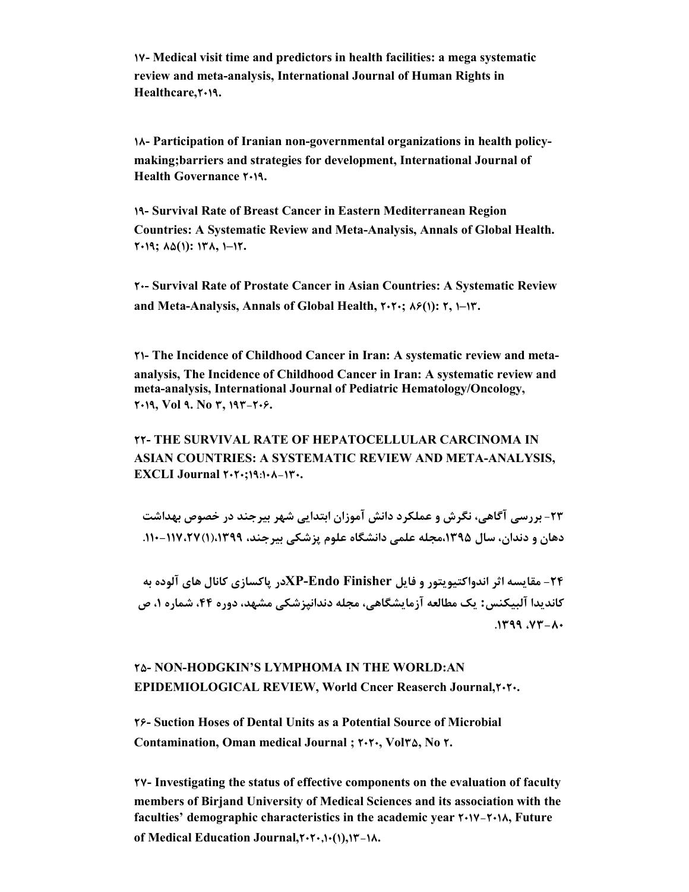**17- Medical visit time and predictors in health facilities: a mega systematic review and meta-analysis, International Journal of Human Rights in Healthcare,2019.**

**18- Participation of Iranian non-governmental organizations in health policymaking;barriers and strategies for development, International Journal of Health Governance**  $\uparrow \cdot \uparrow \uparrow$ **.** 

**19- Survival Rate of Breast Cancer in Eastern Mediterranean Region Countries: A Systematic Review and Meta-Analysis, Annals of Global Health. 2019; 85(1): 138, 1–12.**

**20- Survival Rate of Prostate Cancer in Asian Countries: A Systematic Review and Meta-Analysis, Annals of Global Health, 2020; 86(1): 2, 1–13.**

**21- The Incidence of Childhood Cancer in Iran: A systematic review and metaanalysis, The Incidence of Childhood Cancer in Iran: A systematic review and meta-analysis, International Journal of Pediatric Hematology/Oncology, 2019, Vol 9. No 3, 193-206.**

**22- THE SURVIVAL RATE OF HEPATOCELLULAR CARCINOMA IN ASIAN COUNTRIES: A SYSTEMATIC REVIEW AND META-ANALYSIS, EXCLI Journal 2020;19:108-130.**

**-23 بررسی آگاهی، نگرش و عملکرد دانش آموزان ابتدایی شهر بیرجند در خصوص بهداشت دهان و دندان، سال ،1395مجله علمی دانشگاه علوم پزشکی بیرجند، ،1399(1)-117،27 .110** 

**-24 مقایسه اثر اندواکتیویتور و فایل Finisher Endo-XPدر پاکسازي کانال هاي آلوده به کاندیدا آلبیکنس: یک مطالعه آزمایشگاهی، مجله دندانپزشکی مشهد، دوره ،44 شماره ،1 ص .1399 ،73 -80**

#### **25- NON-HODGKIN'S LYMPHOMA IN THE WORLD:AN EPIDEMIOLOGICAL REVIEW, World Cncer Reaserch Journal,2020.**

**26- Suction Hoses of Dental Units as a Potential Source of Microbial Contamination, Oman medical Journal ; 2020, Vol35, No 2.**

**27- Investigating the status of effective components on the evaluation of faculty members of Birjand University of Medical Sciences and its association with the faculties' demographic characteristics in the academic year 2017-2018, Future of Medical Education Journal,2020,10(1),13-18.**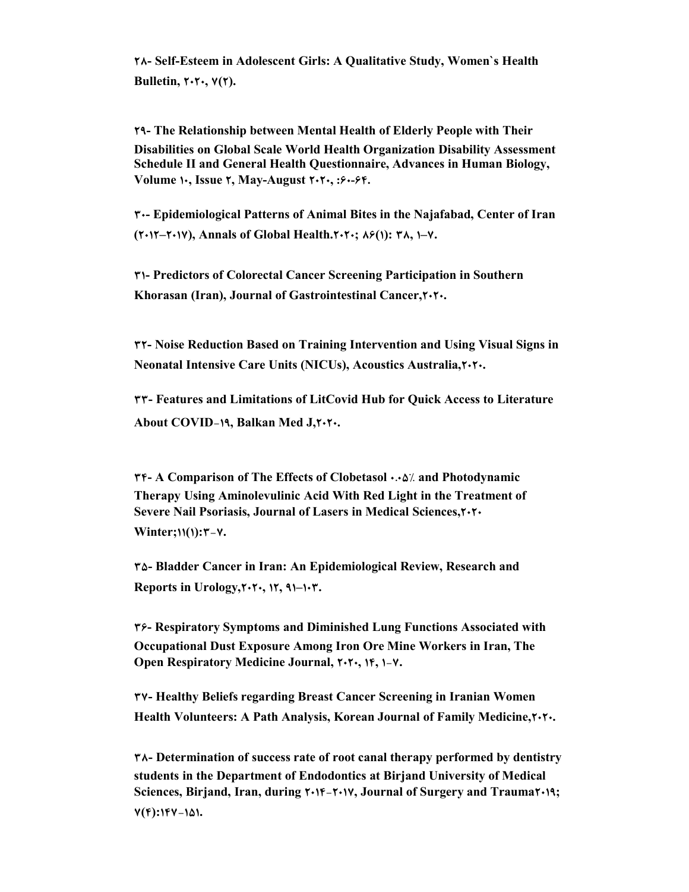**28- Self-Esteem in Adolescent Girls: A Qualitative Study, Women`s Health Bulletin, 2020, 7(2).**

**29- The Relationship between Mental Health of Elderly People with Their Disabilities on Global Scale World Health Organization Disability Assessment Schedule II and General Health Questionnaire, Advances in Human Biology, Volume 10, Issue 2, May-August 2020, :60-64.**

**30- Epidemiological Patterns of Animal Bites in the Najafabad, Center of Iran (2012–2017), Annals of Global Health.2020; 86(1): 38, 1–7.**

**31- Predictors of Colorectal Cancer Screening Participation in Southern Khorasan (Iran), Journal of Gastrointestinal Cancer,2020.**

**32- Noise Reduction Based on Training Intervention and Using Visual Signs in Neonatal Intensive Care Units (NICUs), Acoustics Australia,2020.**

**33- Features and Limitations of LitCovid Hub for Quick Access to Literature About COVID-19, Balkan Med J,2020.**

**34- A Comparison of The Effects of Clobetasol 0.05% and Photodynamic Therapy Using Aminolevulinic Acid With Red Light in the Treatment of Severe Nail Psoriasis, Journal of Lasers in Medical Sciences,2020 Winter;11(1):3-7.**

**35- Bladder Cancer in Iran: An Epidemiological Review, Research and Reports in Urology,2020, 12, 91–103.**

**36- Respiratory Symptoms and Diminished Lung Functions Associated with Occupational Dust Exposure Among Iron Ore Mine Workers in Iran, The Open Respiratory Medicine Journal, 2020, 14, 1-7.**

**37- Healthy Beliefs regarding Breast Cancer Screening in Iranian Women Health Volunteers: A Path Analysis, Korean Journal of Family Medicine,2020.**

**38- Determination of success rate of root canal therapy performed by dentistry students in the Department of Endodontics at Birjand University of Medical Sciences, Birjand, Iran, during 2014-2017, Journal of Surgery and Trauma2019; 7(4):147-151.**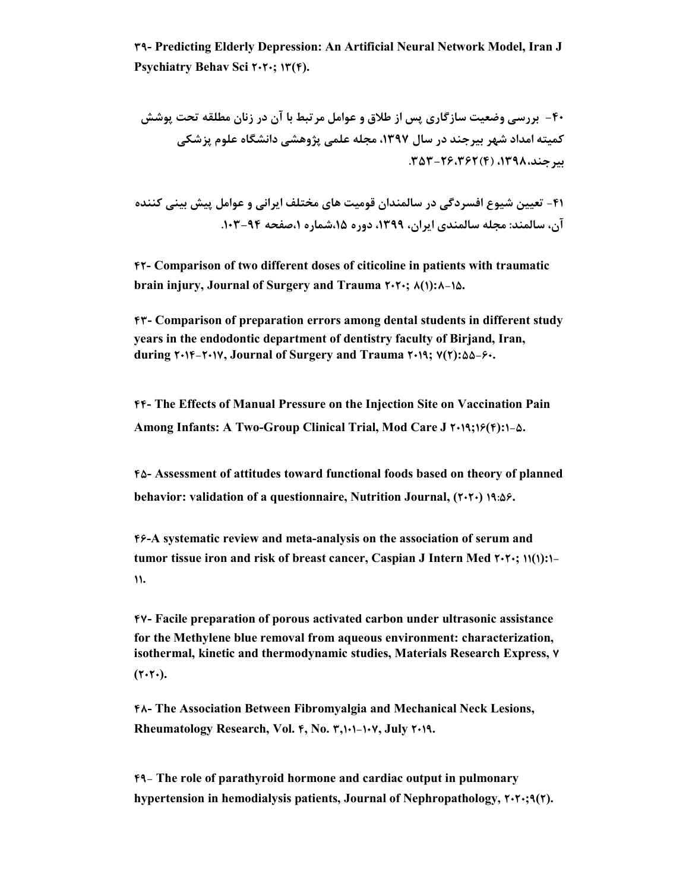**39- Predicting Elderly Depression: An Artificial Neural Network Model, Iran J Psychiatry Behav Sci 2020; 13(4).**

**-40 بررسی وضعیت سازگاري پس از طلاق و عوامل مرتبط با آن در زنان مطلقه تحت پوشش کمیته امداد شهر بیرجند در سال ،1397 مجله علمی پژوهشی دانشگاه علوم پزشکی بیرجند،1398، (4)-26،362 .353** 

**-41 تعیین شیوع افسردگی در سالمندان قومیت هاي مختلف ایرانی و عوامل پیش بینی کننده آن، سالمند: مجله سالمندي ایران، ،1399 دوره ،15شماره ،1صفحه .103-94** 

**42- Comparison of two different doses of citicoline in patients with traumatic brain injury, Journal of Surgery and Trauma 2020; 8(1):8-15.**

**43- Comparison of preparation errors among dental students in different study years in the endodontic department of dentistry faculty of Birjand, Iran, during 2014-2017, Journal of Surgery and Trauma 2019; 7(2):55-60.**

**44- The Effects of Manual Pressure on the Injection Site on Vaccination Pain Among Infants: A Two-Group Clinical Trial, Mod Care J 2019;16(4):1-5.**

**45- Assessment of attitudes toward functional foods based on theory of planned behavior: validation of a questionnaire, Nutrition Journal, (7.7.) 19:08.** 

**46-A systematic review and meta-analysis on the association of serum and tumor tissue iron and risk of breast cancer, Caspian J Intern Med 2020; 11(1):1- 11.**

**47- Facile preparation of porous activated carbon under ultrasonic assistance for the Methylene blue removal from aqueous environment: characterization, isothermal, kinetic and thermodynamic studies, Materials Research Express, 7**  $(7.7)$ .

**48- The Association Between Fibromyalgia and Mechanical Neck Lesions, Rheumatology Research, Vol. 4, No. 3,101-107, July 2019.**

**49- The role of parathyroid hormone and cardiac output in pulmonary hypertension in hemodialysis patients, Journal of Nephropathology, 2020;9(2).**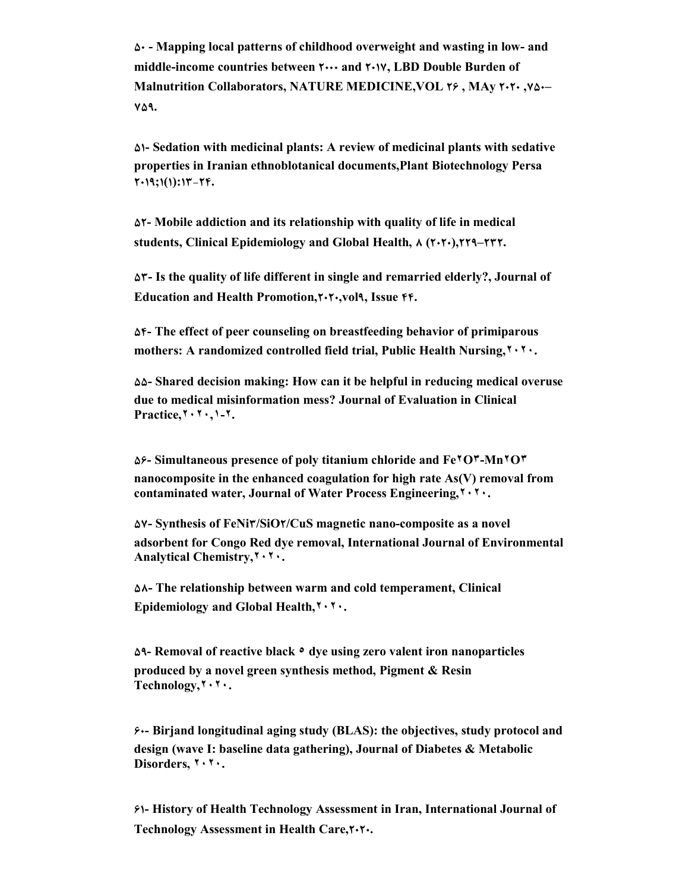**50 - Mapping local patterns of childhood overweight and wasting in low- and middle-income countries between 2000 and 2017, LBD Double Burden of Malnutrition Collaborators, NATURE MEDICINE,VOL 26 , MAy 2020 ,750– 759.**

**51- Sedation with medicinal plants: A review of medicinal plants with sedative properties in Iranian ethnoblotanical documents,Plant Biotechnology Persa 2019;1(1):13-24.**

**52- Mobile addiction and its relationship with quality of life in medical students, Clinical Epidemiology and Global Health, 8 (2020),229–232.**

**53- Is the quality of life different in single and remarried elderly?, Journal of Education and Health Promotion,2020,vol9, Issue 44.**

**54- The effect of peer counseling on breastfeeding behavior of primiparous mothers: A randomized controlled field trial, Public Health Nursing,٢٠٢٠.**

**55- Shared decision making: How can it be helpful in reducing medical overuse due to medical misinformation mess? Journal of Evaluation in Clinical Practice,٢٠٢٠,١-٢.**

**56- Simultaneous presence of poly titanium chloride and Fe٢O٣-Mn٢O٣ nanocomposite in the enhanced coagulation for high rate As(V) removal from contaminated water, Journal of Water Process Engineering,٢٠٢٠.**

**57- Synthesis of FeNi3/SiO2/CuS magnetic nano-composite as a novel adsorbent for Congo Red dye removal, International Journal of Environmental Analytical Chemistry,٢٠٢٠.**

**58- The relationship between warm and cold temperament, Clinical Epidemiology and Global Health,٢٠٢٠.**

**59- Removal of reactive black ٥ dye using zero valent iron nanoparticles produced by a novel green synthesis method, Pigment & Resin Technology,٢٠٢٠.**

**60- Birjand longitudinal aging study (BLAS): the objectives, study protocol and design (wave I: baseline data gathering), Journal of Diabetes & Metabolic Disorders, ٢٠٢٠.**

**61- History of Health Technology Assessment in Iran, International Journal of Technology Assessment in Health Care,2020.**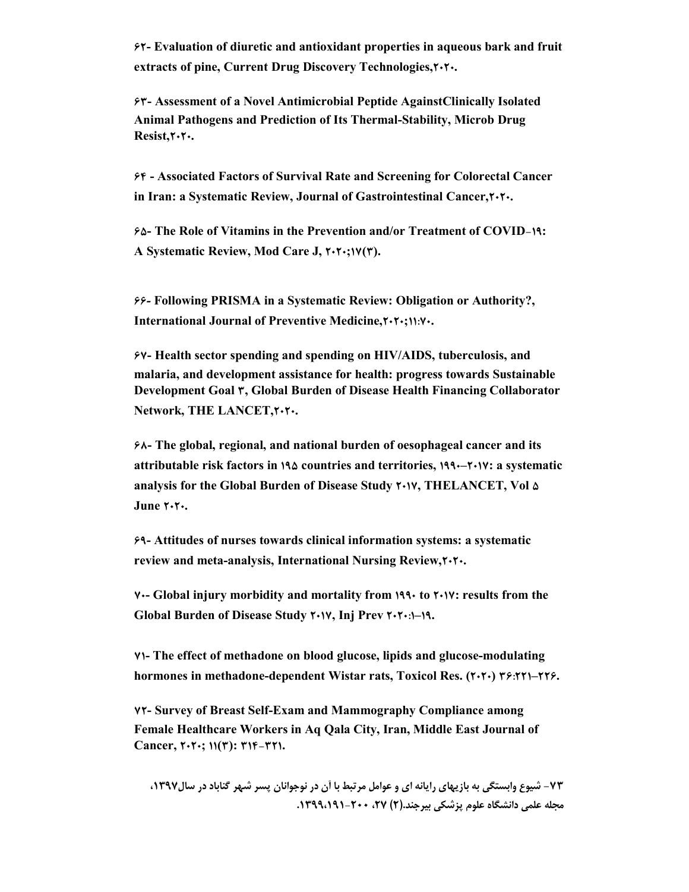**62- Evaluation of diuretic and antioxidant properties in aqueous bark and fruit extracts of pine, Current Drug Discovery Technologies,2020.**

**63- Assessment of a Novel Antimicrobial Peptide AgainstClinically Isolated Animal Pathogens and Prediction of Its Thermal-Stability, Microb Drug Resist,2020.**

**64 - Associated Factors of Survival Rate and Screening for Colorectal Cancer in Iran: a Systematic Review, Journal of Gastrointestinal Cancer,2020.**

**65- The Role of Vitamins in the Prevention and/or Treatment of COVID-19: A Systematic Review, Mod Care J, 2020;17(3).**

**66***-* **Following PRISMA in a Systematic Review: Obligation or Authority?, International Journal of Preventive Medicine,2020;11:70.**

**67- Health sector spending and spending on HIV/AIDS, tuberculosis, and malaria, and development assistance for health: progress towards Sustainable Development Goal 3, Global Burden of Disease Health Financing Collaborator Network, THE LANCET,2020.**

**68- The global, regional, and national burden of oesophageal cancer and its attributable risk factors in 195 countries and territories, 1990–2017: a systematic analysis for the Global Burden of Disease Study 2017, THELANCET, Vol 5**  $June 7.7.$ 

**69- Attitudes of nurses towards clinical information systems: a systematic review and meta-analysis, International Nursing Review,2020.**

**70- Global injury morbidity and mortality from 1990 to 2017: results from the Global Burden of Disease Study 2017, Inj Prev 2020:1–19.**

**71- The effect of methadone on blood glucose, lipids and glucose-modulating hormones in methadone-dependent Wistar rats, Toxicol Res. (2020) 36:221–226.**

**72- Survey of Breast Self-Exam and Mammography Compliance among Female Healthcare Workers in Aq Qala City, Iran, Middle East Journal of Cancer, 2020; 11(3): 314-321.**

**-73 شیوع وابستگی به بازیهاي رایانه اي و عوامل مرتبط با آن در نوجوانان پسر شهر گناباد در سال،1397 مجله علمی دانشگاه علوم پزشکی بیرجند.(2) ،27 -200 .1399،191**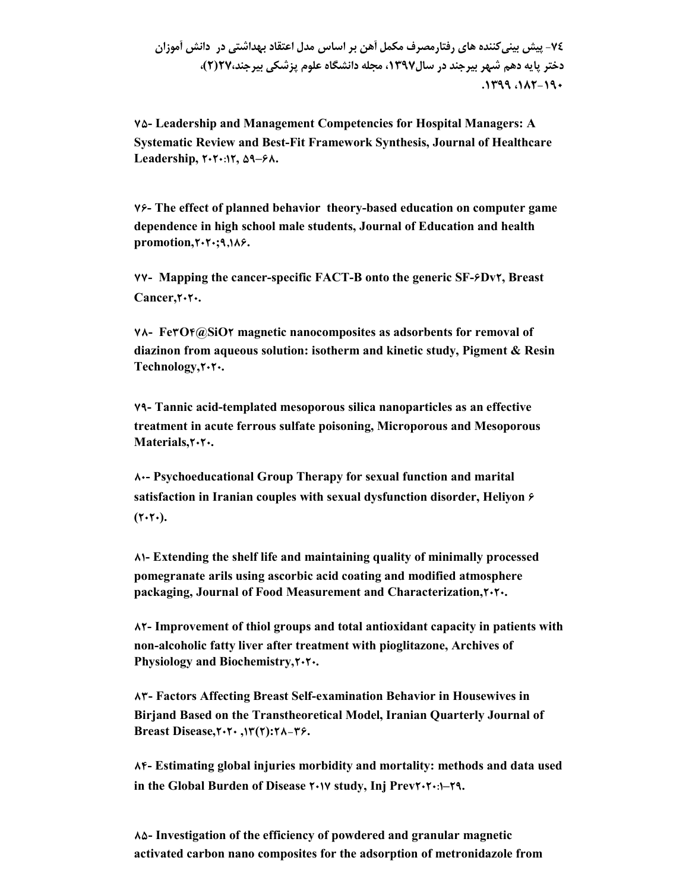### **-74 پیش بینیکننده هاي رفتارمصرف مکمل آهن بر اساس مدل اعتقاد بهداشتی در دانش آموزان دختر پایه دهم شهر بیرجند در سال،1397 مجله دانشگاه علوم پزشکی بیرجند27،(2)، .1399 ،182-190**

**75- Leadership and Management Competencies for Hospital Managers: A Systematic Review and Best-Fit Framework Synthesis, Journal of Healthcare Leadership, 2020:12, 59–68.**

**76- The effect of planned behavior theory-based education on computer game dependence in high school male students, Journal of Education and health promotion,2020;9,186.**

**77- Mapping the cancer-specific FACT-B onto the generic SF-6Dv2, Breast**  Cancer, $\mathbf{Y} \cdot \mathbf{Y} \cdot \mathbf{A}$ 

**78- Fe3O4@SiO2 magnetic nanocomposites as adsorbents for removal of diazinon from aqueous solution: isotherm and kinetic study, Pigment & Resin Technology,2020.**

**79- Tannic acid-templated mesoporous silica nanoparticles as an effective treatment in acute ferrous sulfate poisoning, Microporous and Mesoporous Materials,2020.**

**80- Psychoeducational Group Therapy for sexual function and marital satisfaction in Iranian couples with sexual dysfunction disorder, Heliyon 6**  $(7.7)$ .

**81- Extending the shelf life and maintaining quality of minimally processed pomegranate arils using ascorbic acid coating and modified atmosphere packaging, Journal of Food Measurement and Characterization,2020.**

**82- Improvement of thiol groups and total antioxidant capacity in patients with non-alcoholic fatty liver after treatment with pioglitazone, Archives of**  Physiology and Biochemistry, $\mathbf{Y} \cdot \mathbf{Y} \cdot \mathbf{A}$ 

**83- Factors Affecting Breast Self-examination Behavior in Housewives in Birjand Based on the Transtheoretical Model, Iranian Quarterly Journal of Breast Disease,2020 ,13(2):28-36.**

**84- Estimating global injuries morbidity and mortality: methods and data used in the Global Burden of Disease 2017 study, Inj Prev2020:1–29.**

**85- Investigation of the efficiency of powdered and granular magnetic activated carbon nano composites for the adsorption of metronidazole from**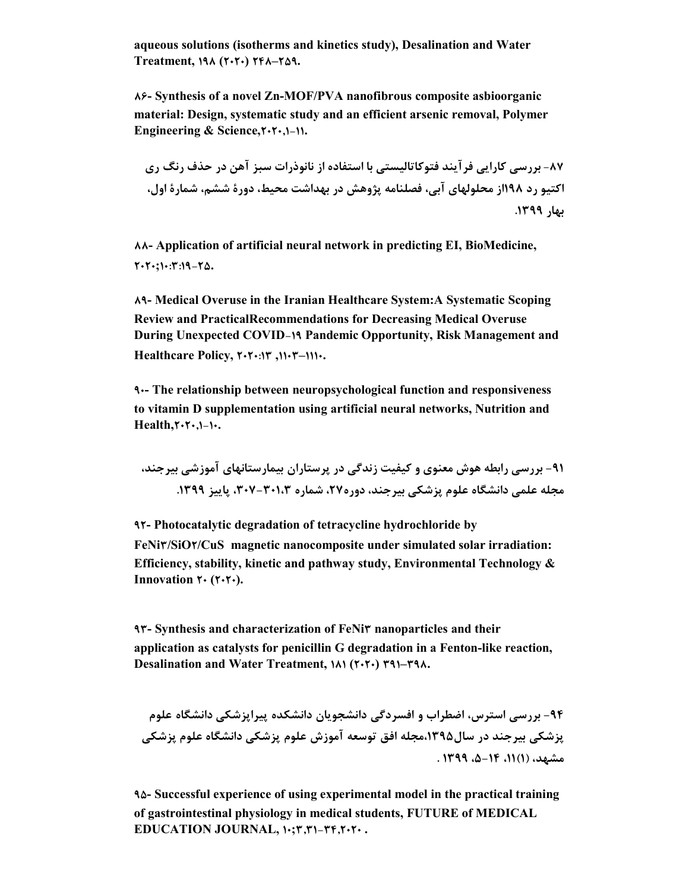**aqueous solutions (isotherms and kinetics study), Desalination and Water Treatment, 198 (2020) 248–259.**

**86- Synthesis of a novel Zn-MOF/PVA nanofibrous composite asbioorganic material: Design, systematic study and an efficient arsenic removal, Polymer**  Engineering & Science, $\mathbf{Y} \cdot \mathbf{Y} \cdot \mathbf{1} - \mathbf{1} \cdot \mathbf{1}$ .

**-87 بررسى کارایى فرآیند فتوکاتالیستى با استفاده از نانوذرات سبز آهن در حذف رنگ رى اکتیو رد 198از محلولهاى آبى، فصلنامه پژوهش در بهداشت محیط، دورة ششم، شمارة اول، بهار .1399** 

**88- Application of artificial neural network in predicting EI, BioMedicine, 2020;10:3:19-25.**

**89- Medical Overuse in the Iranian Healthcare System:A Systematic Scoping Review and PracticalRecommendations for Decreasing Medical Overuse During Unexpected COVID-19 Pandemic Opportunity, Risk Management and Healthcare Policy, 2020:13 ,1103–1110.**

**90- The relationship between neuropsychological function and responsiveness to vitamin D supplementation using artificial neural networks, Nutrition and Health,2020,1-10.**

**-91 بررسی رابطه هوش معنوي و کیفیت زندگی در پرستاران بیمارستانهاي آموزشی بیرجند، مجله علمی دانشگاه علوم پزشکی بیرجند، دوره،27 شماره -301،3 ،307 پاییز .1399**

**92- Photocatalytic degradation of tetracycline hydrochloride by FeNi3/SiO2/CuS magnetic nanocomposite under simulated solar irradiation: Efficiency, stability, kinetic and pathway study, Environmental Technology &**  Innovation  $\mathbf{Y} \cdot (\mathbf{Y} \cdot \mathbf{Y} \cdot).$ 

**93- Synthesis and characterization of FeNi3 nanoparticles and their application as catalysts for penicillin G degradation in a Fenton-like reaction, Desalination and Water Treatment, 181 (2020) 391–398.**

**-94 بررسی استرس، اضطراب و افسردگی دانشجویان دانشکده پیراپزشکی دانشگاه علوم پزشکی بیرجند در سال،1395مجله افق توسعه آموزش علوم پزشکی دانشگاه علوم پزشکی مشهد، (1)،11 ،5-14 1399 .**

**95- Successful experience of using experimental model in the practical training of gastrointestinal physiology in medical students, FUTURE of MEDICAL EDUCATION JOURNAL, 10;3,31-34,2020 .**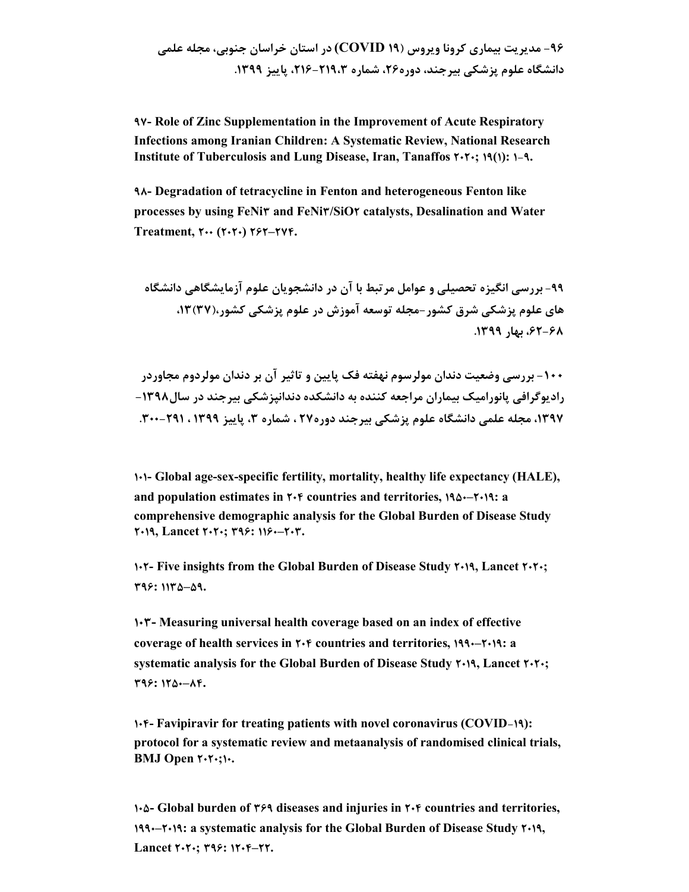**97- Role of Zinc Supplementation in the Improvement of Acute Respiratory Infections among Iranian Children: A Systematic Review, National Research Institute of Tuberculosis and Lung Disease, Iran, Tanaffos 2020; 19(1): 1-9.**

**98- Degradation of tetracycline in Fenton and heterogeneous Fenton like processes by using FeNi3 and FeNi3/SiO2 catalysts, Desalination and Water Treatment, 200 (2020) 262–274.**

**-99 بررسی انگیزه تحصیلی و عوامل مرتبط با آن در دانشجویان علوم آزمایشگاهی دانشگاه هاي علوم پزشکی شرق کشور- مجله توسعه آموزش در علوم پزشکی کشور،(37)،13 ،62-68 بهار .1399** 

**-100 بررسی وضعیت دندان مولرسوم نهفته فک پایین و تاثیر آن بر دندان مولردوم مجاوردر رادیوگرافی پانورامیک بیماران مراجعه کننده به دانشکده دندانپزشکی بیرجند در سال-1398 ،1397 مجله علمی دانشگاه علوم پزشکی بیرجند دوره27 ، شماره ،3 پاییز 1399 ، -291 .300**

**101- Global age-sex-specific fertility, mortality, healthy life expectancy (HALE), and population estimates in 204 countries and territories, 1950–2019: a comprehensive demographic analysis for the Global Burden of Disease Study 2019, Lancet 2020; 396: 1160–203.**

**102- Five insights from the Global Burden of Disease Study 2019, Lancet 2020; 396: 1135–59.**

**103- Measuring universal health coverage based on an index of effective coverage of health services in 204 countries and territories, 1990–2019: a systematic analysis for the Global Burden of Disease Study 2019, Lancet 2020; 396: 1250–84.**

**104- Favipiravir for treating patients with novel coronavirus (COVID-19): protocol for a systematic review and metaanalysis of randomised clinical trials, BMJ Open 2020;10.**

**105- Global burden of 369 diseases and injuries in 204 countries and territories, 1990–2019: a systematic analysis for the Global Burden of Disease Study 2019, Lancet 2020; 396: 1204–22.**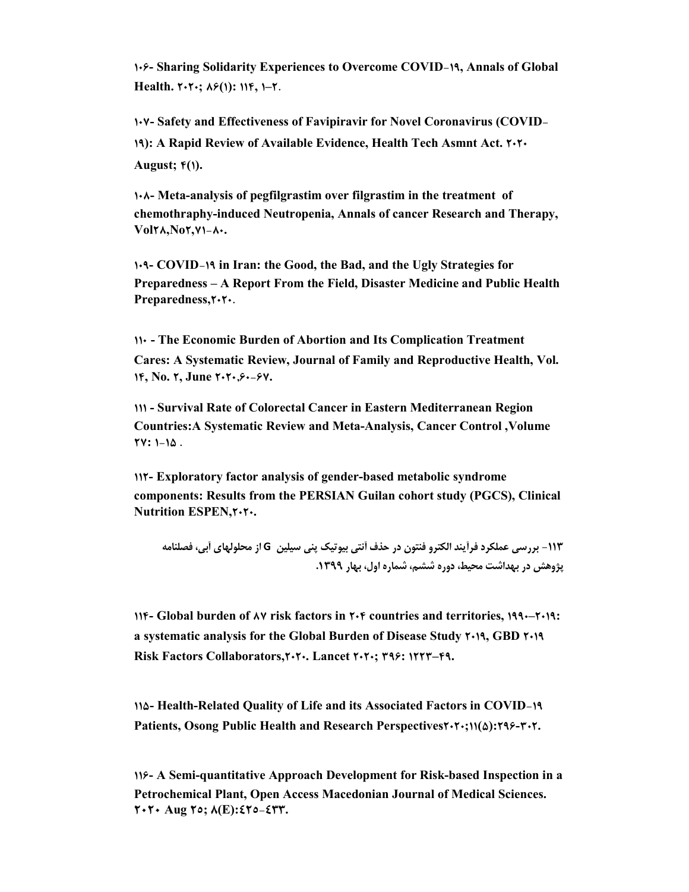**106- Sharing Solidarity Experiences to Overcome COVID-19, Annals of Global Health. 2020; 86(1): 114, 1–2.**

**107- Safety and Effectiveness of Favipiravir for Novel Coronavirus (COVID-19): A Rapid Review of Available Evidence, Health Tech Asmnt Act. 2020 August; 4(1).**

**108- Meta-analysis of pegfilgrastim over filgrastim in the treatment of chemothraphy-induced Neutropenia, Annals of cancer Research and Therapy, Vol28,No2,71-80.**

**109- COVID-19 in Iran: the Good, the Bad, and the Ugly Strategies for Preparedness – A Report From the Field, Disaster Medicine and Public Health**  Preparedness, $\mathbf{Y} \cdot \mathbf{Y} \cdot$ .

**110 - The Economic Burden of Abortion and Its Complication Treatment Cares: A Systematic Review, Journal of Family and Reproductive Health, Vol. 14, No. 2, June 2020,60-67.**

**111 - Survival Rate of Colorectal Cancer in Eastern Mediterranean Region Countries:A Systematic Review and Meta-Analysis, Cancer Control ,Volume 27: 1-15 .**

**112- Exploratory factor analysis of gender-based metabolic syndrome components: Results from the PERSIAN Guilan cohort study (PGCS), Clinical Nutrition ESPEN, 7.7.** 

**-113 بررسى عملکرد فرآیند الکترو فنتون در حذف آنتی بیوتیک پنی سیلین G از محلولهاى آبى، فصلنامه پژوهش در بهداشت محیط، دوره ششم، شماره اول، بهار .1399**

**114- Global burden of 87 risk factors in 204 countries and territories, 1990–2019: a systematic analysis for the Global Burden of Disease Study 2019, GBD 2019 Risk Factors Collaborators,2020. Lancet 2020; 396: 1223–49.**

**115- Health-Related Quality of Life and its Associated Factors in COVID-19 Patients, Osong Public Health and Research Perspectives2020;11(5):296-302.**

**116- A Semi-quantitative Approach Development for Risk-based Inspection in a Petrochemical Plant, Open Access Macedonian Journal of Medical Sciences. 2020 Aug 25; 8(E):425-433.**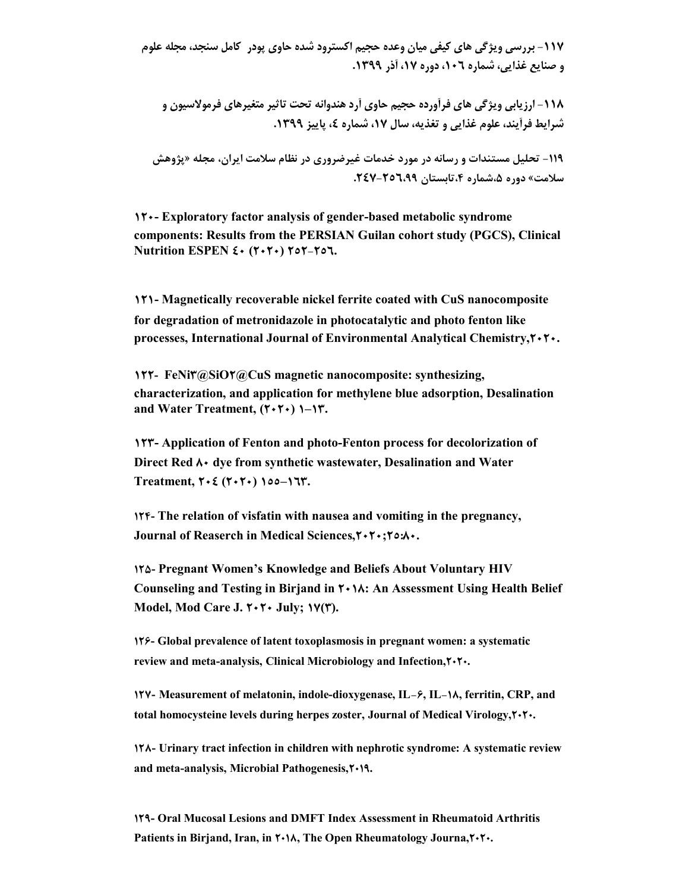**-117 بررسی ویژگی هاي کیفی میان وعده حجیم اکسترود شده حاوي پودر کامل سنجد، مجله علوم و صنایع غذایی، شماره ،106 دوره ،17 آذر .1399** 

**-118 ارزیابی ویژگی هاي فرآورده حجیم حاوي آرد هندوانه تحت تاثیر متغیرهاي فرمولاسیون و شرایط فرآیند، علوم غذایی و تغذیه، سال ،17 شماره ،4 پاییز .1399** 

**-119 تحلیل مستندات و رسانه در مورد خدمات غیرضروري در نظام سلامت ایران، مجله «پژوهش سلامت» دوره ،5شماره ،4تابستان .247-256،99** 

**120- Exploratory factor analysis of gender-based metabolic syndrome components: Results from the PERSIAN Guilan cohort study (PGCS), Clinical Nutrition ESPEN 40 (2020) 252-256.**

**121- Magnetically recoverable nickel ferrite coated with CuS nanocomposite for degradation of metronidazole in photocatalytic and photo fenton like processes, International Journal of Environmental Analytical Chemistry,2020.**

**122- FeNi3@SiO2@CuS magnetic nanocomposite: synthesizing, characterization, and application for methylene blue adsorption, Desalination and Water Treatment, (2020) 1–13.**

**123- Application of Fenton and photo-Fenton process for decolorization of Direct Red**  $\lambda$  **· dye from synthetic wastewater, Desalination and Water Treatment, 204 (2020) 155–163.**

**124- The relation of visfatin with nausea and vomiting in the pregnancy, Journal of Reaserch in Medical Sciences,2020;25:80.**

**125- Pregnant Women's Knowledge and Beliefs About Voluntary HIV Counseling and Testing in Birjand in 2018: An Assessment Using Health Belief Model, Mod Care J. 2020 July; 17(3).**

**126- Global prevalence of latent toxoplasmosis in pregnant women: a systematic review and meta-analysis, Clinical Microbiology and Infection,2020.**

**127- Measurement of melatonin, indole-dioxygenase, IL-6, IL-18, ferritin, CRP, and total homocysteine levels during herpes zoster, Journal of Medical Virology,2020.**

**128- Urinary tract infection in children with nephrotic syndrome: A systematic review and meta-analysis, Microbial Pathogenesis,2019.**

**129- Oral Mucosal Lesions and DMFT Index Assessment in Rheumatoid Arthritis Patients in Birjand, Iran, in**  $\uparrow \cdot \uparrow \wedge$ **, The Open Rheumatology Journa,**  $\uparrow \cdot \uparrow \cdot$ **.**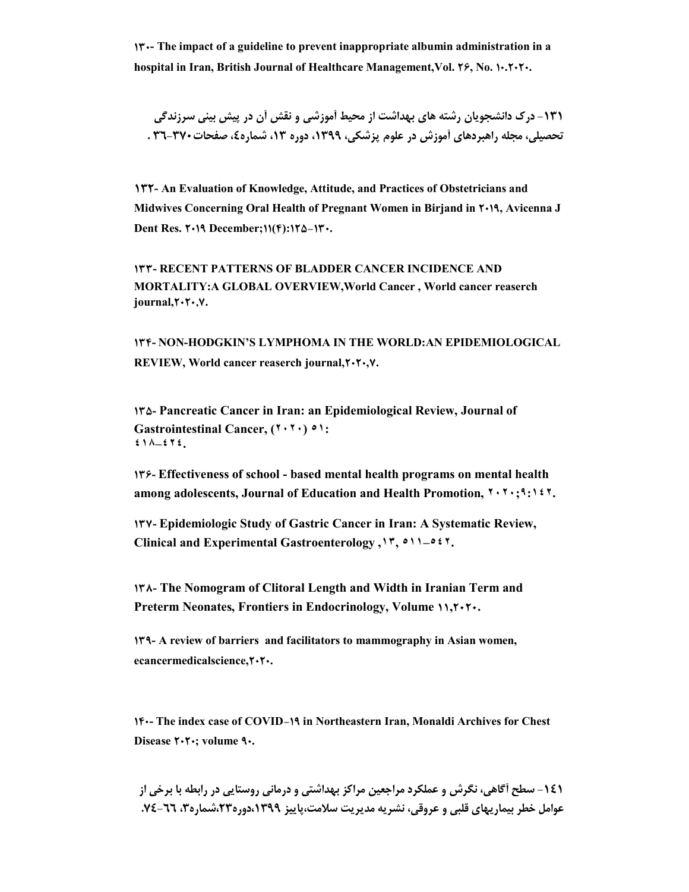**130- The impact of a guideline to prevent inappropriate albumin administration in a hospital in Iran, British Journal of Healthcare Management,Vol. 26, No. 10.2020.**

**-131 درك دانشجویان رشته هاي بهداشت از محیط آموزشی و نقش آن در پیش بینی سرزندگی تحصیلی، مجله راهبردهای آموزش در علوم پزشکی، ۱۳۹۹، دوره ۱۳، شماره٤، صفحات370-31 .** 

**132- An Evaluation of Knowledge, Attitude, and Practices of Obstetricians and Midwives Concerning Oral Health of Pregnant Women in Birjand in 2019, Avicenna J Dent Res. 2019 December;11(4):125-130.**

**133- RECENT PATTERNS OF BLADDER CANCER INCIDENCE AND MORTALITY:A GLOBAL OVERVIEW,World Cancer , World cancer reaserch journal,2020,7.**

**134- NON-HODGKIN'S LYMPHOMA IN THE WORLD:AN EPIDEMIOLOGICAL REVIEW, World cancer reaserch journal,2020,7.**

**135- Pancreatic Cancer in Iran: an Epidemiological Review, Journal of Gastrointestinal Cancer, (٢٠٢٠) ٥١: ٤١٨–٤٢٤.**

**136- Effectiveness of school - based mental health programs on mental health among adolescents, Journal of Education and Health Promotion, ٢٠٢٠;٩:١٤٢.**

**137- Epidemiologic Study of Gastric Cancer in Iran: A Systematic Review, Clinical and Experimental Gastroenterology ,١٣, ٥١١–٥٤٢.**

**138- The Nomogram of Clitoral Length and Width in Iranian Term and Preterm Neonates, Frontiers in Endocrinology, Volume 11,2020.**

**139- A review of barriers and facilitators to mammography in Asian women, ecancermedicalscience,2020.**

**140- The index case of COVID-19 in Northeastern Iran, Monaldi Archives for Chest Disease 2020; volume 90.**

**-141 سطح آگاهی، نگرش و عملکرد مراجعین مراکز بهداشتی و درمانی روستایی در رابطه با برخی از عوامل خطر بیماریهاي قلبی و عروقی، نشریه مدیریت سلامت،پاییز ،1399دوره،23شماره،3 .74-66**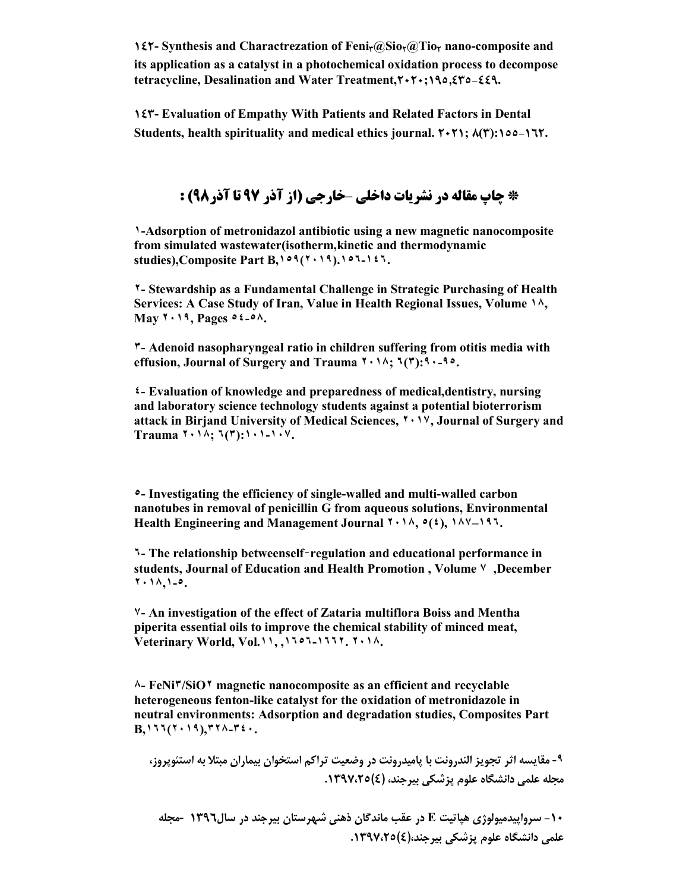**142- Synthesis and Charactrezation of Feni3@Sio2@Tio<sup>2</sup> nano-composite and its application as a catalyst in a photochemical oxidation process to decompose tetracycline, Desalination and Water Treatment,2020;195,435-449.**

**143- Evaluation of Empathy With Patients and Related Factors in Dental Students, health spirituality and medical ethics journal. 2021; 8(3):155-162.**

## **\* چاپ مقاله در نشریات داخلی** –**خارجی (از آذر 97 تا آذر98) :**

**١-Adsorption of metronidazol antibiotic using a new magnetic nanocomposite from simulated wastewater(isotherm,kinetic and thermodynamic studies),Composite Part B,١٥٩(٢٠١٩).١٥٦-١٤٦.**

**٢- Stewardship as a Fundamental Challenge in Strategic Purchasing of Health Services: A Case Study of Iran, Value in Health Regional Issues, Volume ١٨, May ٢٠١٩, Pages ٥٤-٥٨.**

**٣- Adenoid nasopharyngeal ratio in children suffering from otitis media with effusion, Journal of Surgery and Trauma ٢٠١٨; ٦(٣):٩٠-٩٥.**

**٤- Evaluation of knowledge and preparedness of medical,dentistry, nursing and laboratory science technology students against a potential bioterrorism attack in Birjand University of Medical Sciences, ٢٠١٧, Journal of Surgery and Trauma ٢٠١٨; ٦(٣):١٠١-١٠٧.**

**٥- Investigating the efficiency of single-walled and multi-walled carbon nanotubes in removal of penicillin G from aqueous solutions, Environmental Health Engineering and Management Journal ٢٠١٨, ٥(٤), ١٨٧–١٩٦.**

**٦- The relationship betweenself**‑**regulation and educational performance in students, Journal of Education and Health Promotion , Volume ٧ ,December ٢٠١٨,١-٥.**

**٧- An investigation of the effect of Zataria multiflora Boiss and Mentha piperita essential oils to improve the chemical stability of minced meat, Veterinary World, Vol.١١, ,١٦٥٦-١٦٦٢. ٢٠١٨.**

**٨- FeNi٣/SiO٢ magnetic nanocomposite as an efficient and recyclable heterogeneous fenton-like catalyst for the oxidation of metronidazole in neutral environments: Adsorption and degradation studies, Composites Part B,١٦٦(٢٠١٩),٣٢٨-٣٤٠.**

**-٩ مقایسه اثر تجویز الندرونت با پامیدرونت در وضعیت تراکم استخوان بیماران مبتلا به استئوپروز، مجله علمی دانشگاه علوم پزشکی بیرجند، (4).1397،25** 

**-10 سرواپیدمیولوژي هپاتیت E در عقب ماندگان ذهنی شهرستان بیرجند در سال1396 -مجله علمی دانشگاه علوم پزشکی بیرجند،(4).1397،25**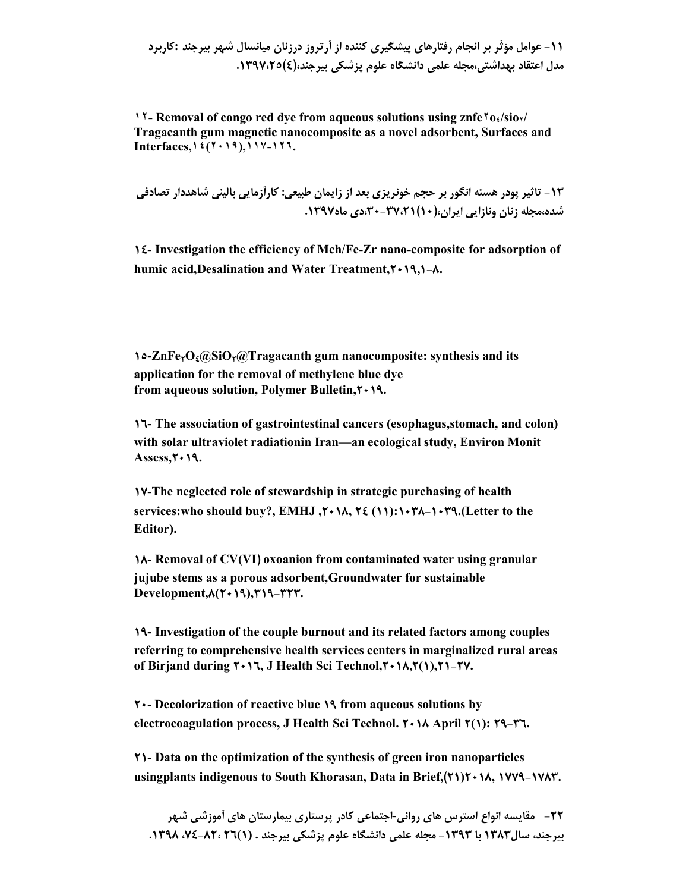**-11 عوامل مؤثّر بر انجام رفتارهاي پیشگیري کننده از آرتروز درزنان میانسال شهر بیرجند :کاربرد مدل اعتقاد بهداشتی،مجله علمی دانشگاه علوم پزشکی بیرجند،(4).1397،25**

**17- Removal of congo red dye from aqueous solutions using znfe**  $\text{To} \cdot \text{/sio} \cdot \text{/}$ **Tragacanth gum magnetic nanocomposite as a novel adsorbent, Surfaces and Interfaces,١٤(٢٠١٩),١١٧-١٢٦.**

**-13 تاثیر پودر هسته انگور بر حجم خونریزي بعد از زایمان طبیعی: کارآزمایی بالینی شاهددار تصادفی شده،مجله زنان ونازایی ایران،(10)،30-37،21دي ماه.1397** 

**14- Investigation the efficiency of Mch/Fe-Zr nano-composite for adsorption of humic acid,Desalination and Water Treatment,2019,1-8.**

**15-ZnFe2O4@SiO2@Tragacanth gum nanocomposite: synthesis and its application for the removal of methylene blue dye from aqueous solution, Polymer Bulletin,2019.**

**16- The association of gastrointestinal cancers (esophagus,stomach, and colon) with solar ultraviolet radiationin Iran—an ecological study, Environ Monit**  Assess,  $\uparrow \uparrow \uparrow \uparrow$ 

**17-The neglected role of stewardship in strategic purchasing of health services:who should buy?, EMHJ ,2018, 24 (11):1038-1039.(Letter to the Editor).**

**18- Removal of CV(VI) oxoanion from contaminated water using granular jujube stems as a porous adsorbent,Groundwater for sustainable Development,8(2019),319-323.**

**19- Investigation of the couple burnout and its related factors among couples referring to comprehensive health services centers in marginalized rural areas of Birjand during 2016, J Health Sci Technol,2018,2(1),21-27.**

**20- Decolorization of reactive blue 19 from aqueous solutions by electrocoagulation process, J Health Sci Technol. 2018 April 2(1): 29-36.**

**21- Data on the optimization of the synthesis of green iron nanoparticles usingplants indigenous to South Khorasan, Data in Brief,(21)2018, 1779-1783.**

**-22 مقایسه انواع استرس هاي روانی-اجتماعی کادر پرستاري بیمارستان هاي آموزشی شهر بیرجند، سال1383 با -1393 مجله علمی دانشگاه علوم پزشکی بیرجند . (1)26 ،74-82، .1398**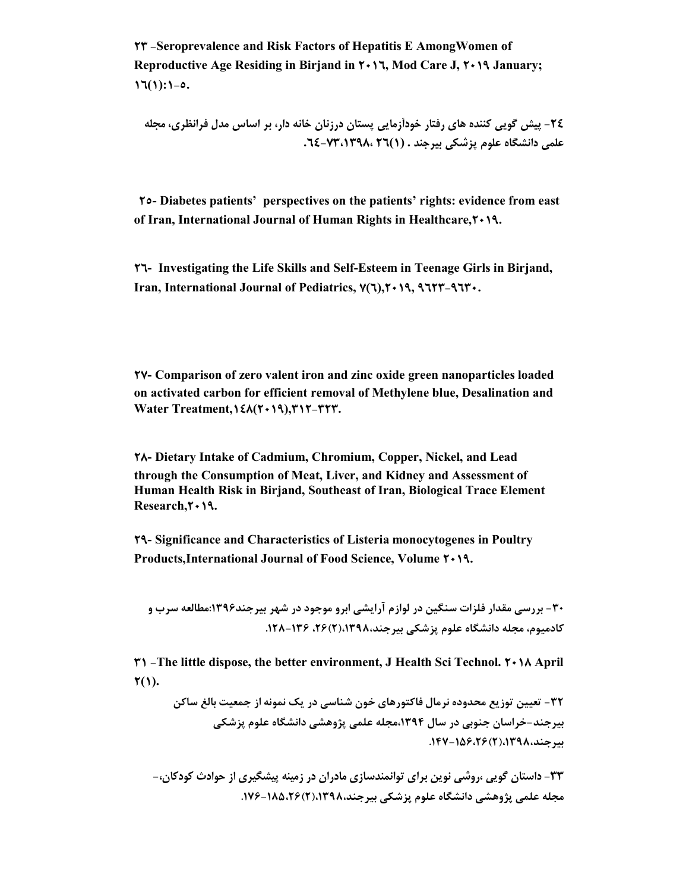**23 -Seroprevalence and Risk Factors of Hepatitis E AmongWomen of Reproductive Age Residing in Birjand in 2016, Mod Care J, 2019 January;**   $17(1):1-0.$ 

**-24 پیش گویی کننده هاي رفتار خودآزمایی پستان درزنان خانه دار، بر اساس مدل فرانظري، مجله علمی دانشگاه علوم پزشکی بیرجند . (1)26 -73،1398، .64** 

**25- Diabetes patients' perspectives on the patients' rights: evidence from east of Iran, International Journal of Human Rights in Healthcare,2019.**

**26- Investigating the Life Skills and Self-Esteem in Teenage Girls in Birjand, Iran, International Journal of Pediatrics, 7(6),2019, 9623-9630.**

**27- Comparison of zero valent iron and zinc oxide green nanoparticles loaded on activated carbon for efficient removal of Methylene blue, Desalination and Water Treatment,148(2019),312-323.**

**28- Dietary Intake of Cadmium, Chromium, Copper, Nickel, and Lead through the Consumption of Meat, Liver, and Kidney and Assessment of Human Health Risk in Birjand, Southeast of Iran, Biological Trace Element Research,2019.**

**29- Significance and Characteristics of Listeria monocytogenes in Poultry Products,International Journal of Food Science, Volume 2019.**

**-30 بررسی مقدار فلزات سنگین در لوازم آرایشی ابرو موجود در شهر بیرجند:1396مطالعه سرب و کادمیوم، مجله دانشگاه علوم پزشکی بیرجند،1398،(2)،26 .128-136**

**31 -The little dispose, the better environment, J Health Sci Technol. 2018 April**  $\mathbf{Y}(1)$ .

**-32 تعیین توزیع محدوده نرمال فاکتورهاي خون شناسی در یک نمونه از جمعیت بالغ ساکن بیرجند-خراسان جنوبی در سال ،1394مجله علمی پژوهشی دانشگاه علوم پزشکی بیرجند،1398،(2).147-156،26** 

**-33 داستان گویی ،روشی نوین براي توانمندسازي مادران در زمینه پیشگیري از حوادث کودکان-، مجله علمی پژوهشی دانشگاه علوم پزشکی بیرجند،1398،(2).176-185،26**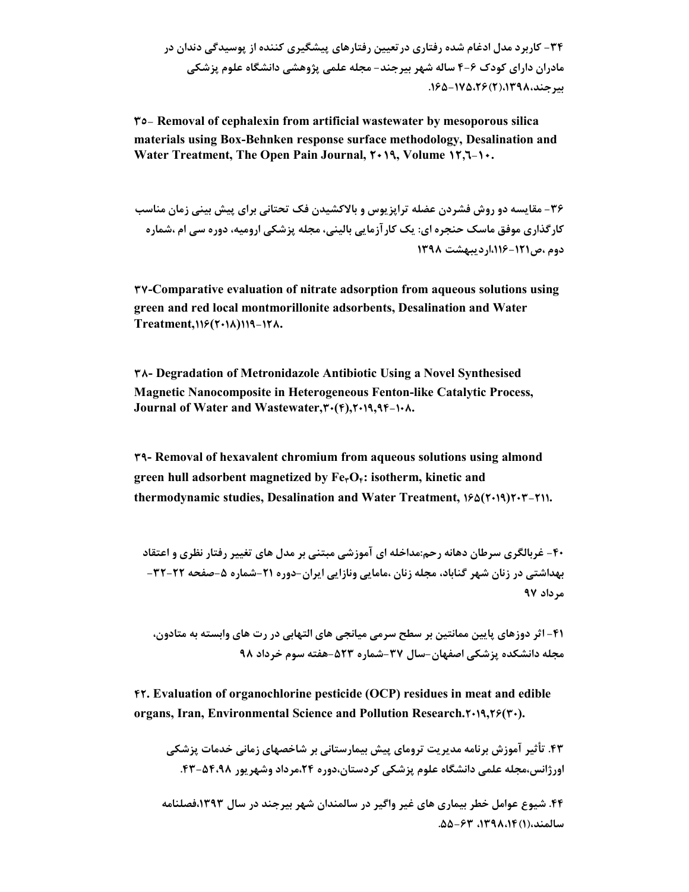**35- Removal of cephalexin from artificial wastewater by mesoporous silica materials using Box-Behnken response surface methodology, Desalination and Water Treatment, The Open Pain Journal, 2019, Volume 12,6-10.**

**-36 مقایسه دو روش فشردن عضله تراپزیوس و بالاکشیدن فک تحتانی براي پیش بینی زمان مناسب کارگذاري موفق ماسک حنجره اي: یک کارآزمایی بالینی، مجله پزشکی ارومیه، دوره سی ام ،شماره دوم ،ص-121 ،116اردیبهشت 1398**

**37-Comparative evaluation of nitrate adsorption from aqueous solutions using green and red local montmorillonite adsorbents, Desalination and Water Treatment,116(2018)119-128.**

**38- Degradation of Metronidazole Antibiotic Using a Novel Synthesised Magnetic Nanocomposite in Heterogeneous Fenton-like Catalytic Process, Journal of Water and Wastewater,30(4),2019,94-108.**

**39- Removal of hexavalent chromium from aqueous solutions using almond green hull adsorbent magnetized by Fe3O4: isotherm, kinetic and thermodynamic studies, Desalination and Water Treatment, 165(2019)203-211.**

**-40 غربالگري سرطان دهانه رحم:مداخله اي آموزشی مبتنی بر مدل هاي تغییر رفتار نظري و اعتقاد بهداشتی در زنان شهر گناباد، مجله زنان ،مامایی ونازایی ایران-دوره -21 شماره -5 صفحه -22 -32 مرداد 97** 

**-41 اثر دوزهاي پایین ممانتین بر سطح سرمی میانجی هاي التهابی در رت هاي وابسته به متادون، مجله دانشکده پزشکی اصفهان-سال -37 شماره -523 هفته سوم خرداد 98** 

**42. Evaluation of organochlorine pesticide (OCP) residues in meat and edible organs, Iran, Environmental Science and Pollution Research.2019,26(30).**

**.43 تأثیر آموزش برنامه مدیریت تروماي پیش بیمارستانی بر شاخصهاي زمانی خدمات پزشکی اورژانس،مجله علمی دانشگاه علوم پزشکی کردستان،دوره ،24مرداد وشهریور .43-54،98**

**.44 شیوع عوامل خطر بیماري هاي غیر واگیر در سالمندان شهر بیرجند در سال ،1393فصلنامه سالمند،(1)،1398،14 -63 .55**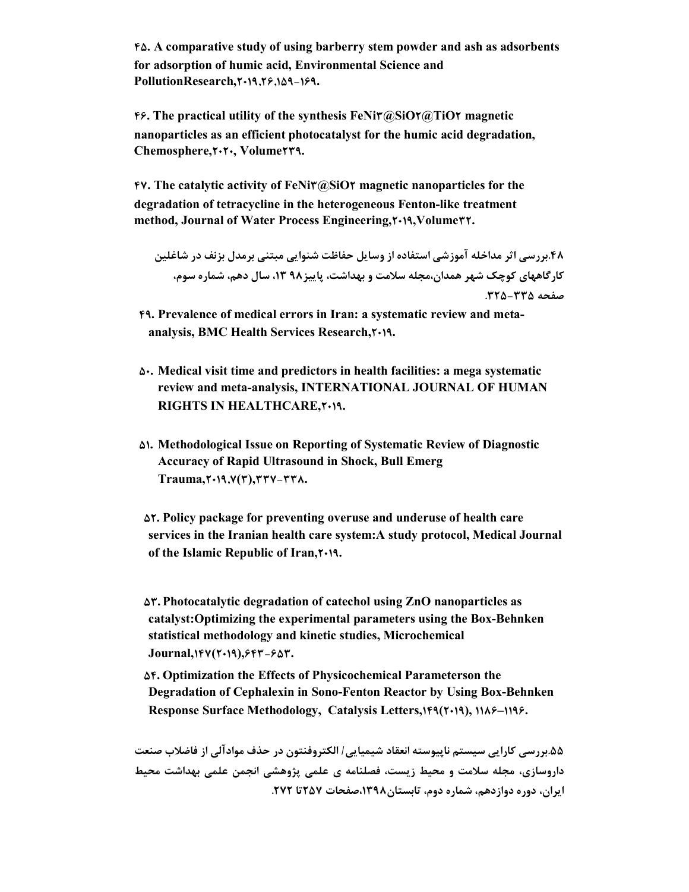**45. A comparative study of using barberry stem powder and ash as adsorbents for adsorption of humic acid, Environmental Science and PollutionResearch,2019,26,159-169.**

**46. The practical utility of the synthesis FeNi3@SiO2@TiO2 magnetic nanoparticles as an efficient photocatalyst for the humic acid degradation, Chemosphere,2020, Volume239.**

**47. The catalytic activity of FeNi3@SiO2 magnetic nanoparticles for the degradation of tetracycline in the heterogeneous Fenton-like treatment method, Journal of Water Process Engineering,2019,Volume32.**

```
.48بررسی اثر مداخله آموزشی استفاده از وسایل حفاظت شنوایی مبتنی برمدل بزنف در شاغلین 
کارگاههاي کوچک شهر همدان،مجله سلامت و بهداشت، پاییز98 ،13 سال دهم، شماره سوم، 
                                                               صفحه -335 .325
```
- **49. Prevalence of medical errors in Iran: a systematic review and metaanalysis, BMC Health Services Research,2019.**
- **50. Medical visit time and predictors in health facilities: a mega systematic review and meta-analysis, INTERNATIONAL JOURNAL OF HUMAN RIGHTS IN HEALTHCARE,2019.**
- **51. Methodological Issue on Reporting of Systematic Review of Diagnostic Accuracy of Rapid Ultrasound in Shock, Bull Emerg Trauma,2019,7(3),337-338.**

**52. Policy package for preventing overuse and underuse of health care services in the Iranian health care system:A study protocol, Medical Journal of the Islamic Republic of Iran,2019.**

**53. Photocatalytic degradation of catechol using ZnO nanoparticles as catalyst:Optimizing the experimental parameters using the Box-Behnken statistical methodology and kinetic studies, Microchemical Journal,147(2019),643-653.**

**54. Optimization the Effects of Physicochemical Parameterson the Degradation of Cephalexin in Sono-Fenton Reactor by Using Box-Behnken Response Surface Methodology, Catalysis Letters,149(2019), 1186–1196.**

**.55بررسی کارایی سیستم ناپیوسته انعقاد شیمیایی/ الکتروفنتون در حذف موادآلی از فاضلاب صنعت داروسازي، مجله سلامت و محیط زیست، فصلنامه ي علمی پژوهشی انجمن علمی بهداشت محیط ایران، دوره دوازدهم، شماره دوم، تابستان،1398صفحات 257تا .272**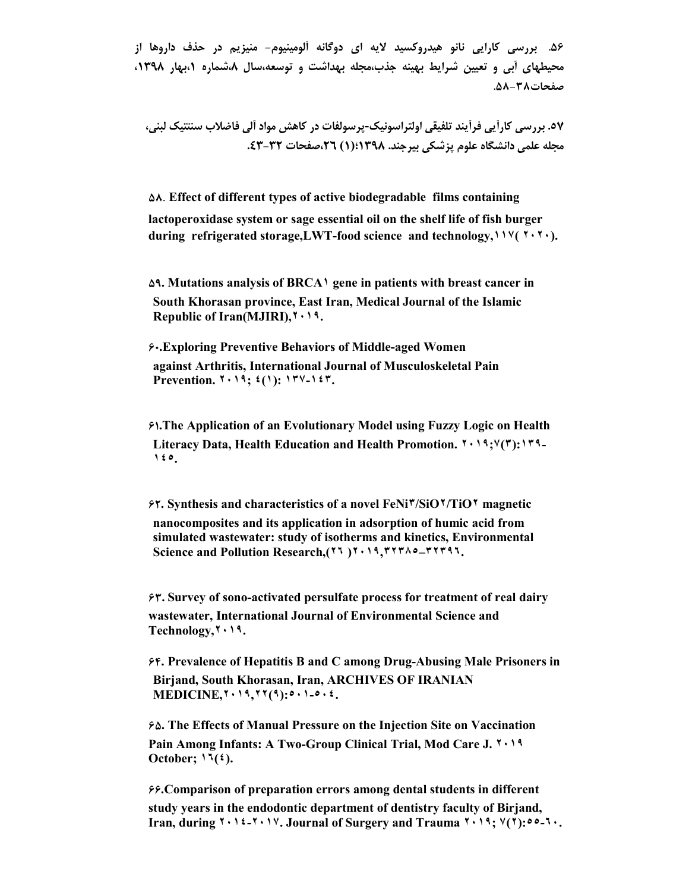**.56 بررسی کارایی نانو هیدروکسید لایه اي دوگانه آلومینیوم- منیزیم در حذف داروها از محیطهاي آبی و تعیین شرایط بهینه جذب،مجله بهداشت و توسعه،سال ،8شماره ،1بهار ،1398 صفحات-38 .58** 

**.57 بررسی کارآیی فرآیند تلفیقی اولتراسونیک-پرسولفات در کاهش مواد آلی فاضلاب سنتتیک لبنی، مجله علمی دانشگاه علوم پزشکی بیرجند. 1398؛(1) ،26صفحات -32 .43** 

**58**. **Effect of different types of active biodegradable films containing lactoperoxidase system or sage essential oil on the shelf life of fish burger during refrigerated storage,LWT-food science and technology,١١٧( ٢٠٢٠).**

**59. Mutations analysis of BRCA١ gene in patients with breast cancer in South Khorasan province, East Iran, Medical Journal of the Islamic Republic of Iran(MJIRI),٢٠١٩.**

**60.Exploring Preventive Behaviors of Middle-aged Women against Arthritis, International Journal of Musculoskeletal Pain Prevention. ٢٠١٩; ٤(١): ١٣٧-١٤٣.**

**61.The Application of an Evolutionary Model using Fuzzy Logic on Health Literacy Data, Health Education and Health Promotion. ٢٠١٩;٧(٣):١٣٩- ١٤٥.**

**62. Synthesis and characteristics of a novel FeNi٣/SiO٢/TiO٢ magnetic nanocomposites and its application in adsorption of humic acid from simulated wastewater: study of isotherms and kinetics, Environmental Science and Pollution Research,(٢٦ )٢٠١٩,٣٢٣٨٥–٣٢٣٩٦.**

**63. Survey of sono-activated persulfate process for treatment of real dairy wastewater, International Journal of Environmental Science and Technology,٢٠١٩.**

**64. Prevalence of Hepatitis B and C among Drug-Abusing Male Prisoners in Birjand, South Khorasan, Iran, ARCHIVES OF IRANIAN MEDICINE,٢٠١٩,٢٢(٩):٥٠١-٥٠٤.**

**65. The Effects of Manual Pressure on the Injection Site on Vaccination Pain Among Infants: A Two-Group Clinical Trial, Mod Care J. ٢٠١٩ October; ١٦(٤).**

**66.Comparison of preparation errors among dental students in different study years in the endodontic department of dentistry faculty of Birjand, Iran, during ٢٠١٤-٢٠١٧. Journal of Surgery and Trauma ٢٠١٩; ٧(٢):٥٥-٦٠.**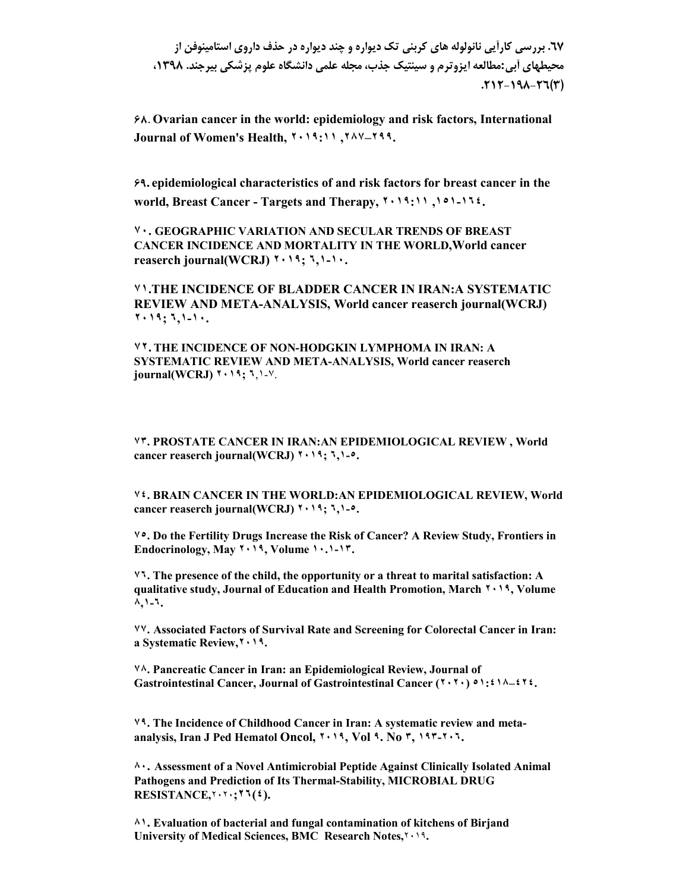**.67 بررسی کارآیی نانولوله هاي کربنی تک دیواره و چند دیواره در حذف داروي استامینوفن از محیطهاي آبی:مطالعه ایزوترم و سینتیک جذب، مجله علمی دانشگاه علوم پزشکی بیرجند. ،1398 .212 -198 -26(3)**

**68. Ovarian cancer in the world: epidemiology and risk factors, International Journal of Women's Health, ٢٠١٩:١١ ,٢٨٧–٢٩٩.**

**69. epidemiological characteristics of and risk factors for breast cancer in the world, Breast Cancer - Targets and Therapy, ٢٠١٩:١١ ,١٥١-١٦٤.**

**٧٠. GEOGRAPHIC VARIATION AND SECULAR TRENDS OF BREAST CANCER INCIDENCE AND MORTALITY IN THE WORLD,World cancer reaserch journal(WCRJ) ٢٠١٩; ٦,١-١٠.**

**٧١.THE INCIDENCE OF BLADDER CANCER IN IRAN:A SYSTEMATIC REVIEW AND META-ANALYSIS, World cancer reaserch journal(WCRJ) ٢٠١٩; ٦,١-١٠.**

**٧٢. THE INCIDENCE OF NON-HODGKIN LYMPHOMA IN IRAN: A SYSTEMATIC REVIEW AND META-ANALYSIS, World cancer reaserch journal(WCRJ) ٢٠١٩; ٦**,١-٧.

**٧٣. PROSTATE CANCER IN IRAN:AN EPIDEMIOLOGICAL REVIEW , World cancer reaserch journal(WCRJ) ٢٠١٩; ٦,١-٥.**

**٧٤. BRAIN CANCER IN THE WORLD:AN EPIDEMIOLOGICAL REVIEW, World cancer reaserch journal(WCRJ) ٢٠١٩; ٦,١-٥.**

**٧٥. Do the Fertility Drugs Increase the Risk of Cancer? A Review Study, Frontiers in Endocrinology, May ٢٠١٩, Volume ١٠.١-١٣.**

**٧٦. The presence of the child, the opportunity or a threat to marital satisfaction: A qualitative study, Journal of Education and Health Promotion, March ٢٠١٩, Volume ٨,١-٦.**

**٧٧. Associated Factors of Survival Rate and Screening for Colorectal Cancer in Iran: a Systematic Review,٢٠١٩.**

**٧٨. Pancreatic Cancer in Iran: an Epidemiological Review, Journal of Gastrointestinal Cancer, Journal of Gastrointestinal Cancer (٢٠٢٠) ٥١:٤١٨–٤٢٤.**

**٧٩. The Incidence of Childhood Cancer in Iran: A systematic review and metaanalysis, Iran J Ped Hematol Oncol, ٢٠١٩, Vol ٩. No ٣, ١٩٣-٢٠٦.**

**٨٠. Assessment of a Novel Antimicrobial Peptide Against Clinically Isolated Animal Pathogens and Prediction of Its Thermal-Stability, MICROBIAL DRUG RESISTANCE,**٢٠٢٠**;٢٦(٤).**

**٨١. Evaluation of bacterial and fungal contamination of kitchens of Birjand University of Medical Sciences, BMC Research Notes,**٢٠١٩**.**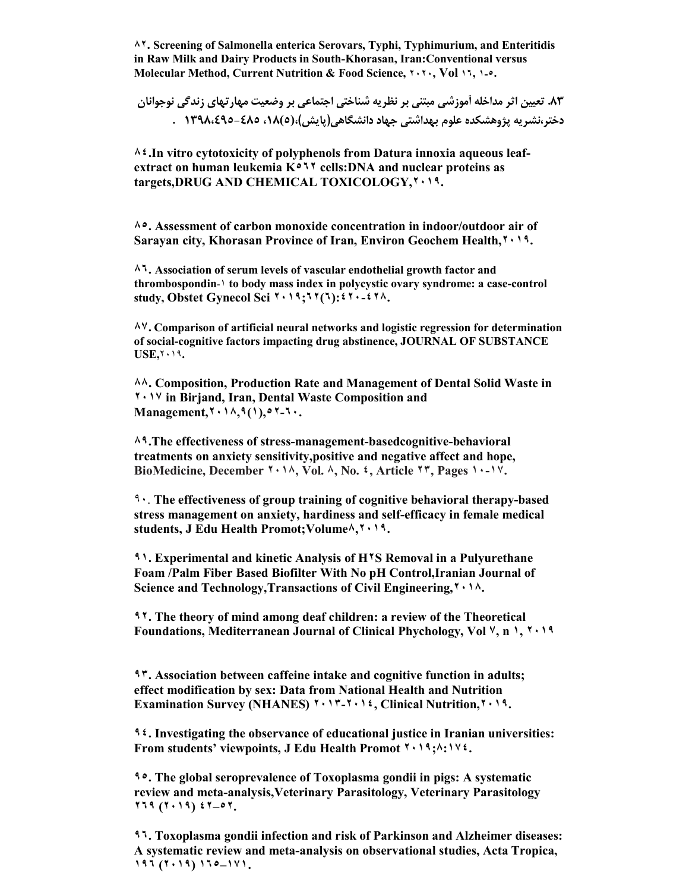**٨٢. Screening of Salmonella enterica Serovars, Typhi, Typhimurium, and Enteritidis in Raw Milk and Dairy Products in South-Khorasan, Iran:Conventional versus Molecular Method, Current Nutrition & Food Science, ٢٠٢٠, Vol ١٦, ١-٥.**

**.83 تعیین اثر مداخله آموزشی مبتنی بر نظریه شناختی اجتماعی بر وضعیت مهارتهاي زندگی نوجوانان دختر،نشریه پژوهشکده علوم بهداشتی جهاد دانشگاهی(پایش)،(5)،18 -485 1398،495 .** 

**٨٤.In vitro cytotoxicity of polyphenols from Datura innoxia aqueous leafextract on human leukemia K٥٦٢ cells:DNA and nuclear proteins as targets,DRUG AND CHEMICAL TOXICOLOGY,٢٠١٩.**

**٨٥. Assessment of carbon monoxide concentration in indoor/outdoor air of Sarayan city, Khorasan Province of Iran, Environ Geochem Health,٢٠١٩.**

**٨٦. Association of serum levels of vascular endothelial growth factor and thrombospondin**-١ **to body mass index in polycystic ovary syndrome: a case-control study, Obstet Gynecol Sci ٢٠١٩;٦٢(٦):٤٢٠-٤٢٨.**

**٨٧. Comparison of artificial neural networks and logistic regression for determination of social-cognitive factors impacting drug abstinence, JOURNAL OF SUBSTANCE USE,**٢٠١٩**.**

**٨٨. Composition, Production Rate and Management of Dental Solid Waste in ٢٠١٧ in Birjand, Iran, Dental Waste Composition and Management,٢٠١٨,٩(١),٥٢-٦٠.**

**٨٩.The effectiveness of stress-management-basedcognitive-behavioral treatments on anxiety sensitivity,positive and negative affect and hope, BioMedicine, December ٢٠١٨, Vol. ٨, No. ٤, Article ٢٣, Pages ١٠-١٧.**

٩٠. **The effectiveness of group training of cognitive behavioral therapy-based stress management on anxiety, hardiness and self-efficacy in female medical students, J Edu Health Promot;Volume٨,٢٠١٩.**

**٩١. Experimental and kinetic Analysis of H٢S Removal in a Pulyurethane Foam /Palm Fiber Based Biofilter With No pH Control,Iranian Journal of Science and Technology,Transactions of Civil Engineering,٢٠١٨.**

**٩٢. The theory of mind among deaf children: a review of the Theoretical Foundations, Mediterranean Journal of Clinical Phychology, Vol ٧, n ١, ٢٠١٩**

**٩٣. Association between caffeine intake and cognitive function in adults; effect modification by sex: Data from National Health and Nutrition Examination Survey (NHANES) ٢٠١٣-٢٠١٤, Clinical Nutrition,٢٠١٩.**

**٩٤. Investigating the observance of educational justice in Iranian universities: From students' viewpoints, J Edu Health Promot ٢٠١٩;٨:١٧٤.**

**٩٥. The global seroprevalence of Toxoplasma gondii in pigs: A systematic review and meta-analysis,Veterinary Parasitology, Veterinary Parasitology ٢٦٩ (٢٠١٩) ٤٢–٥٢.**

**٩٦. Toxoplasma gondii infection and risk of Parkinson and Alzheimer diseases: A systematic review and meta-analysis on observational studies, Acta Tropica, ١٩٦ (٢٠١٩) ١٦٥–١٧١.**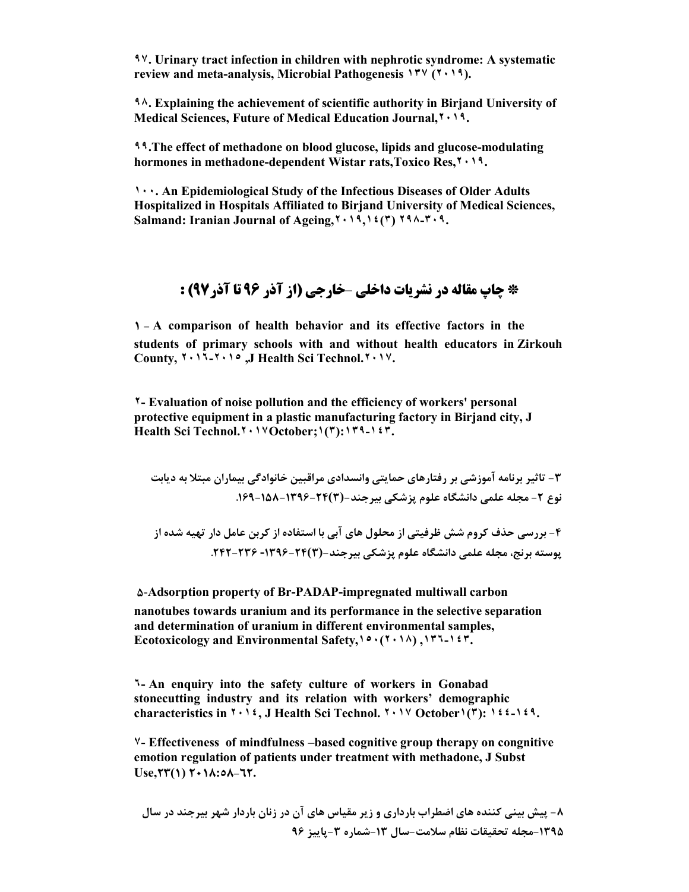**٩٧. Urinary tract infection in children with nephrotic syndrome: A systematic review and meta-analysis, Microbial Pathogenesis ١٣٧ (٢٠١٩).**

**٩٨. Explaining the achievement of scientific authority in Birjand University of Medical Sciences, Future of Medical Education Journal,٢٠١٩.**

**٩٩.The effect of methadone on blood glucose, lipids and glucose-modulating hormones in methadone-dependent Wistar rats,Toxico Res,٢٠١٩.**

**١٠٠. An Epidemiological Study of the Infectious Diseases of Older Adults Hospitalized in Hospitals Affiliated to Birjand University of Medical Sciences, Salmand: Iranian Journal of Ageing,٢٠١٩,١٤(٣) ٢٩٨-٣٠٩.**

#### **\* چاپ مقاله در نشریات داخلی** –**خارجی (از آذر 96 تا آذر97) :**

**1 - A comparison of health behavior and its effective factors in the students of primary schools with and without health educators in Zirkouh County, ٢٠١٦ -٢٠١٥ ,J Health Sci Technol.٢٠١٧.**

**٢- Evaluation of noise pollution and the efficiency of workers' personal protective equipment in a plastic manufacturing factory in Birjand city, J Health Sci Technol.٢٠١٧October;١(٣):١٣٩-١٤٣.**

**-3 تاثیر برنامه آموزشی بر رفتارهاي حمایتی وانسدادي مراقبین خانوادگی بیماران مبتلا به دیابت نوع -2 مجله علمی دانشگاه علوم پزشکی بیرجند-(3)-24 -1396 .169-158** 

**-4 بررسی حذف کروم شش ظرفیتی از محلول هاي آبی با استفاده از کربن عامل دار تهیه شده از پوسته برنج، مجله علمی دانشگاه علوم پزشکی بیرجند-(3)-1396-24 .242-236** 

**5**-**Adsorption property of Br-PADAP-impregnated multiwall carbon nanotubes towards uranium and its performance in the selective separation and determination of uranium in different environmental samples, Ecotoxicology and Environmental Safety,١٥٠(٢٠١٨) ,١٣٦-١٤٣.**

**٦- An enquiry into the safety culture of workers in Gonabad stonecutting industry and its relation with workers' demographic characteristics in ٢٠١٤, J Health Sci Technol. ٢٠١٧ October١(٣): ١٤٤-١٤٩.**

**٧- Effectiveness of mindfulness –based cognitive group therapy on congnitive emotion regulation of patients under treatment with methadone, J Subst Use,23(1) 2018:58-62.**

**-8 پیش بینی کننده هاي اضطراب بارداري و زیر مقیاس هاي آن در زنان باردار شهر بیرجند در سال -1395مجله تحقیقات نظام سلامت- سال -13 شماره -3پاییز 96**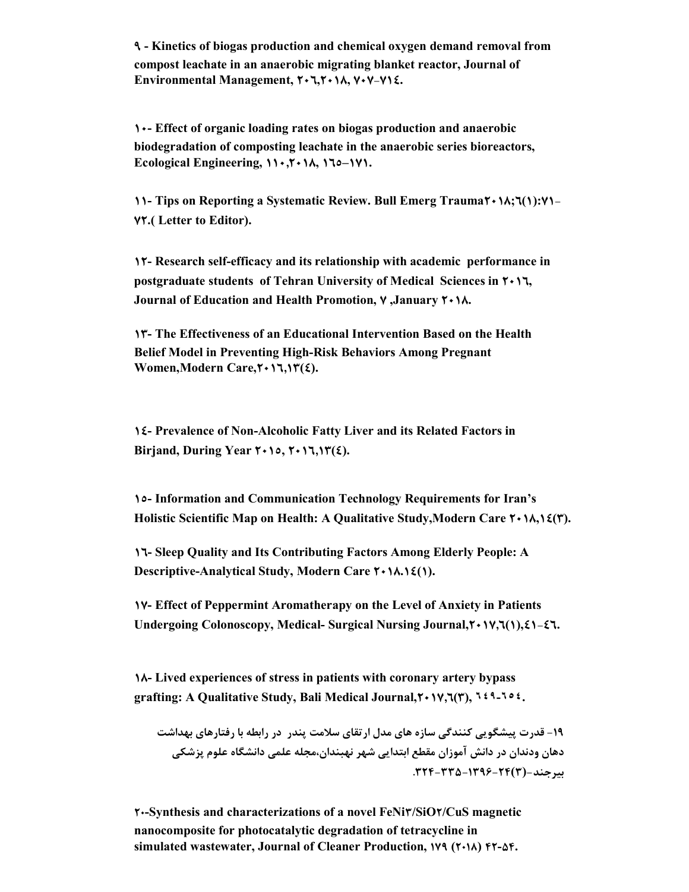**9 - Kinetics of biogas production and chemical oxygen demand removal from compost leachate in an anaerobic migrating blanket reactor, Journal of Environmental Management, 206,2018, 707-714.**

**10- Effect of organic loading rates on biogas production and anaerobic biodegradation of composting leachate in the anaerobic series bioreactors,** Ecological Engineering,  $\{ \} \cdot \mathcal{F} \cdot \{ \} \wedge \mathcal{F} \cdot \{ \} \wedge \mathcal{F} \cdot \{ \} \vee \}$ .

**11- Tips on Reporting a Systematic Review. Bull Emerg Trauma2018;6(1):71- 72.( Letter to Editor).**

**12- Research self-efficacy and its relationship with academic performance in postgraduate students of Tehran University of Medical Sciences in 2016, Journal of Education and Health Promotion, 7 ,January 2018.**

**13- The Effectiveness of an Educational Intervention Based on the Health Belief Model in Preventing High-Risk Behaviors Among Pregnant Women,Modern Care,2016,13(4).**

**14- Prevalence of Non-Alcoholic Fatty Liver and its Related Factors in Birjand, During Year 2015, 2016,13(4).**

**15- Information and Communication Technology Requirements for Iran's Holistic Scientific Map on Health: A Qualitative Study,Modern Care 2018,14(3).**

**16- Sleep Quality and Its Contributing Factors Among Elderly People: A Descriptive-Analytical Study, Modern Care 2018.14(1).**

**17- Effect of Peppermint Aromatherapy on the Level of Anxiety in Patients Undergoing Colonoscopy, Medical- Surgical Nursing Journal,2017,6(1),41-46.**

**18- Lived experiences of stress in patients with coronary artery bypass grafting: A Qualitative Study, Bali Medical Journal,2017,6(3), ٦٤٩-٦٥٤.**

**-19 قدرت پیشگویی کنندگی سازه هاي مدل ارتقاي سلامت پندر در رابطه با رفتارهاي بهداشت دهان ودندان در دانش آموزان مقطع ابتدایی شهر نهبندان،مجله علمی دانشگاه علوم پزشکی بیرجند-(3).324-335-1396-24** 

**20-Synthesis and characterizations of a novel FeNi3/SiO2/CuS magnetic nanocomposite for photocatalytic degradation of tetracycline in simulated wastewater, Journal of Cleaner Production, 179 (2018) 42-54.**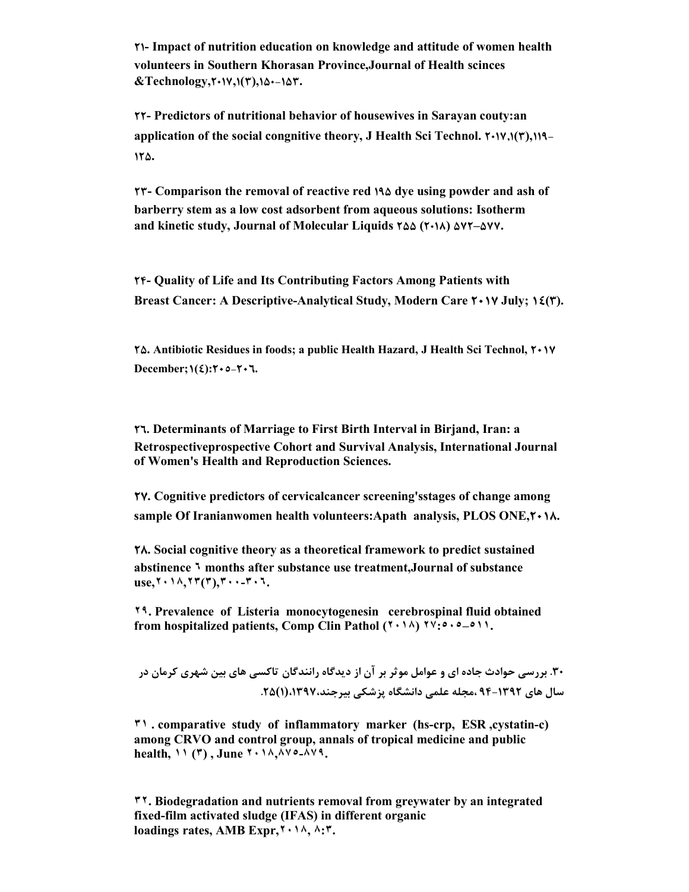**21- Impact of nutrition education on knowledge and attitude of women health volunteers in Southern Khorasan Province,Journal of Health scinces &Technology,2017,1(3),150-153.**

**22- Predictors of nutritional behavior of housewives in Sarayan couty:an application of the social congnitive theory, J Health Sci Technol. 2017,1(3),119- 125.**

**23- Comparison the removal of reactive red 195 dye using powder and ash of barberry stem as a low cost adsorbent from aqueous solutions: Isotherm and kinetic study, Journal of Molecular Liquids 255 (2018) 572–577.**

**24- Quality of Life and Its Contributing Factors Among Patients with Breast Cancer: A Descriptive-Analytical Study, Modern Care 2017 July; 14(3).**

**25. Antibiotic Residues in foods; a public Health Hazard, J Health Sci Technol, 2017**  $\text{December}$ ; $\left(\frac{2}{2}\right)$ : $\text{Y} \cdot \text{0} - \text{Y} \cdot \text{V}$ .

**26. Determinants of Marriage to First Birth Interval in Birjand, Iran: a Retrospectiveprospective Cohort and Survival Analysis, International Journal of Women's Health and Reproduction Sciences.**

**27. Cognitive predictors of cervicalcancer screening'sstages of change among sample Of Iranianwomen health volunteers:Apath analysis, PLOS ONE,2018.**

**28. Social cognitive theory as a theoretical framework to predict sustained abstinence ٦ months after substance use treatment,Journal of substance use,٢٠١٨,٢٣(٣),٣٠٠-٣٠٦.**

**٢٩. Prevalence of Listeria monocytogenesin cerebrospinal fluid obtained from hospitalized patients, Comp Clin Pathol (٢٠١٨) ٢٧:٥٠٥–٥١١.**

**.30 بررسی حوادث جاده اي و عوامل موثر بر آن از دیدگاه رانندگان تاکسی هاي بین شهري کرمان در سال هاي 94-1392 ،مجله علمی دانشگاه پزشکی بیرجند،1397،(1).25**

**٣١ . comparative study of inflammatory marker (hs-crp, ESR ,cystatin-c) among CRVO and control group, annals of tropical medicine and public health, ١١ (٣) , June ٢٠١٨,٨٧٥-٨٧٩.**

**٣٢. Biodegradation and nutrients removal from greywater by an integrated fixed-film activated sludge (IFAS) in different organic loadings rates, AMB Expr,٢٠١٨, ٨:٣.**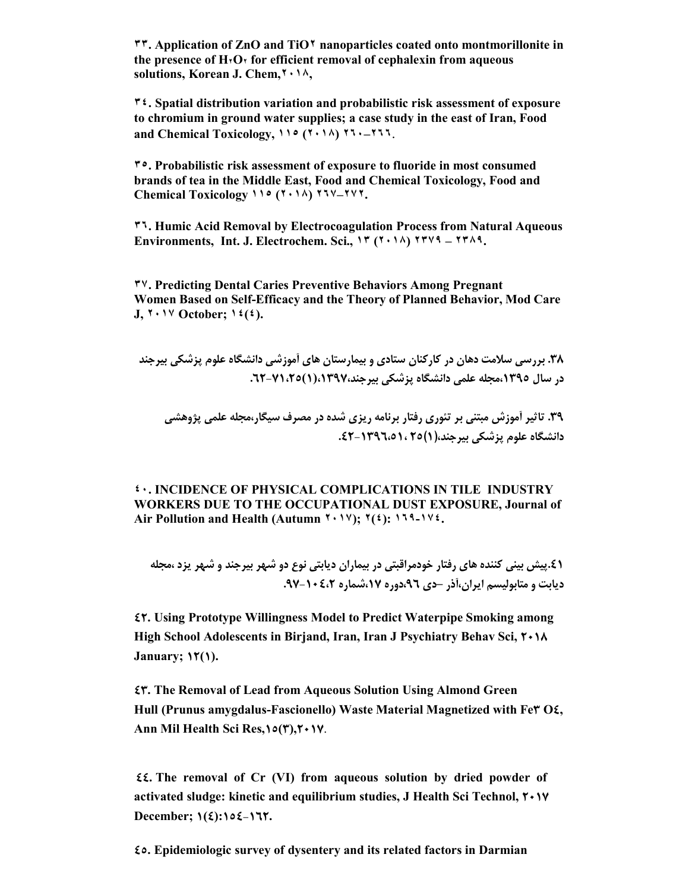**٣٣. Application of ZnO and TiO٢ nanoparticles coated onto montmorillonite in the presence of H٢O٢ for efficient removal of cephalexin from aqueous solutions, Korean J. Chem,٢٠١٨,**

**٣٤. Spatial distribution variation and probabilistic risk assessment of exposure to chromium in ground water supplies; a case study in the east of Iran, Food and Chemical Toxicology, ١١٥ (٢٠١٨) ٢٦٠–٢٦٦**.

**٣٥. Probabilistic risk assessment of exposure to fluoride in most consumed brands of tea in the Middle East, Food and Chemical Toxicology, Food and Chemical Toxicology ١١٥ (٢٠١٨) ٢٦٧–٢٧٢.**

**٣٦. Humic Acid Removal by Electrocoagulation Process from Natural Aqueous Environments, Int. J. Electrochem. Sci., ١٣ (٢٠١٨) ٢٣٧٩ – ٢٣٨٩.**

**٣٧. Predicting Dental Caries Preventive Behaviors Among Pregnant Women Based on Self-Efficacy and the Theory of Planned Behavior, Mod Care J, ٢٠١٧ October; ١٤(٤).**

**.38 بررسی سلامت دهان در کارکنان ستادي و بیمارستان هاي آموزشی دانشگاه علوم پزشکی بیرجند در سال ،1395مجله علمی دانشگاه پزشکی بیرجند،1397،(1).62-71،25** 

**.39 تاثیر آموزش مبتنی بر تئوري رفتار برنامه ریزي شده در مصرف سیگار،مجله علمی پژوهشی دانشگاه علوم پزشکی بیرجند،(1)25 .42-1396،51،**

**٤٠. INCIDENCE OF PHYSICAL COMPLICATIONS IN TILE INDUSTRY WORKERS DUE TO THE OCCUPATIONAL DUST EXPOSURE, Journal of Air Pollution and Health (Autumn ٢٠١٧); ٢(٤): ١٦٩-١٧٤.**

**.41پیش بینی کننده هاي رفتار خودمراقبتی در بیماران دیابتی نوع دو شهر بیرجند و شهر یزد ،مجله دیابت و متابولیسم ایران،آذر –دي ،96دوره ،17شماره .97-104،2**

**42. Using Prototype Willingness Model to Predict Waterpipe Smoking among High School Adolescents in Birjand, Iran, Iran J Psychiatry Behav Sci, 2018 January; 12(1).**

**43. The Removal of Lead from Aqueous Solution Using Almond Green Hull (Prunus amygdalus-Fascionello) Waste Material Magnetized with Fe3 O4, Ann Mil Health Sci Res,15(3),2017**.

**44. The removal of Cr (VI) from aqueous solution by dried powder of activated sludge: kinetic and equilibrium studies, J Health Sci Technol, 2017**  $\text{December: } \{(\xi): \text{if } \xi \geq 0\}$ 

**45. Epidemiologic survey of dysentery and its related factors in Darmian**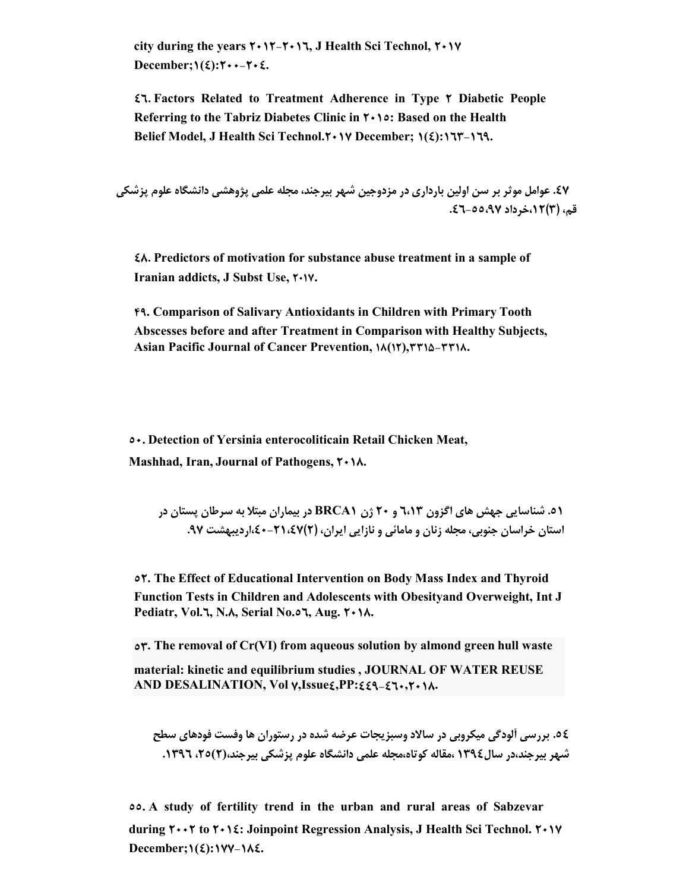**city during the years 2012-2016, J Health Sci Technol, 2017**  $\text{December:} \{(\xi): Y \rightarrow -Y \rightarrow \xi\}.$ 

**46. Factors Related to Treatment Adherence in Type 2 Diabetic People Referring to the Tabriz Diabetes Clinic in 2015: Based on the Health Belief Model, J Health Sci Technol.2017 December; 1(4):163-169.**

**.47 عوامل موثر بر سن اولین بارداري در مزدوجین شهر بیرجند، مجله علمی پژوهشی دانشگاه علوم پزشکی قم، (3)،12خرداد .46-55،97**

**48. Predictors of motivation for substance abuse treatment in a sample of Iranian addicts, J Subst Use, 2017.**

**49. Comparison of Salivary Antioxidants in Children with Primary Tooth Abscesses before and after Treatment in Comparison with Healthy Subjects, Asian Pacific Journal of Cancer Prevention, 18(12),3315-3318.**

**50. Detection of Yersinia enterocoliticain Retail Chicken Meat, Mashhad, Iran, Journal of Pathogens, 2018.**

**.51 شناسایی جهش هاي اگزون 6،13 و 20 ژن 1BRCA در بیماران مبتلا به سرطان پستان در استان خراسان جنوبی، مجله زنان و مامائی و نازایی ایران، (2)،40-21،47اردیبهشت .97**

**52. The Effect of Educational Intervention on Body Mass Index and Thyroid Function Tests in Children and Adolescents with Obesityand Overweight, Int J Pediatr, Vol.6, N.8, Serial No.56, Aug. 2018.** 

**53. The removal of Cr(VI) from aqueous solution by almond green hull waste material: kinetic and equilibrium studies , JOURNAL OF WATER REUSE AND DESALINATION, Vol 7,Issue4,PP:449-460,2018.**

**.54 بررسی آلودگی میکروبی در سالاد وسبزیجات عرضه شده در رستوران ها وفست فودهاي سطح شهر بیرجند،در سال1394 ،مقاله کوتاه،مجله علمی دانشگاه علوم پزشکی بیرجند،(2)،25 .1396**

**55. A study of fertility trend in the urban and rural areas of Sabzevar during 2002 to 2014: Joinpoint Regression Analysis, J Health Sci Technol. 2017**  $December; \iota(\epsilon): \iota(\nu) - \iota(\delta) = 0$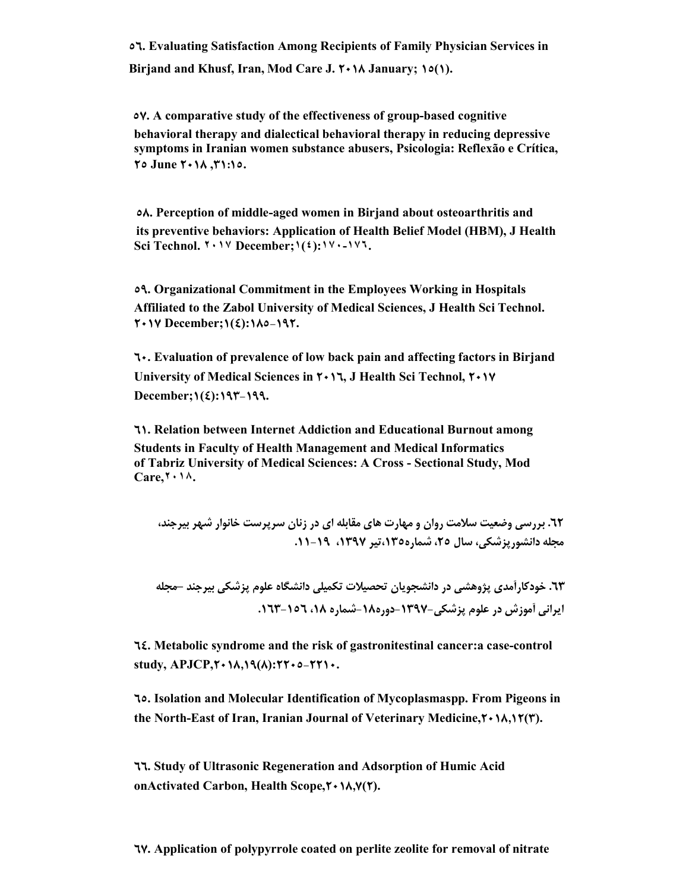**56. Evaluating Satisfaction Among Recipients of Family Physician Services in Birjand and Khusf, Iran, Mod Care J. 2018 January; 15(1).**

 **57. A comparative study of the effectiveness of group-based cognitive behavioral therapy and dialectical behavioral therapy in reducing depressive symptoms in Iranian women substance abusers, Psicologia: Reflexão e Crítica, 25 June 2018 ,31:15.**

 **58. Perception of middle-aged women in Birjand about osteoarthritis and its preventive behaviors: Application of Health Belief Model (HBM), J Health Sci Technol. ٢٠١٧ December;١(٤):١٧٠-١٧٦.**

**59. Organizational Commitment in the Employees Working in Hospitals Affiliated to the Zabol University of Medical Sciences, J Health Sci Technol. 2017 December;1(4):185-192.**

**60. Evaluation of prevalence of low back pain and affecting factors in Birjand University of Medical Sciences in 2016, J Health Sci Technol, 2017 December;1(4):193-199.**

**61. Relation between Internet Addiction and Educational Burnout among Students in Faculty of Health Management and Medical Informatics of Tabriz University of Medical Sciences: A Cross - Sectional Study, Mod Care,٢٠١٨.**

**.62 بررسی وضعیت سلامت روان و مهارت هاي مقابله اي در زنان سرپرست خانوار شهر بیرجند، مجله دانشورپزشکی، سال ،25 شماره،135تیر ،1397 .11-19** 

**.63 خودکارآمدي پژوهشی در دانشجویان تحصیلات تکمیلی دانشگاه علوم پزشکی بیرجند –مجله ایرانی آموزش در علوم پزشکی-1397-دوره-18 شماره ،18 .163-156** 

**64. Metabolic syndrome and the risk of gastronitestinal cancer:a case-control study, APJCP,2018,19(8):2205-2210.**

**65. Isolation and Molecular Identification of Mycoplasmaspp. From Pigeons in the North-East of Iran, Iranian Journal of Veterinary Medicine,2018,12(3).**

**66. Study of Ultrasonic Regeneration and Adsorption of Humic Acid onActivated Carbon, Health Scope,2018,7(2).**

**67. Application of polypyrrole coated on perlite zeolite for removal of nitrate**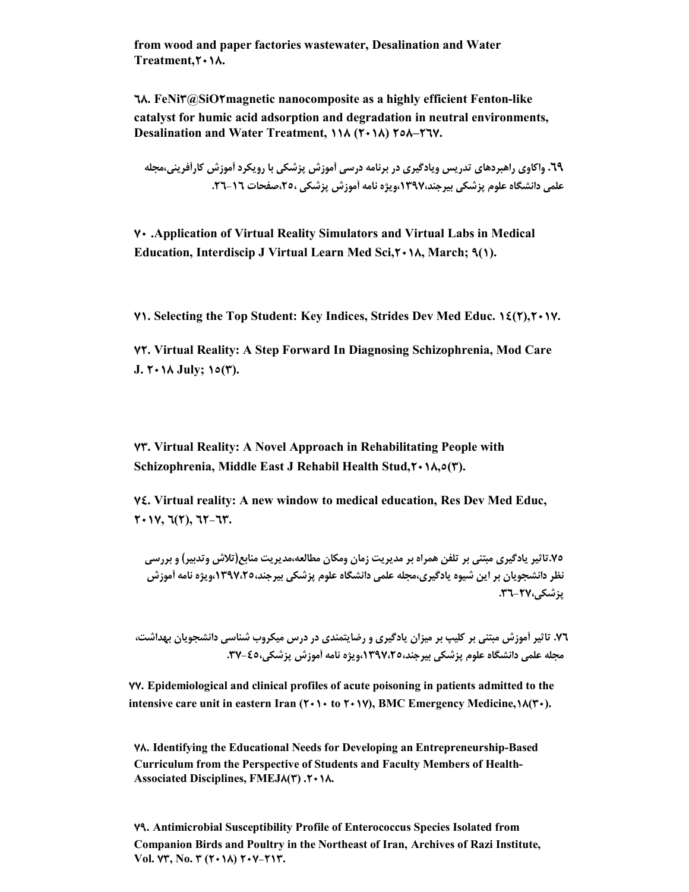**from wood and paper factories wastewater, Desalination and Water Treatment,2018.**

**68. FeNi3@SiO2magnetic nanocomposite as a highly efficient Fenton-like catalyst for humic acid adsorption and degradation in neutral environments, Desalination and Water Treatment, 118 (2018) 258–267.**

**.69 واکاوي راهبردهاي تدریس ویادگیري در برنامه درسی آموزش پزشکی با رویکرد آموزش کارآفرینی،مجله علمی دانشگاه علوم پزشکی بیرجند،1397،ویژه نامه آموزش پزشکی ،25،صفحات -16 .26** 

**70 .Application of Virtual Reality Simulators and Virtual Labs in Medical Education, Interdiscip J Virtual Learn Med Sci,2018, March; 9(1).**

**71. Selecting the Top Student: Key Indices, Strides Dev Med Educ. 14(2),2017.**

**72. Virtual Reality: A Step Forward In Diagnosing Schizophrenia, Mod Care J. 2018 July; 15(3).**

**73. Virtual Reality: A Novel Approach in Rehabilitating People with Schizophrenia, Middle East J Rehabil Health Stud,2018,5(3).**

**74. Virtual reality: A new window to medical education, Res Dev Med Educ, 2017, 6(2), 62-63.**

**.75تاثیر یادگیري مبتنی بر تلفن همراه بر مدیریت زمان ومکان مطالعه،مدیریت منابع(تلاش وتدبیر) و بررسی نظر دانشجویان بر این شیوه یادگیري،مجله علمی دانشگاه علوم پزشکی بیرجند،1397،25،ویژه نامه آموزش پزشکی.36-27،**

**.76 تاثیر آموزش مبتنی بر کلیپ بر میزان یادگیري و رضایتمندي در درس میکروب شناسی دانشجویان بهداشت، مجله علمی دانشگاه علوم پزشکی بیرجند،1397،25،ویژه نامه آموزش پزشکی-45، .37** 

**77. Epidemiological and clinical profiles of acute poisoning in patients admitted to the intensive care unit in eastern Iran (2010 to 2017), BMC Emergency Medicine,18(30).**

**78. Identifying the Educational Needs for Developing an Entrepreneurship-Based Curriculum from the Perspective of Students and Faculty Members of Health-Associated Disciplines, FMEJ8(3) .2018.**

**79. Antimicrobial Susceptibility Profile of Enterococcus Species Isolated from Companion Birds and Poultry in the Northeast of Iran, Archives of Razi Institute, Vol. 73, No. 3 (2018) 207-213.**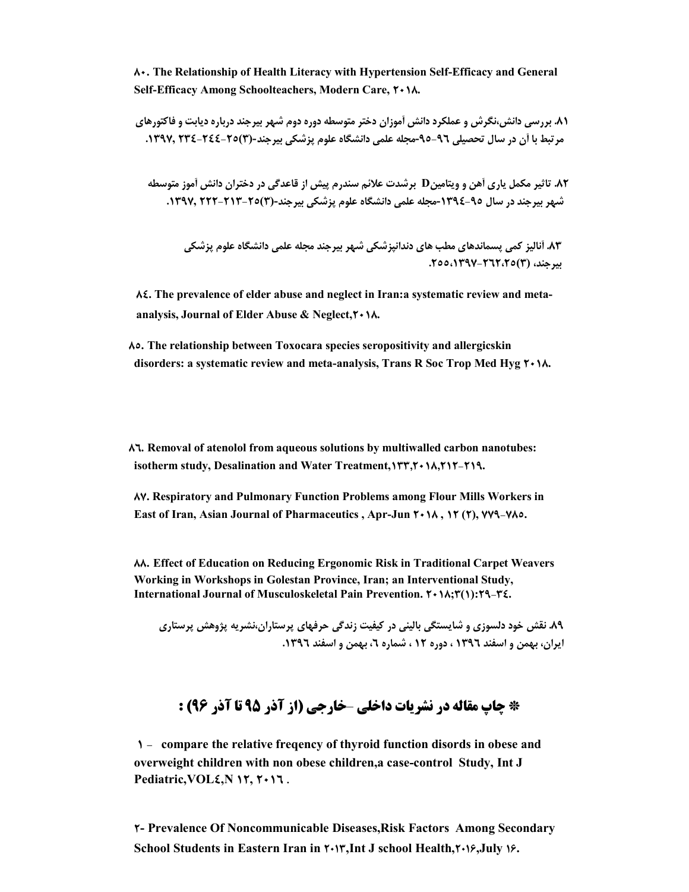**80. The Relationship of Health Literacy with Hypertension Self-Efficacy and General Self-Efficacy Among Schoolteachers, Modern Care, 2018.**

**.81 بررسی دانش،نگرش و عملکرد دانش آموزان دختر متوسطه دوره دوم شهر بیرجند درباره دیابت و فاکتورهاي مرتبط با آن در سال تحصیلی -96 -95مجله علمی دانشگاه علوم پزشکی بیرجند-(3)234-244-25 .1397,**

**.82 تاثیر مکمل یاري آهن و ویتامینD برشدت علائم سندرم پیش از قاعدگی در دختران دانش آموز متوسطه شهر بیرجند در سال -95 -1394مجله علمی دانشگاه علوم پزشکی بیرجند-(3)222-213-25 .1397,**

**.83 آنالیز کمی پسماندهاي مطب هاي دندانپزشکی شهر بیرجند مجله علمی دانشگاه علوم پزشکی بیرجند، (3)-262،25 .255،1397**

**84. The prevalence of elder abuse and neglect in Iran:a systematic review and metaanalysis, Journal of Elder Abuse & Neglect,2018.**

**85. The relationship between Toxocara species seropositivity and allergicskin disorders: a systematic review and meta-analysis, Trans R Soc Trop Med Hyg 2018.**

**86. Removal of atenolol from aqueous solutions by multiwalled carbon nanotubes: isotherm study, Desalination and Water Treatment,133,2018,212-219.**

**87. Respiratory and Pulmonary Function Problems among Flour Mills Workers in East of Iran, Asian Journal of Pharmaceutics , Apr-Jun 2018 , 12 (2), 779-785.**

**88. Effect of Education on Reducing Ergonomic Risk in Traditional Carpet Weavers Working in Workshops in Golestan Province, Iran; an Interventional Study, International Journal of Musculoskeletal Pain Prevention. 2018;3(1):29-34.**

**.89 نقش خود دلسوزي و شایستگی بالینی در کیفیت زندگی حرفهاي پرستاران،نشریه پژوهش پرستاري ایران، بهمن و اسفند 1396 ، دوره 12 ، شماره ،6 بهمن و اسفند .1396** 

# **\* چاپ مقاله در نشریات داخلی** –**خارجی (از آذر 95 تا آذر 96) :**

**1 - compare the relative freqency of thyroid function disords in obese and overweight children with non obese children,a case-control Study, Int J Pediatric, VOL5**, N **17**,  $Y \cdot 17$ .

**2- Prevalence Of Noncommunicable Diseases,Risk Factors Among Secondary School Students in Eastern Iran in 2013,Int J school Health,2016,July 16.**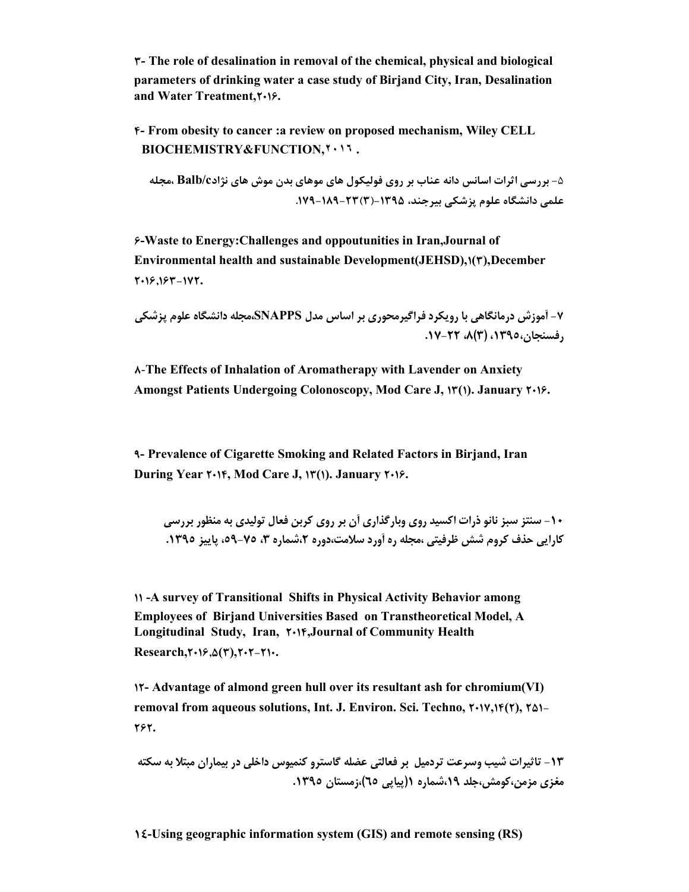**3- The role of desalination in removal of the chemical, physical and biological parameters of drinking water a case study of Birjand City, Iran, Desalination and Water Treatment,2016.**

**4- From obesity to cancer :a review on proposed mechanism, Wiley CELL BIOCHEMISTRY&FUNCTION,٢٠١٦ .**

**-**5 **بررسی اثرات اسانس دانه عناب بر روي فولیکول هاي موهاي بدن موش هاي نژادc/Balb ،مجله علمی دانشگاه علوم پزشکی بیرجند، -1395(3)-23 -189 .179**

**6-Waste to Energy:Challenges and oppoutunities in Iran,Journal of**  Environmental health and sustainable Development(JEHSD), $\mathbf{1}(\mathbf{r})$ , December **2016,163-172.**

**-7 آموزش درمانگاهی با رویکرد فراگیرمحوري بر اساس مدل SNAPPS،مجله دانشگاه علوم پزشکی رفسنجان،1395، (3)،8 .17-22**

**8**-**The Effects of Inhalation of Aromatherapy with Lavender on Anxiety Amongst Patients Undergoing Colonoscopy, Mod Care J, 13(1). January 2016.**

**9- Prevalence of Cigarette Smoking and Related Factors in Birjand, Iran During Year 2014, Mod Care J, 13(1). January 2016.**

**-10 سنتز سبز نانو ذرات اکسید روي وبارگذاري آن بر روي کربن فعال تولیدي به منظور بررسی کارایی حذف کروم شش ظرفیتی ،مجله ره آورد سلامت،دوره ،2شماره ،3 ،59-75 پاییز .1395** 

**11 -A survey of Transitional Shifts in Physical Activity Behavior among Employees of Birjand Universities Based on Transtheoretical Model, A Longitudinal Study, Iran, 2014,Journal of Community Health Research,2016,5(3),202-210.**

**12- Advantage of almond green hull over its resultant ash for chromium(VI) removal from aqueous solutions, Int. J. Environ. Sci. Techno, 2017,14(2), 251- 262.**

**-13 تاثیرات شیب وسرعت تردمیل بر فعالتی عضله گاسترو کنمیوس داخلی در بیماران مبتلا به سکته مغزي مزمن،کومش،جلد ،19شماره 1(پیاپی 65)،زمستان .1395** 

**14-Using geographic information system (GIS) and remote sensing (RS)**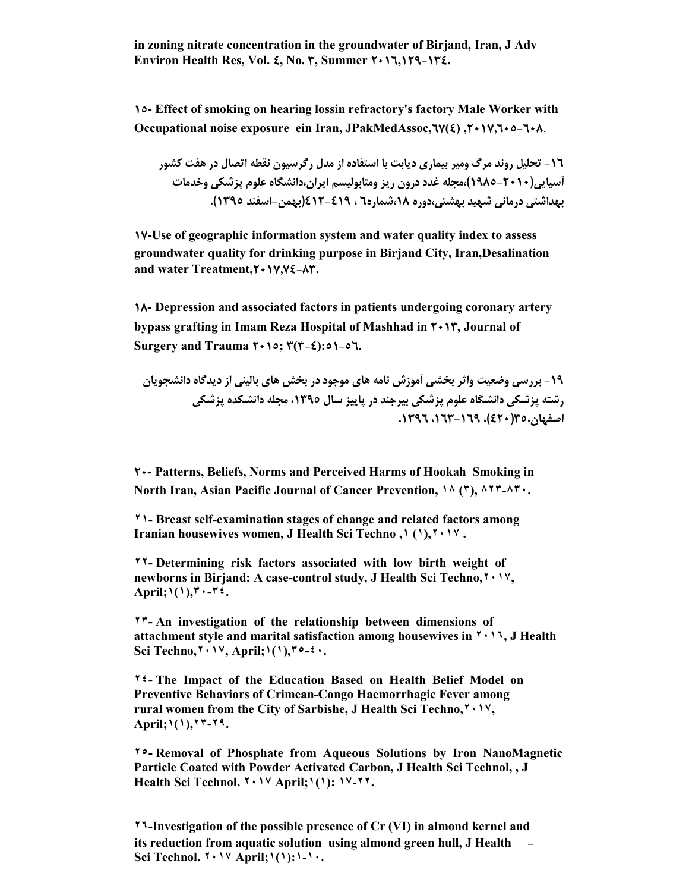**in zoning nitrate concentration in the groundwater of Birjand, Iran, J Adv Environ Health Res, Vol. 4, No. 3, Summer 2016,129-134.**

**15- Effect of smoking on hearing lossin refractory's factory Male Worker with Occupational noise exposure ein Iran, JPakMedAssoc,67(4) ,2017,605-608**.

**-16 تحلیل روند مرگ ومیر بیماري دیابت با استفاده از مدل رگرسیون نقطه اتصال در هفت کشور آسیایی(1985-2010)،مجله غدد درون ریز ومتابولیسم ایران،دانشگاه علوم پزشکی وخدمات بهداشتی درمانی شهید بهشتی،دوره ،18شماره6 ، -419 412(بهمن-اسفند 1395).**

**17-Use of geographic information system and water quality index to assess groundwater quality for drinking purpose in Birjand City, Iran,Desalination and water Treatment,**  $\mathbf{Y} \cdot \mathbf{Y} \cdot \mathbf{X} \cdot \mathbf{X}$ **.** 

**18- Depression and associated factors in patients undergoing coronary artery bypass grafting in Imam Reza Hospital of Mashhad in 2013, Journal of Surgery and Trauma 2015; 3(3-4):51-56.**

**-19 بررسی وضعیت واثر بخشی آموزش نامه هاي موجود در بخش هاي بالینی از دیدگاه دانشجویان رشته پزشکی دانشگاه علوم پزشکی بیرجند در پاییز سال ،1395 مجله دانشکده پزشکی اصفهان35،(420)، ،163-169 .1396**

**20- Patterns, Beliefs, Norms and Perceived Harms of Hookah Smoking in North Iran, Asian Pacific Journal of Cancer Prevention, ١٨ (٣), ٨٢٣-٨٣٠.**

**٢١- Breast self-examination stages of change and related factors among Iranian housewives women, J Health Sci Techno ,١ (١),٢٠١٧ .**

**٢٢- Determining risk factors associated with low birth weight of newborns in Birjand: A case-control study, J Health Sci Techno,٢٠١٧, April;١(١),٣٠-٣٤.**

**٢٣- An investigation of the relationship between dimensions of attachment style and marital satisfaction among housewives in ٢٠١٦, J Health Sci Techno,٢٠١٧, April;١(١),٣٥-٤٠.**

**٢٤- The Impact of the Education Based on Health Belief Model on Preventive Behaviors of Crimean-Congo Haemorrhagic Fever among rural women from the City of Sarbishe, J Health Sci Techno,٢٠١٧, April;١(١),٢٣-٢٩.**

**٢٥- Removal of Phosphate from Aqueous Solutions by Iron NanoMagnetic Particle Coated with Powder Activated Carbon, J Health Sci Technol, , J Health Sci Technol. ٢٠١٧ April;١(١): ١٧-٢٢.**

**٢٦-Investigation of the possible presence of Cr (VI) in almond kernel and its reduction from aquatic solution using almond green hull, J Health - Sci Technol. ٢٠١٧ April;١(١):١-١٠.**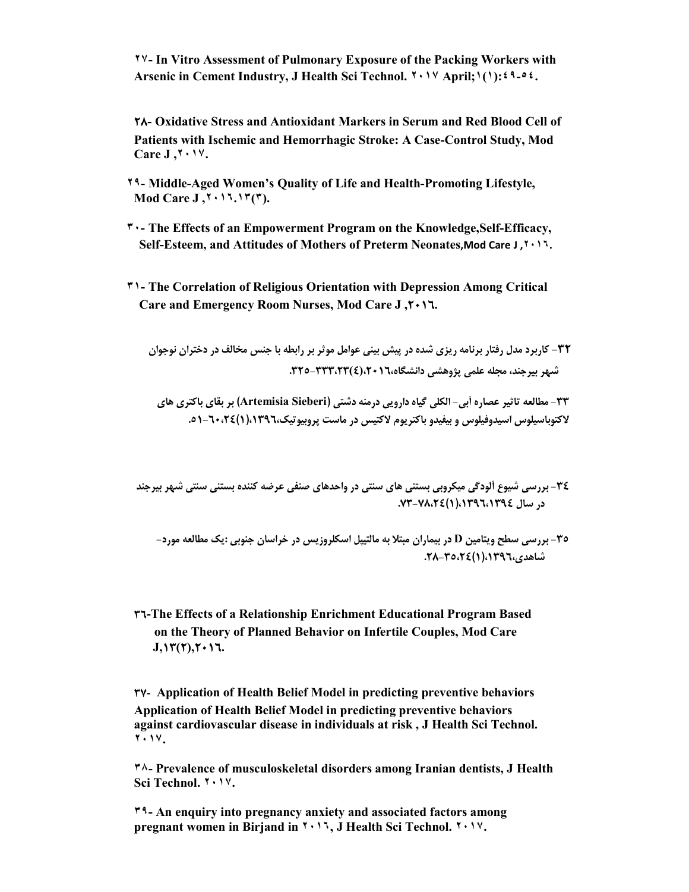**٢٧- In Vitro Assessment of Pulmonary Exposure of the Packing Workers with Arsenic in Cement Industry, J Health Sci Technol. ٢٠١٧ April;١(١):٤٩-٥٤.**

**28- Oxidative Stress and Antioxidant Markers in Serum and Red Blood Cell of Patients with Ischemic and Hemorrhagic Stroke: A Case-Control Study, Mod Care J ,٢٠١٧.**

- **٢٩- Middle-Aged Women's Quality of Life and Health-Promoting Lifestyle, Mod Care J ,٢٠١٦.١٣(٣).**
- **٣٠- The Effects of an Empowerment Program on the Knowledge,Self-Efficacy, Self-Esteem, and Attitudes of Mothers of Preterm Neonates,Mod Care J ,٢٠١٦.**
- **٣١- The Correlation of Religious Orientation with Depression Among Critical Care and Emergency Room Nurses, Mod Care J ,2016.**

**-32 کاربرد مدل رفتار برنامه ریزي شده در پیش بینی عوامل موثر بر رابطه با جنس مخالف در دختران نوجوان شهر بیرجند، مجله علمی پژوهشی دانشگاه،2016،(4)-333،23 .325** 

**-33 مطالعه تاثیر عصاره آبی- الکلی گیاه دارویی درمنه دشتی (Sieberi Artemisia (بر بقاي باکتري هاي لاکتوباسیلوس اسیدوفیلوس و بیفیدو باکتریوم لاکتیس در ماست پروبیوتیک،1396،(1)-60،24 .51**

**-34 بررسی شیوع آلودگی میکروبی بستنی هاي سنتی در واحدهاي صنفی عرضه کننده بستنی سنتی شهر بیرجند در سال ،1396،1394(1)-78،24 .73** 

**-35 بررسی سطح ویتامین D در بیماران مبتلا به مالتیپل اسکلروزیس در خراسان جنوبی :یک مطالعه مورد- شاهدي،1396،(1)-35،24 .28**

**36-The Effects of a Relationship Enrichment Educational Program Based on the Theory of Planned Behavior on Infertile Couples, Mod Care J,13(2),2016.**

**37- Application of Health Belief Model in predicting preventive behaviors Application of Health Belief Model in predicting preventive behaviors against cardiovascular disease in individuals at risk , J Health Sci Technol. ٢٠١٧.**

**٣٨- Prevalence of musculoskeletal disorders among Iranian dentists, J Health Sci Technol. ٢٠١٧.**

**٣٩- An enquiry into pregnancy anxiety and associated factors among pregnant women in Birjand in ٢٠١٦, J Health Sci Technol. ٢٠١٧.**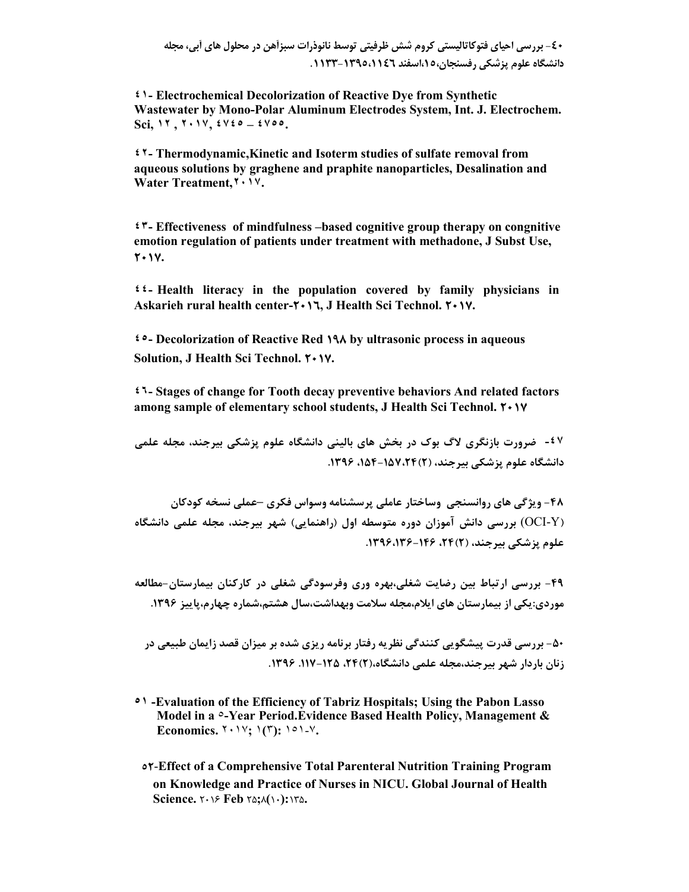**-40 بررسی احیاي فتوکاتالیستی کروم شش ظرفیتی توسط نانوذرات سبزآهن در محلول هاي آبی، مجله دانشگاه علوم پزشکی رفسنجان،15،اسفند -1395،1146** .**1133**

**٤١- Electrochemical Decolorization of Reactive Dye from Synthetic Wastewater by Mono-Polar Aluminum Electrodes System, Int. J. Electrochem. Sci, ١٢ , ٢٠١٧, ٤٧٤٥ – ٤٧٥٥.**

**٤٢- Thermodynamic,Kinetic and Isoterm studies of sulfate removal from aqueous solutions by graghene and praphite nanoparticles, Desalination and Water Treatment,٢٠١٧.**

**٤٣- Effectiveness of mindfulness –based cognitive group therapy on congnitive emotion regulation of patients under treatment with methadone, J Subst Use, 2017.**

**٤٤- Health literacy in the population covered by family physicians in Askarieh rural health center-2016, J Health Sci Technol. 2017.**

**٤٥- Decolorization of Reactive Red 198 by ultrasonic process in aqueous Solution, J Health Sci Technol. 2017.**

**٤٦- Stages of change for Tooth decay preventive behaviors And related factors among sample of elementary school students, J Health Sci Technol.**  $\mathbf{Y} \cdot \mathbf{Y}$ 

**-٤٧ ضرورت بازنگري لاگ بوك در بخش هاي بالینی دانشگاه علوم پزشکی بیرجند، مجله علمی دانشگاه علوم پزشکی بیرجند، (2)،154-157،24 .1396** 

**-48 ویژگی هاي روانسنجی وساختار عاملی پرسشنامه وسواس فکري –عملی نسخه کودکان (**Y-OCI (**بررسی دانش آموزان دوره متوسطه اول (راهنمایی) شهر بیرجند، مجله علمی دانشگاه علوم پزشکی بیرجند، (2)،24 -146 .1396،136** 

**-49 بررسی ارتباط بین رضایت شغلی،بهره وري وفرسودگی شغلی در کارکنان بیمارستان- مطالعه موردي:یکی از بیمارستان هاي ایلام،مجله سلامت وبهداشت،سال هشتم،شماره چهارم،پاییز .1396** 

**-50 بررسی قدرت پیشگویی کنندگی نظریه رفتار برنامه ریزي شده بر میزان قصد زایمان طبیعی در زنان باردار شهر بیرجند،مجله علمی دانشگاه،(2)،24 .117-125** .**1396** 

- **٥١ -Evaluation of the Efficiency of Tabriz Hospitals; Using the Pabon Lasso Model in a** ٥**-Year Period.Evidence Based Health Policy, Management & Economics.** ٢٠١٧**;** ١**(**٣**):** ١٥١-٧**.**
	- **52**-**Effect of a Comprehensive Total Parenteral Nutrition Training Program on Knowledge and Practice of Nurses in NICU. Global Journal of Health Science.** 2016 **Feb** 25**;**8**(**10**):**135**.**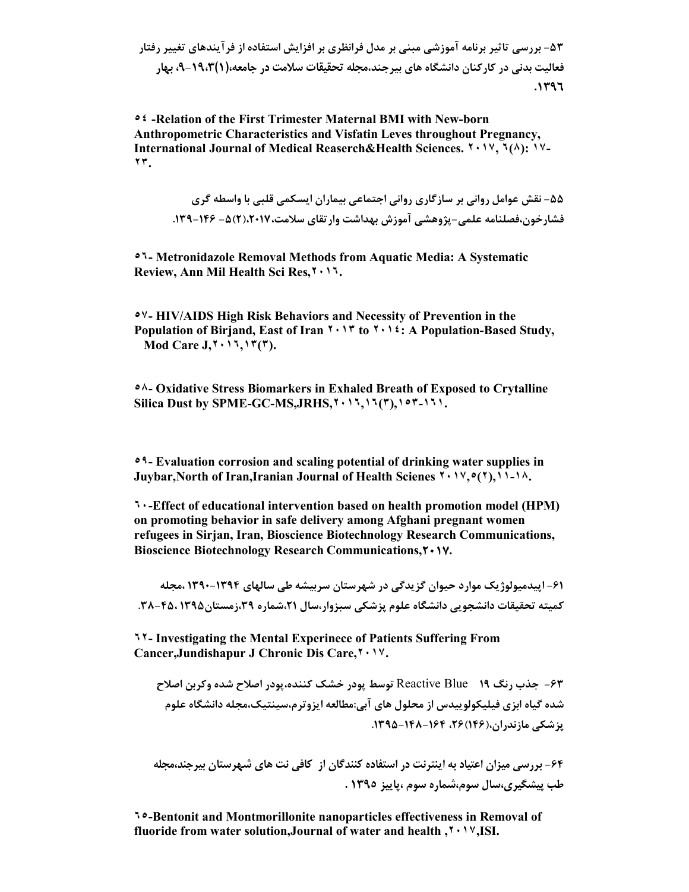**-53 بررسی تاثیر برنامه آموزشی مبنی بر مدل فرانظري بر افزایش استفاده از فرآیندهاي تغییر رفتار فعالیت بدنی در کارکنان دانشگاه هاي بیرجند،مجله تحقیقات سلامت در جامعه،(1)،9-19،3 بهار .1396**

**٥٤ -Relation of the First Trimester Maternal BMI with New-born Anthropometric Characteristics and Visfatin Leves throughout Pregnancy, International Journal of Medical Reaserch&Health Sciences. ٢٠١٧, ٦(٨): ١٧- ٢٣.**

**-55 نقش عوامل روانی بر سازگاري روانی اجتماعی بیماران ایسکمی قلبی با واسطه گري فشارخون،فصلنامه علمی- پژوهشی آموزش بهداشت وارتقاي سلامت،2017،(2)-5 -146 .139**

**٥٦- Metronidazole Removal Methods from Aquatic Media: A Systematic Review, Ann Mil Health Sci Res,٢٠١٦.**

**٥٧- HIV/AIDS High Risk Behaviors and Necessity of Prevention in the Population of Birjand, East of Iran ٢٠١٣ to ٢٠١٤: A Population-Based Study, Mod Care J,٢٠١٦,١٣(٣).**

**٥٨- Oxidative Stress Biomarkers in Exhaled Breath of Exposed to Crytalline Silica Dust by SPME-GC-MS,JRHS,٢٠١٦,١٦(٣),١٥٣-١٦١.**

**٥٩- Evaluation corrosion and scaling potential of drinking water supplies in Juybar,North of Iran,Iranian Journal of Health Scienes ٢٠١٧,٥(٢),١١-١٨.**

**٦٠-Effect of educational intervention based on health promotion model (HPM) on promoting behavior in safe delivery among Afghani pregnant women refugees in Sirjan, Iran, Bioscience Biotechnology Research Communications, Bioscience Biotechnology Research Communications,2017.**

**-61 اپیدمیولوژیک موارد حیوان گزیدگی در شهرستان سربیشه طی سالهاي 1390-1394 ،مجله کمیته تحقیقات دانشجویی دانشگاه علوم پزشکی سبزوار،سال ،21شماره ،39زمستان1395 -45، .38**

**٦٢- Investigating the Mental Experinece of Patients Suffering From Cancer,Jundishapur J Chronic Dis Care,٢٠١٧.**

**-63 جذب رنگ 19** Blue Reactive **توسط پودر خشک کننده،پودر اصلاح شده وکربن اصلاح شده گیاه ابزي فیلیکولوییدس از محلول هاي آبی:مطالعه ایزوترم،سینتیک،مجله دانشگاه علوم پزشکی مازندران،(146)،26 -164 .1395-148** 

**-64 بررسی میزان اعتیاد به اینترنت در استفاده کنندگان از کافی نت هاي شهرستان بیرجند،مجله طب پیشگیري،سال سوم،شماره سوم ،پاییز 1395 .**

**٦٥-Bentonit and Montmorillonite nanoparticles effectiveness in Removal of fluoride from water solution,Journal of water and health ,٢٠١٧,ISI.**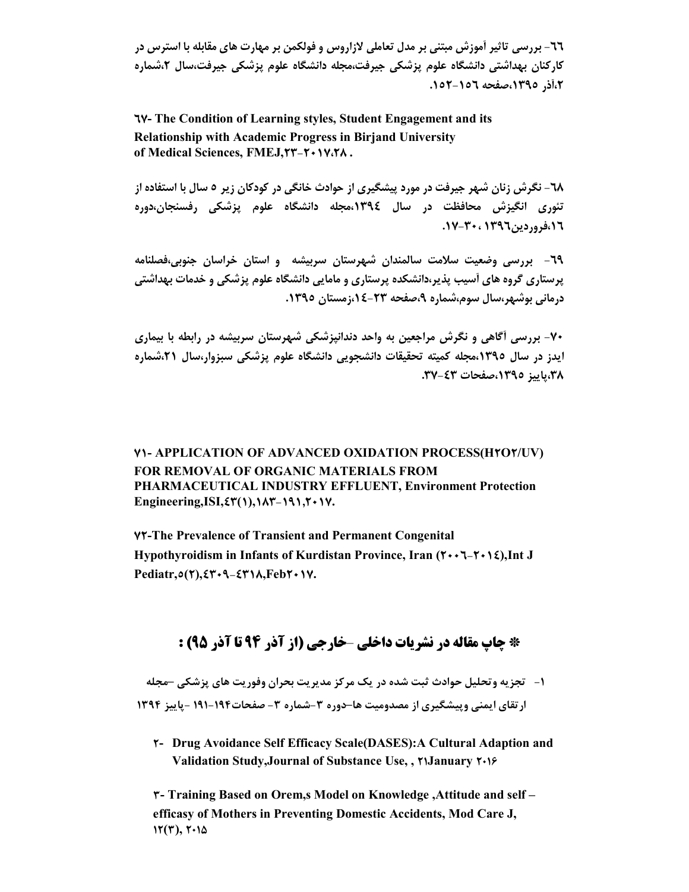**-66 بررسی تاثیر آموزش مبتنی بر مدل تعاملی لازاروس و فولکمن بر مهارت هاي مقابله با استرس در کارکنان بهداشتی دانشگاه علوم پزشکی جیرفت،مجله دانشگاه علوم پزشکی جیرفت،سال ،2شماره ،2آذر ،1395صفحه -156 .152** 

**67- The Condition of Learning styles, Student Engagement and its Relationship with Academic Progress in Birjand University of Medical Sciences, FMEJ,23-2017،28 .**

**-68 نگرش زنان شهر جیرفت در مورد پیشگیري از حوادث خانگی در کودکان زیر 5 سال با استفاده از تئوري انگیزش محافظت در سال ،1394مجله دانشگاه علوم پزشکی رفسنجان،دوره ،16فروردین1396 .17-30،**

**-69 بررسی وضعیت سلامت سالمندان شهرستان سربیشه و استان خراسان جنوبی،فصلنامه پرستاري گروه هاي آسیب پذیر،دانشکده پرستاري و مامایی دانشگاه علوم پزشکی و خدمات بهداشتی درمانی بوشهر،سال سوم،شماره ،9صفحه ،14-23زمستان .1395** 

**-70 بررسی آگاهی و نگرش مراجعین به واحد دندانپزشکی شهرستان سربیشه در رابطه با بیماري ایدز در سال ،1395مجله کمیته تحقیقات دانشجویی دانشگاه علوم پزشکی سبزوار،سال ،21شماره ،38پاییز ،1395صفحات .37-43**

**71- APPLICATION OF ADVANCED OXIDATION PROCESS(H2O2/UV) FOR REMOVAL OF ORGANIC MATERIALS FROM PHARMACEUTICAL INDUSTRY EFFLUENT, Environment Protection Engineering,ISI,43(1),183-191,2017.**

**72-The Prevalence of Transient and Permanent Congenital**  Hypothyroidism in Infants of Kurdistan Province, Iran ( $\mathbf{Y} \cdot \mathbf{Y} - \mathbf{Y} \cdot \mathbf{X}$ ), Int J **Pediatr,5(2),4309-4318,Feb2017.**

### **\* چاپ مقاله در نشریات داخلی** –**خارجی (از آذر 94 تا آذر 95) :**

**-1 تجزیه وتحلیل حوادث ثبت شده در یک مرکز مدیریت بحران وفوریت هاي پزشکی –مجله ارتقاي ایمنی وپیشگیري از مصدومیت ها–دوره -3شماره -3 صفحات-194 191 - پاییز 1394**

**2- Drug Avoidance Self Efficacy Scale(DASES):A Cultural Adaption and Validation Study,Journal of Substance Use, , 21January 2016**

**3- Training Based on Orem,s Model on Knowledge ,Attitude and self – efficasy of Mothers in Preventing Domestic Accidents, Mod Care J,**   $17(7)$ ,  $7.14$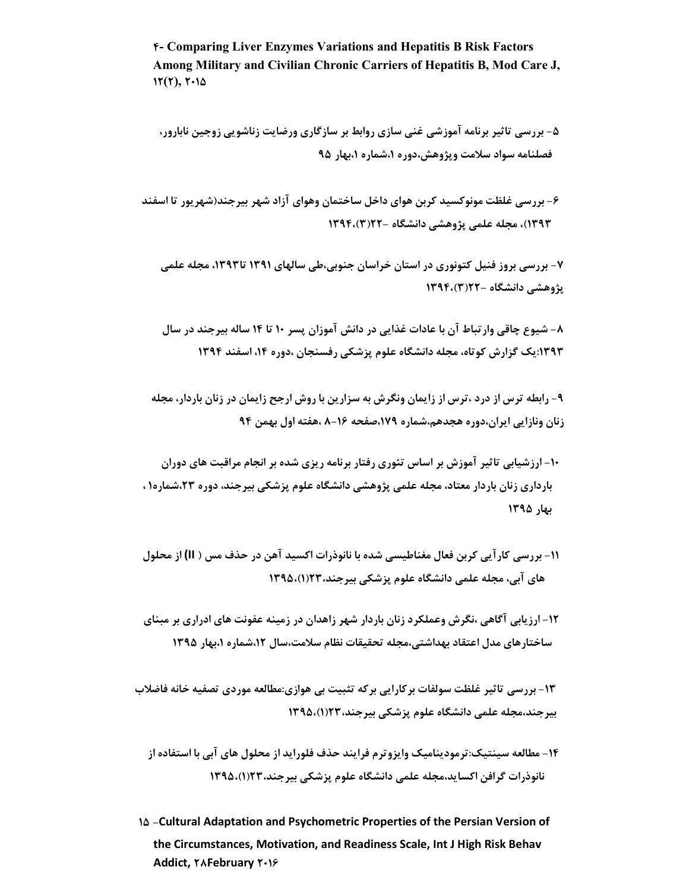**4- Comparing Liver Enzymes Variations and Hepatitis B Risk Factors Among Military and Civilian Chronic Carriers of Hepatitis B, Mod Care J, 12(2), 2015**

**-5 بررسی تاثیر برنامه آموزشی غنی سازي روابط بر سازگاري ورضایت زناشویی زوجین نابارور، فصلنامه سواد سلامت وپژوهش،دوره ،1شماره ،1بهار 95** 

**-6 بررسی غلظت مونوکسید کربن هواي داخل ساختمان وهواي آزاد شهر بیرجند(شهریور تا اسفند 1393)، مجله علمی پژوهشی دانشگاه - 22(3)1394،** 

**-7 بررسی بروز فنیل کتونوري در استان خراسان جنوبی،طی سالهاي 1391 تا،1393 مجله علمی پژوهشی دانشگاه 22-(3)1394،**

**-8 شیوع چاقی وارتباط آن با عادات غذایی در دانش آموزان پسر 10 تا 14 ساله بیرجند در سال :1393یک گزارش کوتاه، مجله دانشگاه علوم پزشکی رفسنجان ،دوره ،14 اسفند 1394** 

**-9 رابطه ترس از درد ،ترس از زایمان ونگرش به سزارین با روش ارجح زایمان در زنان باردار، مجله زنان ونازایی ایران،دوره هجدهم،شماره ،179صفحه 8-16 ،هفته اول بهمن 94** 

**-10 ارزشیابی تاثیر آموزش بر اساس تئوري رفتار برنامه ریزي شده بر انجام مراقبت هاي دوران بارداري زنان باردار معتاد، مجله علمی پژوهشی دانشگاه علوم پزشکی بیرجند، دوره ،23شماره1 ، بهار 1395** 

**-11 بررسی کارآیی کربن فعال مغناطیسی شده با نانوذرات اکسید آهن در حذف مس ( II (از محلول هاي آبی، مجله علمی دانشگاه علوم پزشکی بیرجند23،(1)1395،** 

**-12 ارزیابی آگاهی ،نگرش وعملکرد زنان باردار شهر زاهدان در زمینه عفونت هاي ادراري بر مبناي ساختارهاي مدل اعتقاد بهداشتی،مجله تحقیقات نظام سلامت،سال ،12شماره ،1بهار 1395** 

**-13 بررسی تاثیر غلظت سولفات برکارایی برکه تثبیت بی هوازي:مطالعه موردي تصفیه خانه فاضلاب بیرجند،مجله علمی دانشگاه علوم پزشکی بیرجند23،(1)1395،**

**-14 مطالعه سینتیک:ترمودینامیک وایزوترم فرایند حذف فلوراید از محلول هاي آبی با استفاده از نانوذرات گرافن اکساید،مجله علمی دانشگاه علوم پزشکی بیرجند23،(1)1395،** 

**15 -Cultural Adaptation and Psychometric Properties of the Persian Version of the Circumstances, Motivation, and Readiness Scale, Int J High Risk Behav Addict, 28February 2016**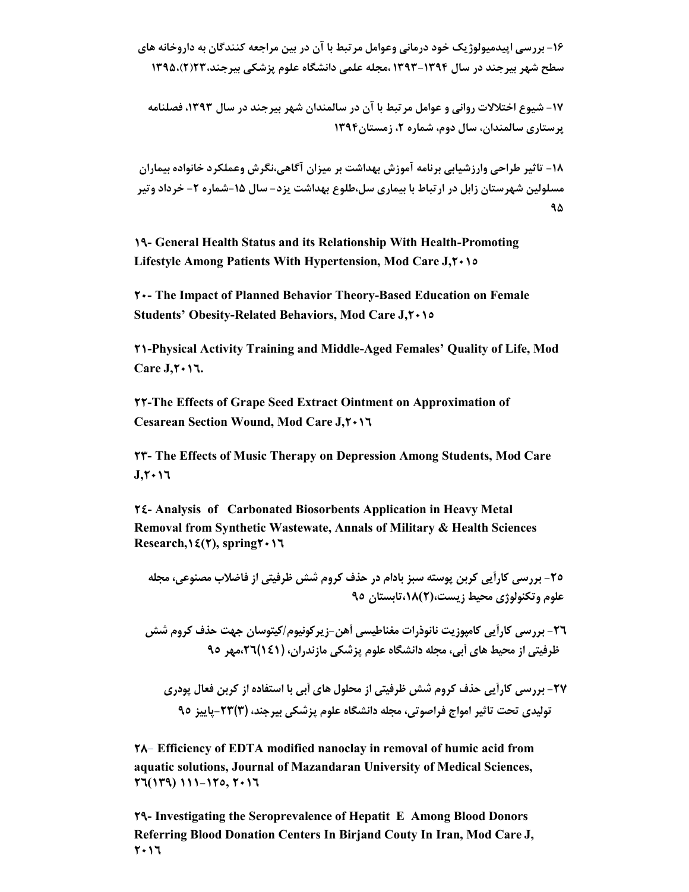**-16 بررسی اپیدمیولوژیک خود درمانی وعوامل مرتبط با آن در بین مراجعه کنندگان به داروخانه هاي سطح شهر بیرجند در سال 1393-1394 ،مجله علمی دانشگاه علوم پزشکی بیرجند23،(2)1395،** 

**-17 شیوع اختلالات روانی و عوامل مرتبط با آن در سالمندان شهر بیرجند در سال ،1393 فصلنامه پرستاري سالمندان، سال دوم، شماره ،2 زمستان1394** 

**-18 تاثیر طراحی وارزشیابی برنامه آموزش بهداشت بر میزان آگاهی،نگرش وعملکرد خانواده بیماران مسلولین شهرستان زابل در ارتباط با بیماري سل،طلوع بهداشت یزد- سال -15شماره -2 خرداد وتیر 95**

**19- General Health Status and its Relationship With Health-Promoting Lifestyle Among Patients With Hypertension, Mod Care J,2015**

**20- The Impact of Planned Behavior Theory-Based Education on Female Students' Obesity-Related Behaviors, Mod Care J,2015**

**21-Physical Activity Training and Middle-Aged Females' Quality of Life, Mod**   $\text{Care J.} \text{Y} \cdot \text{17}.$ 

**22-The Effects of Grape Seed Extract Ointment on Approximation of Cesarean Section Wound, Mod Care J,2016**

**23- The Effects of Music Therapy on Depression Among Students, Mod Care J,2016**

**24- Analysis of Carbonated Biosorbents Application in Heavy Metal Removal from Synthetic Wastewate, Annals of Military & Health Sciences Research,14(2), spring2016**

**-25 بررسی کارآیی کربن پوسته سبز بادام در حذف کروم شش ظرفیتی از فاضلاب مصنوعی، مجله علوم وتکنولوژي محیط زیست،(2)،18تابستان 95** 

**-26 بررسی کارآیی کامپوزیت نانوذرات مغناطیسی آهن-زیرکونیوم/کیتوسان جهت حذف کروم شش ظرفیتی از محیط هاي آبی، مجله دانشگاه علوم پزشکی مازندران، (141)،26مهر 95** 

**-27 بررسی کارآیی حذف کروم شش ظرفیتی از محلول هاي آبی با استفاده از کربن فعال پودري تولیدي تحت تاثیر امواج فراصوتی، مجله دانشگاه علوم پزشکی بیرجند، (3)-23پاییز 95**

**28**- **Efficiency of EDTA modified nanoclay in removal of humic acid from aquatic solutions, Journal of Mazandaran University of Medical Sciences, 26(139) 111-125, 2016**

**29- Investigating the Seroprevalence of Hepatit E Among Blood Donors Referring Blood Donation Centers In Birjand Couty In Iran, Mod Care J, 2016**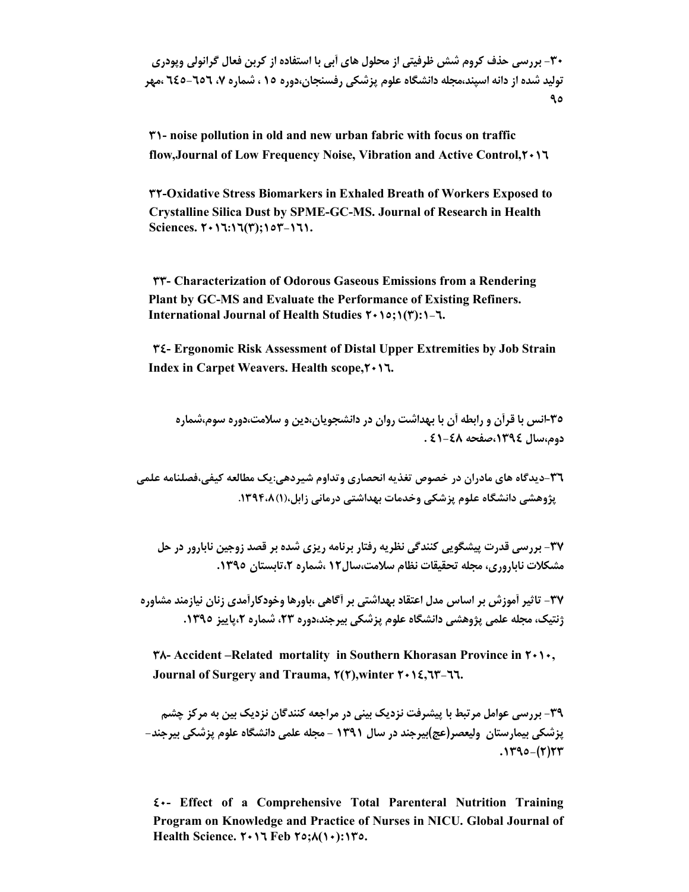**-30 بررسی حذف کروم شش ظرفیتی از محلول هاي آبی با استفاده از کربن فعال گرانولی وپودري تولید شده از دانه اسپند،مجله دانشگاه علوم پزشکی رفسنجان،دوره 15 ، شماره ،7 645-656 ،مهر 95**

**31- noise pollution in old and new urban fabric with focus on traffic flow,Journal of Low Frequency Noise, Vibration and Active Control,2016**

**32-Oxidative Stress Biomarkers in Exhaled Breath of Workers Exposed to Crystalline Silica Dust by SPME-GC-MS. Journal of Research in Health Sciences. 2016:16(3);153-161.**

**33- Characterization of Odorous Gaseous Emissions from a Rendering Plant by GC-MS and Evaluate the Performance of Existing Refiners. International Journal of Health Studies 2015;1(3):1-6.**

**34- Ergonomic Risk Assessment of Distal Upper Extremities by Job Strain Index in Carpet Weavers. Health scope,2016.**

**-35انس با قرآن و رابطه آن با بهداشت روان در دانشجویان،دین و سلامت،دوره سوم،شماره دوم،سال ،1394صفحه -48 41 .** 

**-36 دیدگاه هاي مادران در خصوص تغذیه انحصاري وتداوم شیردهی:یک مطالعه کیفی،فصلنامه علمی پژوهشی دانشگاه علوم پزشکی وخدمات بهداشتی درمانی زابل،(1).1394،8** 

**-37 بررسی قدرت پیشگویی کنندگی نظریه رفتار برنامه ریزي شده بر قصد زوجین نابارور در حل مشکلات ناباروري، مجله تحقیقات نظام سلامت،سال12 ،شماره ،2تابستان .1395**

**-37 تاثیر آموزش بر اساس مدل اعتقاد بهداشتی بر آگاهی ،باورها وخودکارآمدي زنان نیازمند مشاوره ژنتیک، مجله علمی پژوهشی دانشگاه علوم پزشکی بیرجند،دوره ،23 شماره ،2پاییز .1395** 

**38- Accident –Related mortality in Southern Khorasan Province in 2010, Journal of Surgery and Trauma, 2(2),winter 2014,63-66.**

**-39 بررسی عوامل مرتبط با پیشرفت نزدیک بینی در مراجعه کنندگان نزدیک بین به مرکز چشم پزشکی بیمارستان ولیعصر(عج)بیرجند در سال 1391 - مجله علمی دانشگاه علوم پزشکی بیرجند- .1395 -(2)23**

**40- Effect of a Comprehensive Total Parenteral Nutrition Training Program on Knowledge and Practice of Nurses in NICU. Global Journal of Health Science. 2016 Feb 25;8(10):135.**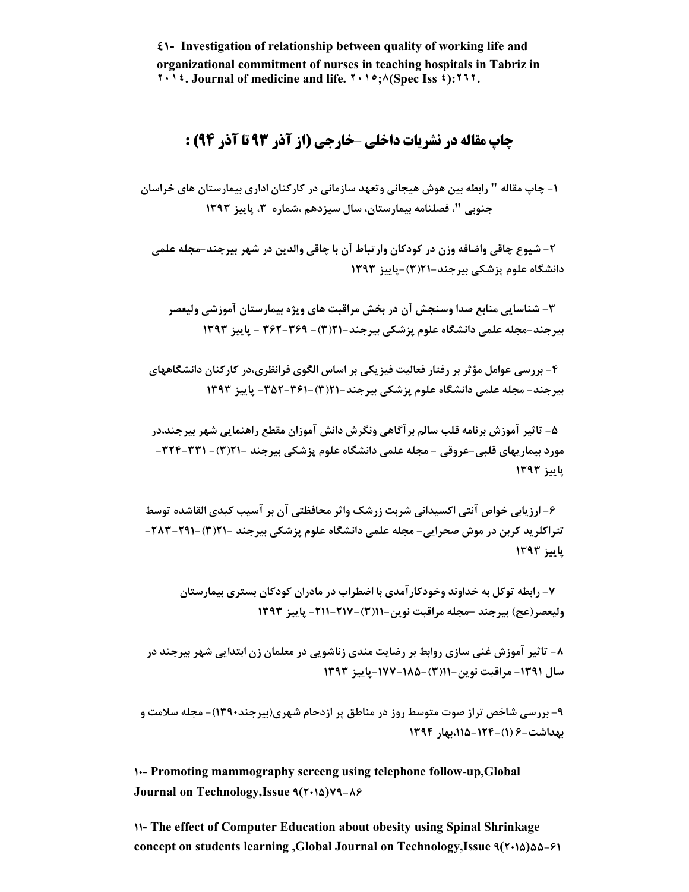**41- Investigation of relationship between quality of working life and organizational commitment of nurses in teaching hospitals in Tabriz in ٢٠١٤. Journal of medicine and life. ٢٠١٥;٨(Spec Iss ٤):٢٦٢.**

#### **چاپ مقاله در نشریات داخلی** –**خارجی (از آذر 93 تا آذر 94) :**

**-1 چاپ مقاله " رابطه بین هوش هیجانی وتعهد سازمانی در کارکنان اداري بیمارستان هاي خراسان جنوبی "، فصلنامه بیمارستان، سال سیزدهم ،شماره ،3 پاییز 1393** 

 **-2 شیوع چاقی واضافه وزن در کودکان وارتباط آن با چاقی والدین در شهر بیرجند-مجله علمی دانشگاه علوم پزشکی بیرجند21-(3)-پاییز 1393** 

 **-3 شناسایی منابع صدا وسنجش آن در بخش مراقبت هاي ویژه بیمارستان آموزشی ولیعصر بیرجند-مجله علمی دانشگاه علوم پزشکی بیرجند- 21(3)- 362-369 - پاییز 1393** 

 **-4 بررسی عوامل مؤثر بر رفتار فعالیت فیزیکی بر اساس الگوي فرانظري،در کارکنان دانشگاههاي بیرجند- مجله علمی دانشگاه علوم پزشکی بیرجند- 21(3)-352-361- پاییز 1393** 

 **-5 تاثیر آموزش برنامه قلب سالم برآگاهی ونگرش دانش آموزان مقطع راهنمایی شهر بیرجند،در مورد بیماریهاي قلبی- عروقی - مجله علمی دانشگاه علوم پزشکی بیرجند - 21(3)- -324-331 پاییز 1393** 

 **-6 ارزیابی خواص آنتی اکسیدانی شربت زرشک واثر محافظتی آن بر آسیب کبدي القاشده توسط تتراکلرید کربن در موش صحرایی- مجله علمی دانشگاه علوم پزشکی بیرجند - 21(3)- -291 -283 پاییز 1393** 

 **-7 رابطه توکل به خداوند وخودکارآمدي با اضطراب در مادران کودکان بستري بیمارستان ولیعصر(عج) بیرجند –مجله مراقبت نوین- 11(3)-217- -211 پاییز 1393** 

**-8 تاثیر آموزش غنی سازي روابط بر رضایت مندي زناشویی در معلمان زن ابتدایی شهر بیرجند در سال -1391 مراقبت نوین- 11(3)-185- -177 پاییز 1393** 

**-9 بررسی شاخص تراز صوت متوسط روز در مناطق پر ازدحام شهري(بیرجند1390)- مجله سلامت و بهداشت- 6 (1)،115-124-بهار 1394** 

**10- Promoting mammography screeng using telephone follow-up,Global Journal on Technology,Issue 9(2015)79-86**

**11- The effect of Computer Education about obesity using Spinal Shrinkage concept on students learning ,Global Journal on Technology,Issue 9(2015)55-61**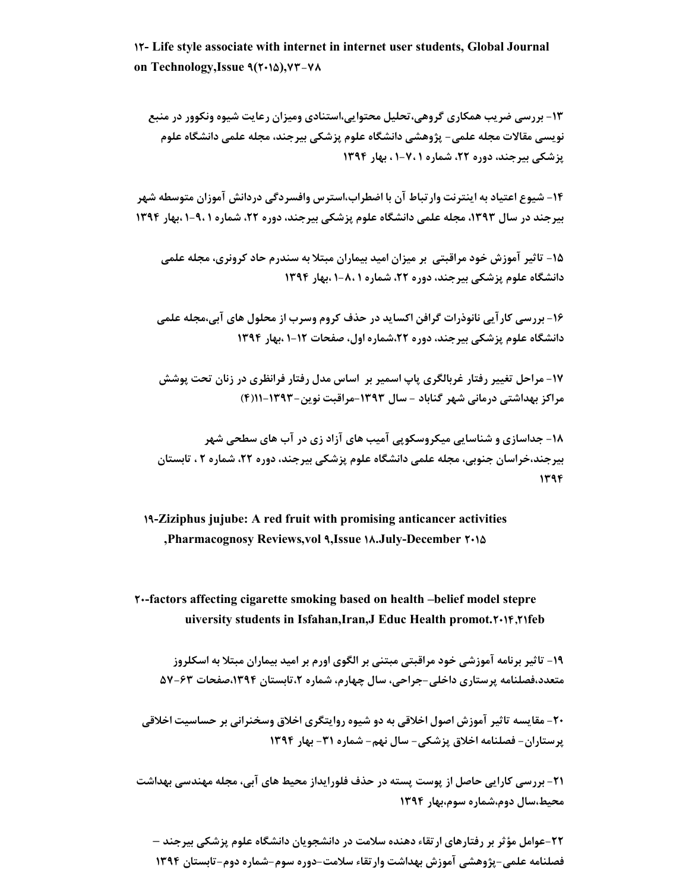**12- Life style associate with internet in internet user students, Global Journal on Technology,Issue 9(2015),73-78**

**-13 بررسی ضریب همکاري گروهی،تحلیل محتوایی،استنادي ومیزان رعایت شیوه ونکوور در منبع نویسی مقالات مجله علمی- پژوهشی دانشگاه علوم پزشکی بیرجند، مجله علمی دانشگاه علوم پزشکی بیرجند، دوره ،22 شماره 1 1-7، ، بهار 1394** 

**-14 شیوع اعتیاد به اینترنت وارتباط آن با اضطراب،استرس وافسردگی دردانش آموزان متوسطه شهر بیرجند در سال ،1393 مجله علمی دانشگاه علوم پزشکی بیرجند، دوره ،22 شماره 1 -9، 1 ،بهار 1394** 

**-15 تاثیر آموزش خود مراقبتی بر میزان امید بیماران مبتلا به سندرم حاد کرونري، مجله علمی دانشگاه علوم پزشکی بیرجند، دوره ،22 شماره 1 1-8، ،بهار 1394** 

**-16 بررسی کارآیی نانوذرات گرافن اکساید در حذف کروم وسرب از محلول هاي آبی،مجله علمی دانشگاه علوم پزشکی بیرجند، دوره ،22شماره اول، صفحات 1-12 ،بهار 1394** 

**-17 مراحل تغییر رفتار غربالگري پاپ اسمیر بر اساس مدل رفتار فرانظري در زنان تحت پوشش مراکز بهداشتی درمانی شهر گناباد - سال -1393 مراقبت نوین- -1393 11(4)** 

**-18 جداسازي و شناسایی میکروسکوپی آمیب هاي آزاد زي در آب هاي سطحی شهر بیرجند،خراسان جنوبی، مجله علمی دانشگاه علوم پزشکی بیرجند، دوره ،22 شماره 2 ، تابستان 1394**

**19-Ziziphus jujube: A red fruit with promising anticancer activities ,Pharmacognosy Reviews,vol 9,Issue 18.July-December 2015**

**20-factors affecting cigarette smoking based on health –belief model stepre uiversity students in Isfahan,Iran,J Educ Health promot.2014,21feb**

**-19 تاثیر برنامه آموزشی خود مراقبتی مبتنی بر الگوي اورم بر امید بیماران مبتلا به اسکلروز متعدد،فصلنامه پرستاري داخلی-جراحی، سال چهارم، شماره ،2تابستان ،1394صفحات -63 57** 

**-20 مقایسه تاثیر آموزش اصول اخلاقی به دو شیوه روایتگري اخلاق وسخنرانی بر حساسیت اخلاقی پرستاران- فصلنامه اخلاق پزشکی- سال نهم- شماره -31 بهار 1394** 

**-21 بررسی کارایی حاصل از پوست پسته در حذف فلورایداز محیط هاي آبی، مجله مهندسی بهداشت محیط،سال دوم،شماره سوم،بهار 1394** 

**-22 عوامل مؤثر بر رفتارهاي ارتقاء دهنده سلامت در دانشجویان دانشگاه علوم پزشکی بیرجند – فصلنامه علمی- پژوهشی آموزش بهداشت وارتقاء سلامت-دوره سوم- شماره دوم-تابستان 1394**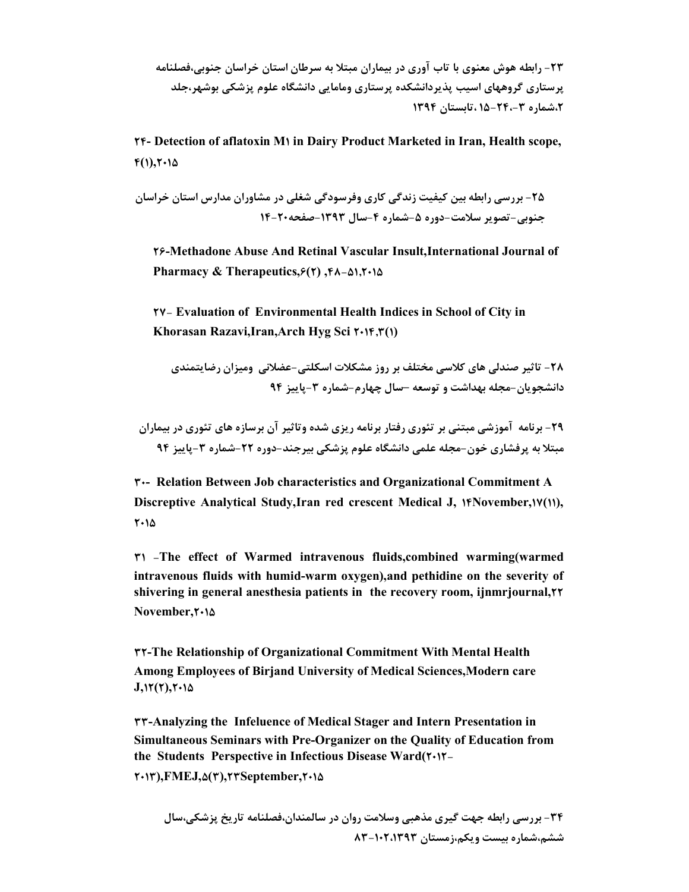**-23 رابطه هوش معنوي با تاب آوري در بیماران مبتلا به سرطان استان خراسان جنوبی،فصلنامه پرستاري گروههاي اسیب پذیردانشکده پرستاري ومامایی دانشگاه علوم پزشکی بوشهر،جلد ،2شماره -3 15-24، ،تابستان 1394**

**24- Detection of aflatoxin M1 in Dairy Product Marketed in Iran, Health scope,**  $f(1), f(1)$ 

**-25 بررسی رابطه بین کیفیت زندگی کاري وفرسودگی شغلی در مشاوران مدارس استان خراسان جنوبی- تصویر سلامت- دوره -5شماره -4سال -1393 صفحه-20 14**

**26-Methadone Abuse And Retinal Vascular Insult,International Journal of Pharmacy & Therapeutics,6(2) ,48-51,2015**

**27- Evaluation of Environmental Health Indices in School of City in Khorasan Razavi,Iran,Arch Hyg Sci 2014,3(1)**

**-28 تاثیر صندلی هاي کلاسی مختلف بر روز مشکلات اسکلتی-عضلانی ومیزان رضایتمندي دانشجویان-مجله بهداشت و توسعه –سال چهارم-شماره -3پاییز 94** 

**-29 برنامه آموزشی مبتنی بر تئوري رفتار برنامه ریزي شده وتاثیر آن برسازه هاي تئوري در بیماران مبتلا به پرفشاري خون- مجله علمی دانشگاه علوم پزشکی بیرجند-دوره -22 شماره -3پاییز 94** 

**30- Relation Between Job characteristics and Organizational Commitment A Discreptive Analytical Study, Iran red crescent Medical J,**  $\{M\}$ **November,** $\{M\}$ **, 2015**

**31 -The effect of Warmed intravenous fluids,combined warming(warmed intravenous fluids with humid-warm oxygen),and pethidine on the severity of shivering in general anesthesia patients in the recovery room, ijnmrjournal,22 November,2015**

**32-The Relationship of Organizational Commitment With Mental Health Among Employees of Birjand University of Medical Sciences,Modern care J,12(2),2015**

**33-Analyzing the Infeluence of Medical Stager and Intern Presentation in Simultaneous Seminars with Pre-Organizer on the Quality of Education from the Students Perspective in Infectious Disease Ward(2012-**

**2013),FMEJ,5(3),23September,2015**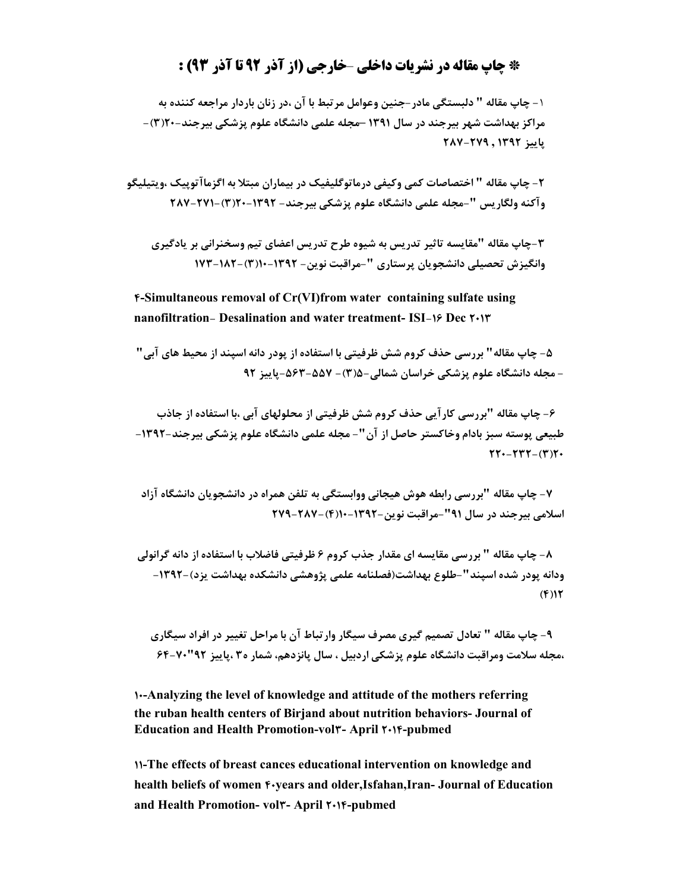#### **\* چاپ مقاله در نشریات داخلی** –**خارجی (از آذر 92 تا آذر 93) :**

**-**1 **چاپ مقاله " دلبستگی مادر-جنین وعوامل مرتبط با آن ،در زنان باردار مراجعه کننده به مراکز بهداشت شهر بیرجند در سال 1391 –مجله علمی دانشگاه علوم پزشکی بیرجند- 20(3)- پاییز 1392 , -279 287** 

**-2 چاپ مقاله " اختصاصات کمی وکیفی درماتوگلیفیک در بیماران مبتلا به اگزماآتوپیک ،ویتیلیگو وآکنه ولگاریس "- مجله علمی دانشگاه علوم پزشکی بیرجند- -1392 20(3)-271- 287**

**-3 چاپ مقاله "مقایسه تاثیر تدریس به شیوه طرح تدریس اعضاي تیم وسخنرانی بر یادگیري وانگیزش تحصیلی دانشجویان پرستاري "- مراقبت نوین- -1392 10(3)- 173-182** 

**4-Simultaneous removal of Cr(VI)from water containing sulfate using nanofiltration- Desalination and water treatment- ISI-16 Dec 2013**

 **-5 چاپ مقاله" بررسی حذف کروم شش ظرفیتی با استفاده از پودر دانه اسپند از محیط هاي آبی" - مجله دانشگاه علوم پزشکی خراسان شمالی5-(3)- -563-557 پاییز 92** 

 **-6 چاپ مقاله "بررسی کارآیی حذف کروم شش ظرفیتی از محلولهاي آبی ،با استفاده از جاذب طبیعی پوسته سبز بادام وخاکستر حاصل از آن"- مجله علمی دانشگاه علوم پزشکی بیرجند-1392- 77.**-777-(٣)٢.

**-7 چاپ مقاله "بررسی رابطه هوش هیجانی ووابستگی به تلفن همراه در دانشجویان دانشگاه آزاد اسلامی بیرجند در سال 91"- مراقبت نوین-1392- 10(4)- 279-287** 

**-8 چاپ مقاله " بررسی مقایسه اي مقدار جذب کروم 6 ظرفیتی فاضلاب با استفاده از دانه گرانولی ودانه پودر شده اسپند"- طلوع بهداشت(فصلنامه علمی پژوهشی دانشکده بهداشت یزد)-1392- (4)12**

**-9 چاپ مقاله " تعادل تصمیم گیري مصرف سیگار وارتباط آن با مراحل تغییر در افراد سیگاري ،مجله سلامت ومراقبت دانشگاه علوم پزشکی اردبیل ، سال پانزدهم، شمار ه3 ،پاییز 92"64-70** 

**10-Analyzing the level of knowledge and attitude of the mothers referring the ruban health centers of Birjand about nutrition behaviors- Journal of Education and Health Promotion-vol3- April 2014-pubmed**

**11-The effects of breast cances educational intervention on knowledge and health beliefs of women**  $\epsilon$ **-years and older,Isfahan,Iran- Journal of Education and Health Promotion- vol3- April 2014-pubmed**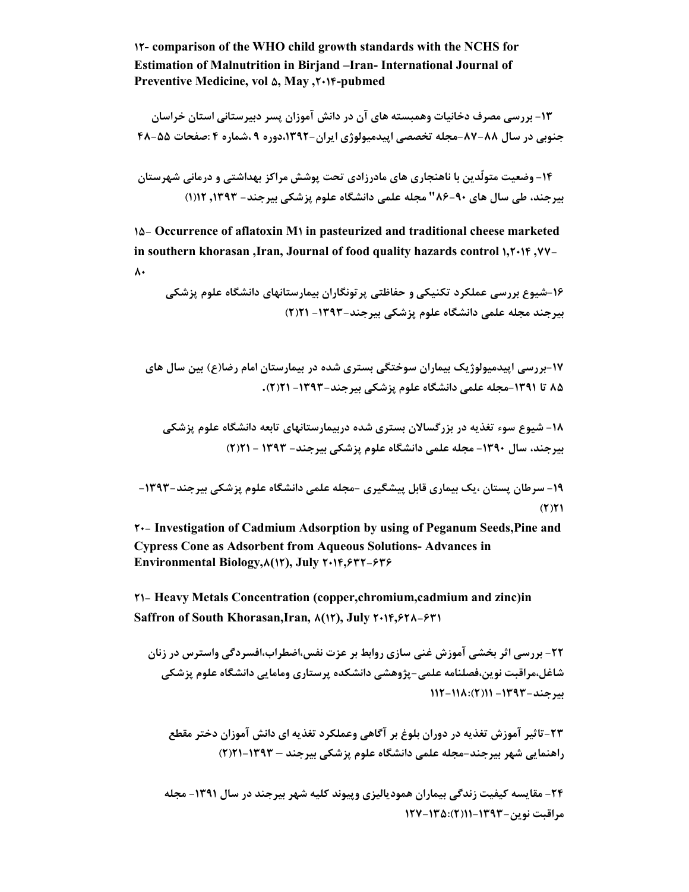**12- comparison of the WHO child growth standards with the NCHS for Estimation of Malnutrition in Birjand –Iran- International Journal of Preventive Medicine, vol 5, May ,2014-pubmed**

**-13 بررسی مصرف دخانیات وهمبسته هاي آن در دانش آموزان پسر دبیرستانی استان خراسان جنوبی در سال -88 -87 مجله تخصصی اپیدمیولوژي ایران- ،1392دوره 9 ،شماره 4 :صفحات 48-55** 

**-14 وضعیت متولّدین با ناهنجاري هاي مادرزادي تحت پوشش مراکز بهداشتی و درمانی شهرستان بیرجند، طی سال هاي -90 86" مجله علمی دانشگاه علوم پزشکی بیرجند- ,1393 12(1)** 

**15- Occurrence of aflatoxin M1 in pasteurized and traditional cheese marketed in southern khorasan ,Iran, Journal of food quality hazards control 1,2014 ,77-**  $\lambda$ 

**-16شیوع بررسی عملکرد تکنیکی و حفاظتی پرتونگاران بیمارستانهاي دانشگاه علوم پزشکی بیرجند مجله علمی دانشگاه علوم پزشکی بیرجند-1393- 21(2)**

**-17بررسی اپیدمیولوژیک بیماران سوختگی بستري شده در بیمارستان امام رضا(ع) بین سال هاي 85 تا -1391مجله علمی دانشگاه علوم پزشکی بیرجند-1393- 21(2).**

**-18 شیوع سوء تغذیه در بزرگسالان بستري شده دربیمارستانهاي تابعه دانشگاه علوم پزشکی بیرجند، سال -1390 مجله علمی دانشگاه علوم پزشکی بیرجند- 1393 - 21(2)**

**-19 سرطان پستان ،یک بیماري قابل پیشگیري -مجله علمی دانشگاه علوم پزشکی بیرجند-1393- (2)21**

**20- Investigation of Cadmium Adsorption by using of Peganum Seeds,Pine and Cypress Cone as Adsorbent from Aqueous Solutions- Advances in Environmental Biology,8(12), July 2014,632-636**

**21- Heavy Metals Concentration (copper,chromium,cadmium and zinc)in Saffron of South Khorasan,Iran, 8(12), July 2014,628-631**

**-22 بررسی اثر بخشی آموزش غنی سازي روابط بر عزت نفس،اضطراب،افسردگی واسترس در زنان شاغل،مراقبت نوین،فصلنامه علمی- پژوهشی دانشکده پرستاري ومامایی دانشگاه علوم پزشکی بیرجند-1393- 11(2)112-118:** 

**-23تاثیر آموزش تغذیه در دوران بلوغ بر آگاهی وعملکرد تغذیه اي دانش آموزان دختر مقطع راهنمایی شهر بیرجند-مجله علمی دانشگاه علوم پزشکی بیرجند – -1393 21(2)** 

**-24 مقایسه کیفیت زندگی بیماران همودیالیزي وپیوند کلیه شهر بیرجند در سال -1391 مجله مراقبت نوین11-1393-(2)127-135:**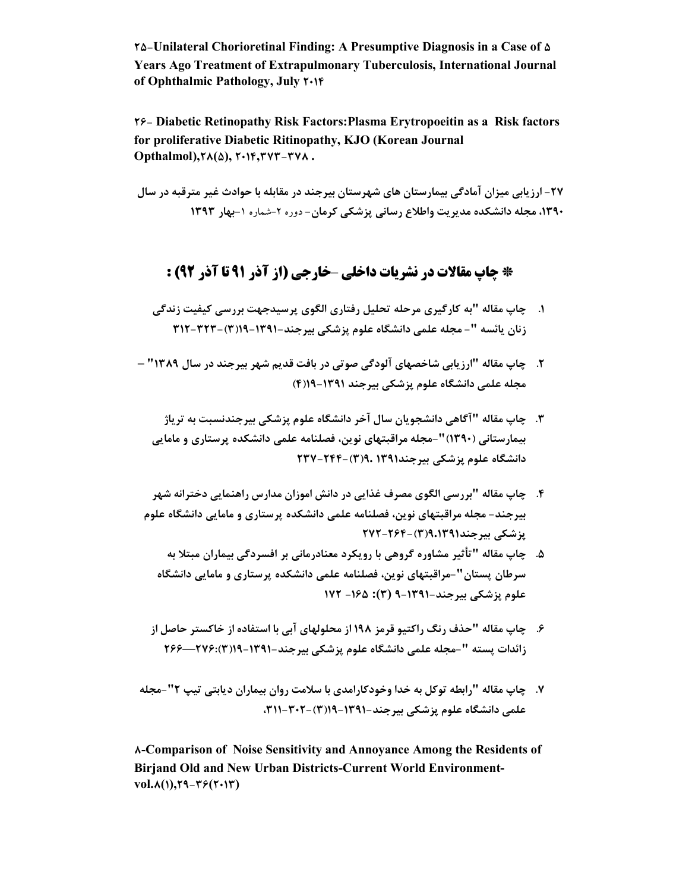**25-Unilateral Chorioretinal Finding: A Presumptive Diagnosis in a Case of 5 Years Ago Treatment of Extrapulmonary Tuberculosis, International Journal of Ophthalmic Pathology, July 2014**

**26- Diabetic Retinopathy Risk Factors:Plasma Erytropoeitin as a Risk factors for proliferative Diabetic Ritinopathy, KJO (Korean Journal Opthalmol),28(5), 2014,373-378 .**

**-27 ارزیابی میزان آمادگی بیمارستان هاي شهرستان بیرجند در مقابله با حوادث غیر مترقبه در سال ،1390 مجله دانشکده مدیریت واطلاع رسانی پزشکی کرمان-** دوره -2 شماره **-**1**بهار 1393** 

## **\* چاپ مقالات در نشریات داخلی** –**خارجی (از آذر 91 تا آذر 92) :**

**.1 چاپ مقاله "به کارگیري مرحله تحلیل رفتاري الگوي پرسیدجهت بررسی کیفیت زندگی زنان یائسه "- مجله علمی دانشگاه علوم پزشکی بیرجند- -1391 19(3)312-323-**

- **.2 چاپ مقاله "ارزیابی شاخصهاي آلودگی صوتی در بافت قدیم شهر بیرجند در سال 1389" – مجله علمی دانشگاه علوم پزشکی بیرجند -1391 19(4)**
	- **.3 چاپ مقاله "آگاهی دانشجویان سال آخر دانشگاه علوم پزشکی بیرجندنسبت به تریاژ بیمارستانی (1390)"- مجله مراقبتهاي نوین، فصلنامه علمی دانشکده پرستاري و مامایی دانشگاه علوم پزشکی بیرجند1391 9.(3)-244- 237**
- **.4 چاپ مقاله "بررسی الگوي مصرف غذایی در دانش اموزان مدارس راهنمایی دخترانه شهر بیرجند- مجله مراقبتهاي نوین، فصلنامه علمی دانشکده پرستاري و مامایی دانشگاه علوم پزشکی بیرجند9.1391(3)- 272-264** 
	- **.5 چاپ مقاله "تأثیر مشاوره گروهی با رویکرد معنادرمانی بر افسردگی بیماران مبتلا به سرطان پستان"-مراقبتهاي نوین، فصلنامه علمی دانشکده پرستاري و مامایی دانشگاه علوم پزشکی بیرجند9-1391- (3): -165 172**
- **.6 چاپ مقاله "حذف رنگ راکتیو قرمز 198 از محلولهاي آبی با استفاده از خاکستر حاصل از زائدات پسته "-مجله علمی دانشگاه علوم پزشکی بیرجند- -1391 19(3)276:—266**
- **.7 چاپ مقاله "رابطه توکل به خدا وخودکارامدي با سلامت روان بیماران دیابتی تیپ 2" مجله علمی دانشگاه علوم پزشکی بیرجند19-1391-(3)،311-302-**

**8-Comparison of Noise Sensitivity and Annoyance Among the Residents of Birjand Old and New Urban Districts-Current World Environment vol.8(1),29-36(2013)**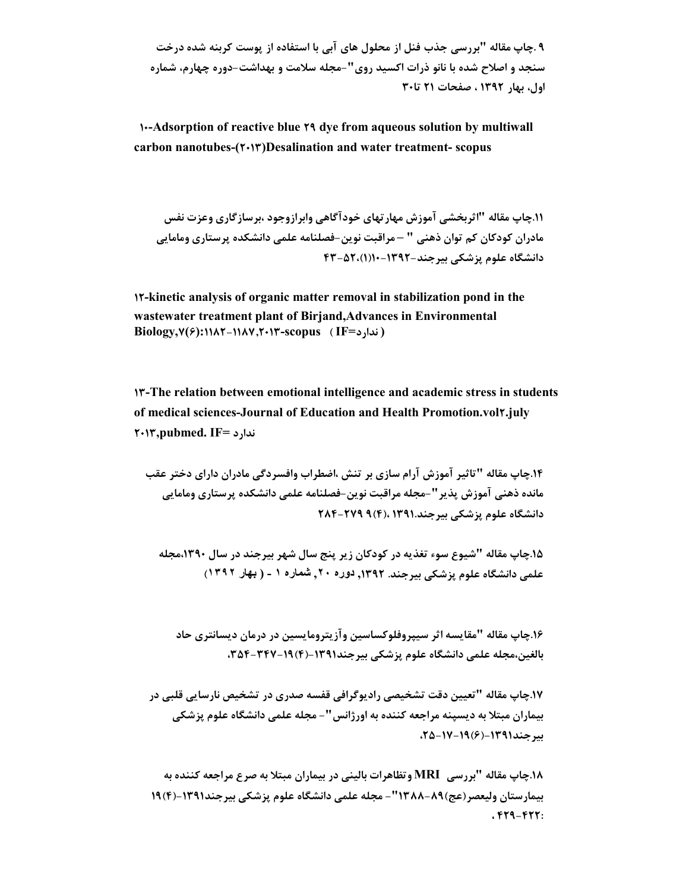**9 .چاپ مقاله "بررسی جذب فنل از محلول هاي آبی با استفاده از پوست کربنه شده درخت سنجد و اصلاح شده با نانو ذرات اکسید روي"- مجله سلامت و بهداشت- دوره چهارم، شماره اول، بهار 1392 ، صفحات 21 تا30**

 **10-Adsorption of reactive blue 29 dye from aqueous solution by multiwall carbon nanotubes-(2013)Desalination and water treatment- scopus**

**.11چاپ مقاله "اثربخشی آموزش مهارتهاي خودآگاهی وابرازوجود ،برسازگاري وعزت نفس مادران کودکان کم توان ذهنی " – مراقبت نوین- فصلنامه علمی دانشکده پرستاري ومامایی دانشگاه علوم پزشکی بیرجند-1392- 10(1)-52، 43** 

**12-kinetic analysis of organic matter removal in stabilization pond in the wastewater treatment plant of Birjand,Advances in Environmental Biology,7(6):1182-1187,2013-scopus ( IF=ندارد(**

**13-The relation between emotional intelligence and academic stress in students of medical sciences-Journal of Education and Health Promotion.vol2.july 2013,pubmed. IF= ندارد**

**.14چاپ مقاله "تاثیر آموزش آرام سازي بر تنش ،اضطراب وافسردگی مادران داراي دختر عقب مانده ذهنی آموزش پذیر"- مجله مراقبت نوین-فصلنامه علمی دانشکده پرستاري ومامایی دانشگاه علوم پزشکی بیرجند1391. ،(4)9 -279 284** 

**.15چاپ مقاله "شیوع سوء تغذیه در کودکان زیر پنج سال شهر بیرجند در سال ،1390مجله علمی دانشگاه علوم پزشکی بیرجند. ,1392 دوره ,٢٠ شماره ١ - ( بھار ١٣٩٢)** 

**.16چاپ مقاله "مقایسه اثر سیپروفلوکساسین وآزیترومایسین در درمان دیسانتري حاد بالغین،مجله علمی دانشگاه علوم پزشکی بیرجند-1391(4)،354-347-19** 

**.17چاپ مقاله "تعیین دقت تشخیصی رادیوگرافی قفسه صدري در تشخیص نارسایی قلبی در بیماران مبتلا به دیسپنه مراجعه کننده به اورژانس"- مجله علمی دانشگاه علوم پزشکی بیرجند-1391 (6)-19 ،25-17** 

**.18چاپ مقاله "بررسی MRI وتظاهرات بالینی در بیماران مبتلا به صرع مراجعه کننده به بیمارستان ولیعصر(عج)1388-89"- مجله علمی دانشگاه علوم پزشکی بیرجند-1391(4)19 ، 429-422:**